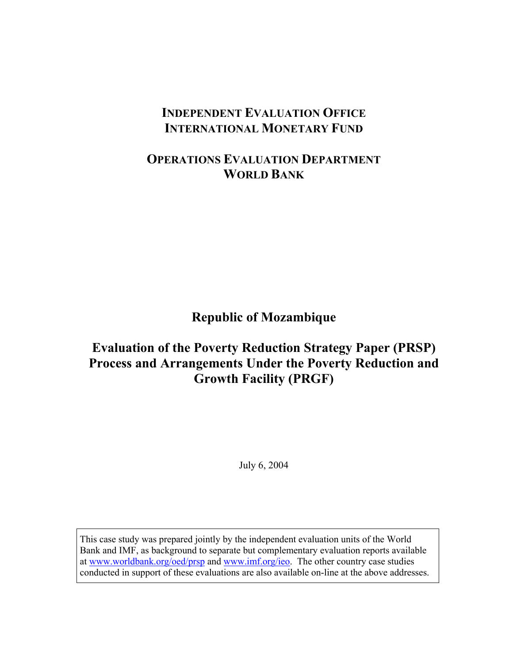# **INDEPENDENT EVALUATION OFFICE INTERNATIONAL MONETARY FUND**

# **OPERATIONS EVALUATION DEPARTMENT WORLD BANK**

**Republic of Mozambique** 

# **Evaluation of the Poverty Reduction Strategy Paper (PRSP) Process and Arrangements Under the Poverty Reduction and Growth Facility (PRGF)**

July 6, 2004

This case study was prepared jointly by the independent evaluation units of the World Bank and IMF, as background to separate but complementary evaluation reports available at www.worldbank.org/oed/prsp and www.imf.org/ieo. The other country case studies conducted in support of these evaluations are also available on-line at the above addresses.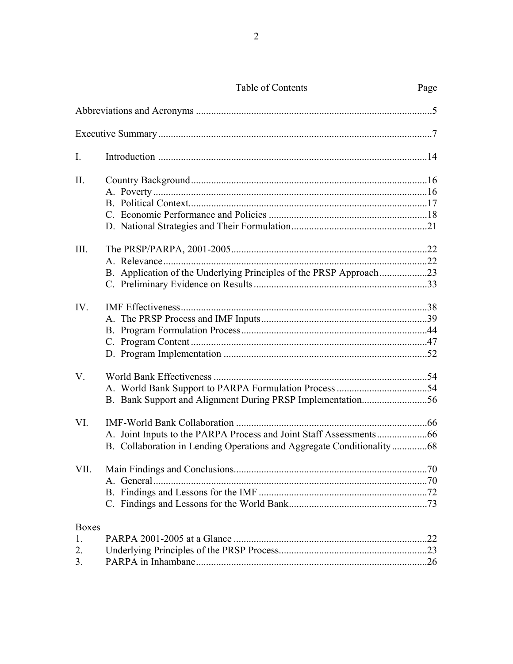|  | Table of Contents |  |
|--|-------------------|--|
|--|-------------------|--|

Page

| I.                             |                                                                       |  |
|--------------------------------|-----------------------------------------------------------------------|--|
| II.                            |                                                                       |  |
| III.                           | B. Application of the Underlying Principles of the PRSP Approach23    |  |
| IV.                            |                                                                       |  |
| V.                             |                                                                       |  |
| VI.                            | B. Collaboration in Lending Operations and Aggregate Conditionality68 |  |
| VII.                           |                                                                       |  |
| <b>Boxes</b><br>1.<br>2.<br>3. |                                                                       |  |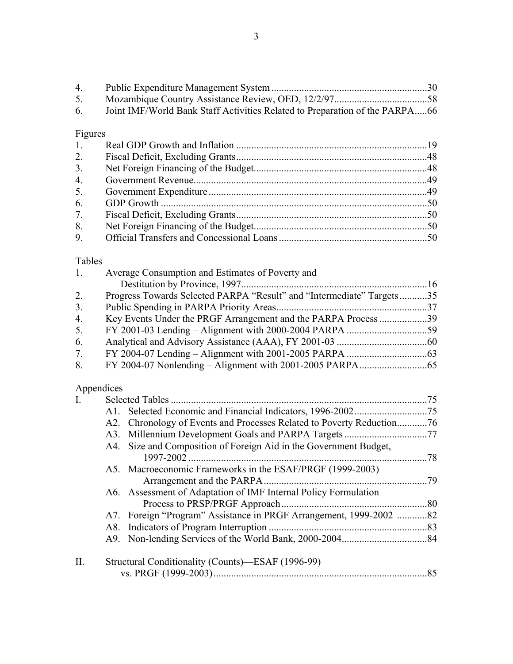| 4.      |                                                                             |  |  |  |  |  |
|---------|-----------------------------------------------------------------------------|--|--|--|--|--|
| 5.      |                                                                             |  |  |  |  |  |
| 6.      | Joint IMF/World Bank Staff Activities Related to Preparation of the PARPA66 |  |  |  |  |  |
| Figures |                                                                             |  |  |  |  |  |
| 1.      |                                                                             |  |  |  |  |  |
| 2.      |                                                                             |  |  |  |  |  |
| 3.      |                                                                             |  |  |  |  |  |
| 4.      |                                                                             |  |  |  |  |  |
| 5.      |                                                                             |  |  |  |  |  |
| 6.      |                                                                             |  |  |  |  |  |
| 7.      |                                                                             |  |  |  |  |  |
| 8.      |                                                                             |  |  |  |  |  |
| 9.      |                                                                             |  |  |  |  |  |
| Tables  |                                                                             |  |  |  |  |  |
| 1.      | Average Consumption and Estimates of Poverty and                            |  |  |  |  |  |
|         |                                                                             |  |  |  |  |  |
| 2.      | Progress Towards Selected PARPA "Result" and "Intermediate" Targets35       |  |  |  |  |  |
| 3.      |                                                                             |  |  |  |  |  |
| 4.      | Key Events Under the PRGF Arrangement and the PARPA Process 39              |  |  |  |  |  |
| 5.      |                                                                             |  |  |  |  |  |
| 6.      |                                                                             |  |  |  |  |  |
| 7.      |                                                                             |  |  |  |  |  |
| 8.      |                                                                             |  |  |  |  |  |
|         | Appendices                                                                  |  |  |  |  |  |
| I.      |                                                                             |  |  |  |  |  |
|         | A1.                                                                         |  |  |  |  |  |
|         | Chronology of Events and Processes Related to Poverty Reduction76<br>A2.    |  |  |  |  |  |
|         | A3.                                                                         |  |  |  |  |  |
|         | A4. Size and Composition of Foreign Aid in the Government Budget,<br>78     |  |  |  |  |  |
|         | A5. Macroeconomic Frameworks in the ESAF/PRGF (1999-2003)                   |  |  |  |  |  |
|         |                                                                             |  |  |  |  |  |
|         | Assessment of Adaptation of IMF Internal Policy Formulation<br>A6.          |  |  |  |  |  |
|         |                                                                             |  |  |  |  |  |
|         | Foreign "Program" Assistance in PRGF Arrangement, 1999-2002 82<br>A7.       |  |  |  |  |  |
|         |                                                                             |  |  |  |  |  |
|         | A8.                                                                         |  |  |  |  |  |
|         | A9.                                                                         |  |  |  |  |  |
| II.     | Structural Conditionality (Counts)-ESAF (1996-99)                           |  |  |  |  |  |
|         |                                                                             |  |  |  |  |  |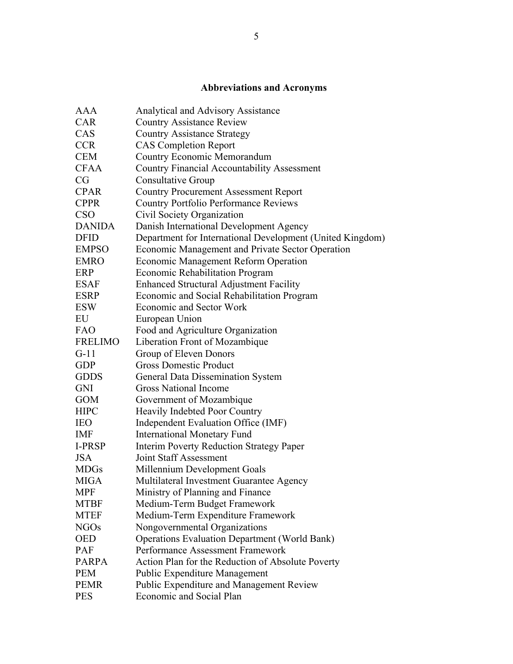# **Abbreviations and Acronyms**

| AAA            | Analytical and Advisory Assistance                        |
|----------------|-----------------------------------------------------------|
| <b>CAR</b>     | <b>Country Assistance Review</b>                          |
| CAS            | <b>Country Assistance Strategy</b>                        |
| <b>CCR</b>     | <b>CAS Completion Report</b>                              |
| <b>CEM</b>     | <b>Country Economic Memorandum</b>                        |
| <b>CFAA</b>    | <b>Country Financial Accountability Assessment</b>        |
| CG             | <b>Consultative Group</b>                                 |
| <b>CPAR</b>    | <b>Country Procurement Assessment Report</b>              |
| <b>CPPR</b>    | <b>Country Portfolio Performance Reviews</b>              |
| <b>CSO</b>     | Civil Society Organization                                |
| <b>DANIDA</b>  | Danish International Development Agency                   |
| <b>DFID</b>    | Department for International Development (United Kingdom) |
| <b>EMPSO</b>   | Economic Management and Private Sector Operation          |
| <b>EMRO</b>    | Economic Management Reform Operation                      |
| <b>ERP</b>     | Economic Rehabilitation Program                           |
| <b>ESAF</b>    | <b>Enhanced Structural Adjustment Facility</b>            |
| <b>ESRP</b>    | Economic and Social Rehabilitation Program                |
| <b>ESW</b>     | <b>Economic and Sector Work</b>                           |
| EU             | European Union                                            |
| FAO            | Food and Agriculture Organization                         |
| <b>FRELIMO</b> | Liberation Front of Mozambique                            |
| $G-11$         | Group of Eleven Donors                                    |
| <b>GDP</b>     | <b>Gross Domestic Product</b>                             |
| <b>GDDS</b>    | General Data Dissemination System                         |
| <b>GNI</b>     | <b>Gross National Income</b>                              |
| <b>GOM</b>     | Government of Mozambique                                  |
| <b>HIPC</b>    | Heavily Indebted Poor Country                             |
| <b>IEO</b>     | Independent Evaluation Office (IMF)                       |
| <b>IMF</b>     | <b>International Monetary Fund</b>                        |
| I-PRSP         | <b>Interim Poverty Reduction Strategy Paper</b>           |
| <b>JSA</b>     | Joint Staff Assessment                                    |
| <b>MDGs</b>    | Millennium Development Goals                              |
| <b>MIGA</b>    | Multilateral Investment Guarantee Agency                  |
| <b>MPF</b>     | Ministry of Planning and Finance                          |
| <b>MTBF</b>    | Medium-Term Budget Framework                              |
| <b>MTEF</b>    | Medium-Term Expenditure Framework                         |
| <b>NGOs</b>    | Nongovernmental Organizations                             |
| <b>OED</b>     | <b>Operations Evaluation Department (World Bank)</b>      |
| <b>PAF</b>     | Performance Assessment Framework                          |
| <b>PARPA</b>   | Action Plan for the Reduction of Absolute Poverty         |
| <b>PEM</b>     | <b>Public Expenditure Management</b>                      |
| <b>PEMR</b>    | Public Expenditure and Management Review                  |
|                | Economic and Social Plan                                  |
| <b>PES</b>     |                                                           |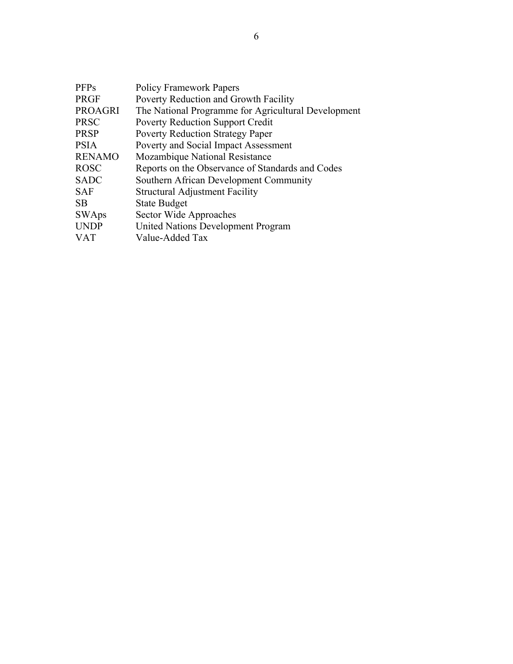| <b>Policy Framework Papers</b>                      |
|-----------------------------------------------------|
| Poverty Reduction and Growth Facility               |
| The National Programme for Agricultural Development |
| <b>Poverty Reduction Support Credit</b>             |
| <b>Poverty Reduction Strategy Paper</b>             |
| Poverty and Social Impact Assessment                |
| Mozambique National Resistance                      |
| Reports on the Observance of Standards and Codes    |
| Southern African Development Community              |
| <b>Structural Adjustment Facility</b>               |
| <b>State Budget</b>                                 |
| Sector Wide Approaches                              |
| United Nations Development Program                  |
| Value-Added Tax                                     |
|                                                     |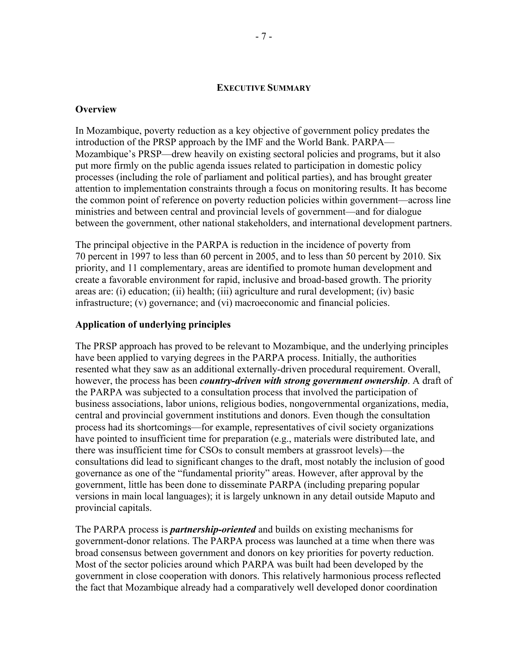#### **EXECUTIVE SUMMARY**

#### **Overview**

In Mozambique, poverty reduction as a key objective of government policy predates the introduction of the PRSP approach by the IMF and the World Bank. PARPA— Mozambique's PRSP—drew heavily on existing sectoral policies and programs, but it also put more firmly on the public agenda issues related to participation in domestic policy processes (including the role of parliament and political parties), and has brought greater attention to implementation constraints through a focus on monitoring results. It has become the common point of reference on poverty reduction policies within government—across line ministries and between central and provincial levels of government—and for dialogue between the government, other national stakeholders, and international development partners.

The principal objective in the PARPA is reduction in the incidence of poverty from 70 percent in 1997 to less than 60 percent in 2005, and to less than 50 percent by 2010. Six priority, and 11 complementary, areas are identified to promote human development and create a favorable environment for rapid, inclusive and broad-based growth. The priority areas are: (i) education; (ii) health; (iii) agriculture and rural development; (iv) basic infrastructure; (v) governance; and (vi) macroeconomic and financial policies.

### **Application of underlying principles**

The PRSP approach has proved to be relevant to Mozambique, and the underlying principles have been applied to varying degrees in the PARPA process. Initially, the authorities resented what they saw as an additional externally-driven procedural requirement. Overall, however, the process has been *country-driven with strong government ownership*. A draft of the PARPA was subjected to a consultation process that involved the participation of business associations, labor unions, religious bodies, nongovernmental organizations, media, central and provincial government institutions and donors. Even though the consultation process had its shortcomings—for example, representatives of civil society organizations have pointed to insufficient time for preparation (e.g., materials were distributed late, and there was insufficient time for CSOs to consult members at grassroot levels)—the consultations did lead to significant changes to the draft, most notably the inclusion of good governance as one of the "fundamental priority" areas. However, after approval by the government, little has been done to disseminate PARPA (including preparing popular versions in main local languages); it is largely unknown in any detail outside Maputo and provincial capitals.

The PARPA process is *partnership-oriented* and builds on existing mechanisms for government-donor relations. The PARPA process was launched at a time when there was broad consensus between government and donors on key priorities for poverty reduction. Most of the sector policies around which PARPA was built had been developed by the government in close cooperation with donors. This relatively harmonious process reflected the fact that Mozambique already had a comparatively well developed donor coordination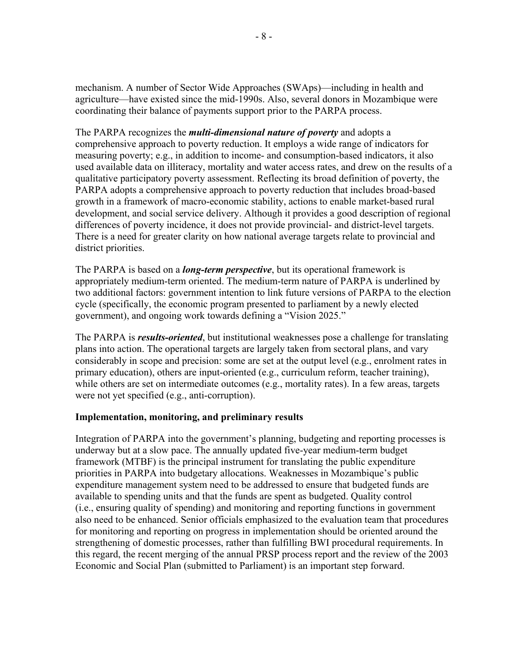mechanism. A number of Sector Wide Approaches (SWAps)—including in health and agriculture—have existed since the mid-1990s. Also, several donors in Mozambique were coordinating their balance of payments support prior to the PARPA process.

The PARPA recognizes the *multi-dimensional nature of poverty* and adopts a comprehensive approach to poverty reduction. It employs a wide range of indicators for measuring poverty; e.g., in addition to income- and consumption-based indicators, it also used available data on illiteracy, mortality and water access rates, and drew on the results of a qualitative participatory poverty assessment. Reflecting its broad definition of poverty, the PARPA adopts a comprehensive approach to poverty reduction that includes broad-based growth in a framework of macro-economic stability, actions to enable market-based rural development, and social service delivery. Although it provides a good description of regional differences of poverty incidence, it does not provide provincial- and district-level targets. There is a need for greater clarity on how national average targets relate to provincial and district priorities.

The PARPA is based on a *long-term perspective*, but its operational framework is appropriately medium-term oriented. The medium-term nature of PARPA is underlined by two additional factors: government intention to link future versions of PARPA to the election cycle (specifically, the economic program presented to parliament by a newly elected government), and ongoing work towards defining a "Vision 2025."

The PARPA is *results-oriented*, but institutional weaknesses pose a challenge for translating plans into action. The operational targets are largely taken from sectoral plans, and vary considerably in scope and precision: some are set at the output level (e.g., enrolment rates in primary education), others are input-oriented (e.g., curriculum reform, teacher training), while others are set on intermediate outcomes (e.g., mortality rates). In a few areas, targets were not yet specified (e.g., anti-corruption).

#### **Implementation, monitoring, and preliminary results**

Integration of PARPA into the government's planning, budgeting and reporting processes is underway but at a slow pace. The annually updated five-year medium-term budget framework (MTBF) is the principal instrument for translating the public expenditure priorities in PARPA into budgetary allocations. Weaknesses in Mozambique's public expenditure management system need to be addressed to ensure that budgeted funds are available to spending units and that the funds are spent as budgeted. Quality control (i.e., ensuring quality of spending) and monitoring and reporting functions in government also need to be enhanced. Senior officials emphasized to the evaluation team that procedures for monitoring and reporting on progress in implementation should be oriented around the strengthening of domestic processes, rather than fulfilling BWI procedural requirements. In this regard, the recent merging of the annual PRSP process report and the review of the 2003 Economic and Social Plan (submitted to Parliament) is an important step forward.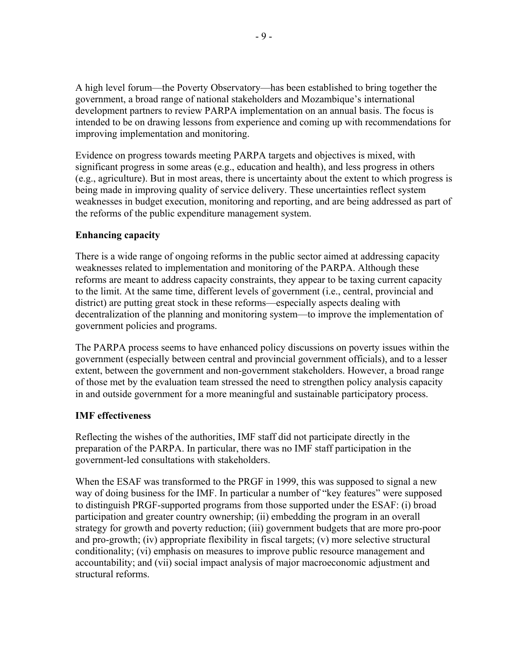A high level forum—the Poverty Observatory—has been established to bring together the government, a broad range of national stakeholders and Mozambique's international development partners to review PARPA implementation on an annual basis. The focus is intended to be on drawing lessons from experience and coming up with recommendations for improving implementation and monitoring.

Evidence on progress towards meeting PARPA targets and objectives is mixed, with significant progress in some areas (e.g., education and health), and less progress in others (e.g., agriculture). But in most areas, there is uncertainty about the extent to which progress is being made in improving quality of service delivery. These uncertainties reflect system weaknesses in budget execution, monitoring and reporting, and are being addressed as part of the reforms of the public expenditure management system.

### **Enhancing capacity**

There is a wide range of ongoing reforms in the public sector aimed at addressing capacity weaknesses related to implementation and monitoring of the PARPA. Although these reforms are meant to address capacity constraints, they appear to be taxing current capacity to the limit. At the same time, different levels of government (i.e., central, provincial and district) are putting great stock in these reforms—especially aspects dealing with decentralization of the planning and monitoring system—to improve the implementation of government policies and programs.

The PARPA process seems to have enhanced policy discussions on poverty issues within the government (especially between central and provincial government officials), and to a lesser extent, between the government and non-government stakeholders. However, a broad range of those met by the evaluation team stressed the need to strengthen policy analysis capacity in and outside government for a more meaningful and sustainable participatory process.

### **IMF effectiveness**

Reflecting the wishes of the authorities, IMF staff did not participate directly in the preparation of the PARPA. In particular, there was no IMF staff participation in the government-led consultations with stakeholders.

When the ESAF was transformed to the PRGF in 1999, this was supposed to signal a new way of doing business for the IMF. In particular a number of "key features" were supposed to distinguish PRGF-supported programs from those supported under the ESAF: (i) broad participation and greater country ownership; (ii) embedding the program in an overall strategy for growth and poverty reduction; (iii) government budgets that are more pro-poor and pro-growth; (iv) appropriate flexibility in fiscal targets; (v) more selective structural conditionality; (vi) emphasis on measures to improve public resource management and accountability; and (vii) social impact analysis of major macroeconomic adjustment and structural reforms.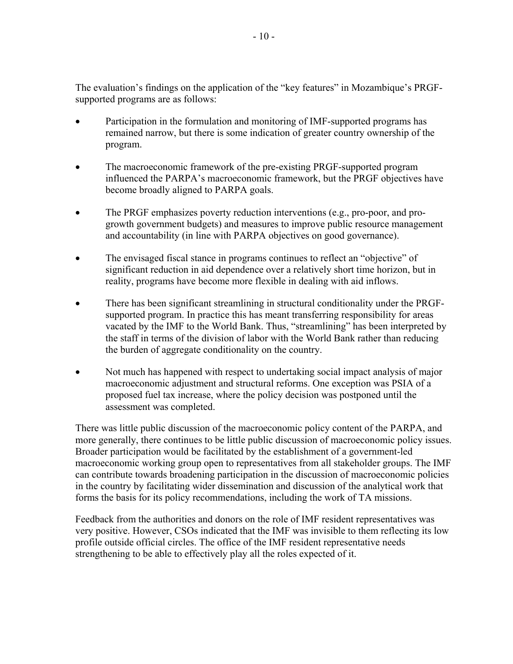The evaluation's findings on the application of the "key features" in Mozambique's PRGFsupported programs are as follows:

- Participation in the formulation and monitoring of IMF-supported programs has remained narrow, but there is some indication of greater country ownership of the program.
- The macroeconomic framework of the pre-existing PRGF-supported program influenced the PARPA's macroeconomic framework, but the PRGF objectives have become broadly aligned to PARPA goals.
- The PRGF emphasizes poverty reduction interventions (e.g., pro-poor, and progrowth government budgets) and measures to improve public resource management and accountability (in line with PARPA objectives on good governance).
- The envisaged fiscal stance in programs continues to reflect an "objective" of significant reduction in aid dependence over a relatively short time horizon, but in reality, programs have become more flexible in dealing with aid inflows.
- There has been significant streamlining in structural conditionality under the PRGFsupported program. In practice this has meant transferring responsibility for areas vacated by the IMF to the World Bank. Thus, "streamlining" has been interpreted by the staff in terms of the division of labor with the World Bank rather than reducing the burden of aggregate conditionality on the country.
- Not much has happened with respect to undertaking social impact analysis of major macroeconomic adjustment and structural reforms. One exception was PSIA of a proposed fuel tax increase, where the policy decision was postponed until the assessment was completed.

There was little public discussion of the macroeconomic policy content of the PARPA, and more generally, there continues to be little public discussion of macroeconomic policy issues. Broader participation would be facilitated by the establishment of a government-led macroeconomic working group open to representatives from all stakeholder groups. The IMF can contribute towards broadening participation in the discussion of macroeconomic policies in the country by facilitating wider dissemination and discussion of the analytical work that forms the basis for its policy recommendations, including the work of TA missions.

Feedback from the authorities and donors on the role of IMF resident representatives was very positive. However, CSOs indicated that the IMF was invisible to them reflecting its low profile outside official circles. The office of the IMF resident representative needs strengthening to be able to effectively play all the roles expected of it.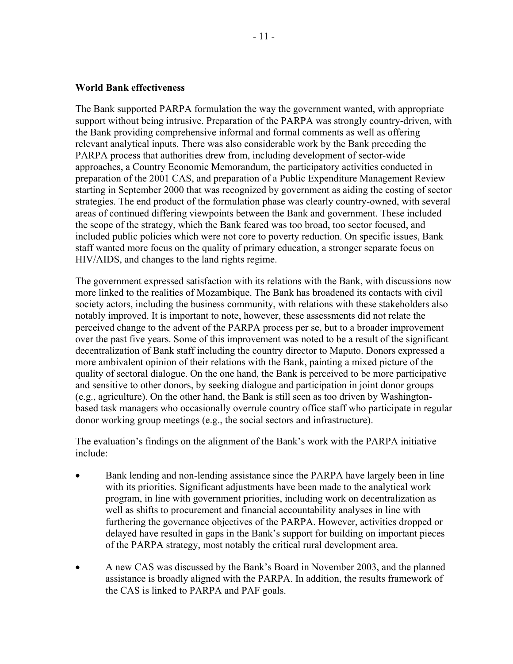#### **World Bank effectiveness**

The Bank supported PARPA formulation the way the government wanted, with appropriate support without being intrusive. Preparation of the PARPA was strongly country-driven, with the Bank providing comprehensive informal and formal comments as well as offering relevant analytical inputs. There was also considerable work by the Bank preceding the PARPA process that authorities drew from, including development of sector-wide approaches, a Country Economic Memorandum, the participatory activities conducted in preparation of the 2001 CAS, and preparation of a Public Expenditure Management Review starting in September 2000 that was recognized by government as aiding the costing of sector strategies. The end product of the formulation phase was clearly country-owned, with several areas of continued differing viewpoints between the Bank and government. These included the scope of the strategy, which the Bank feared was too broad, too sector focused, and included public policies which were not core to poverty reduction. On specific issues, Bank staff wanted more focus on the quality of primary education, a stronger separate focus on HIV/AIDS, and changes to the land rights regime.

The government expressed satisfaction with its relations with the Bank, with discussions now more linked to the realities of Mozambique. The Bank has broadened its contacts with civil society actors, including the business community, with relations with these stakeholders also notably improved. It is important to note, however, these assessments did not relate the perceived change to the advent of the PARPA process per se, but to a broader improvement over the past five years. Some of this improvement was noted to be a result of the significant decentralization of Bank staff including the country director to Maputo. Donors expressed a more ambivalent opinion of their relations with the Bank, painting a mixed picture of the quality of sectoral dialogue. On the one hand, the Bank is perceived to be more participative and sensitive to other donors, by seeking dialogue and participation in joint donor groups (e.g., agriculture). On the other hand, the Bank is still seen as too driven by Washingtonbased task managers who occasionally overrule country office staff who participate in regular donor working group meetings (e.g., the social sectors and infrastructure).

The evaluation's findings on the alignment of the Bank's work with the PARPA initiative include:

- Bank lending and non-lending assistance since the PARPA have largely been in line with its priorities. Significant adjustments have been made to the analytical work program, in line with government priorities, including work on decentralization as well as shifts to procurement and financial accountability analyses in line with furthering the governance objectives of the PARPA. However, activities dropped or delayed have resulted in gaps in the Bank's support for building on important pieces of the PARPA strategy, most notably the critical rural development area.
- A new CAS was discussed by the Bank's Board in November 2003, and the planned assistance is broadly aligned with the PARPA. In addition, the results framework of the CAS is linked to PARPA and PAF goals.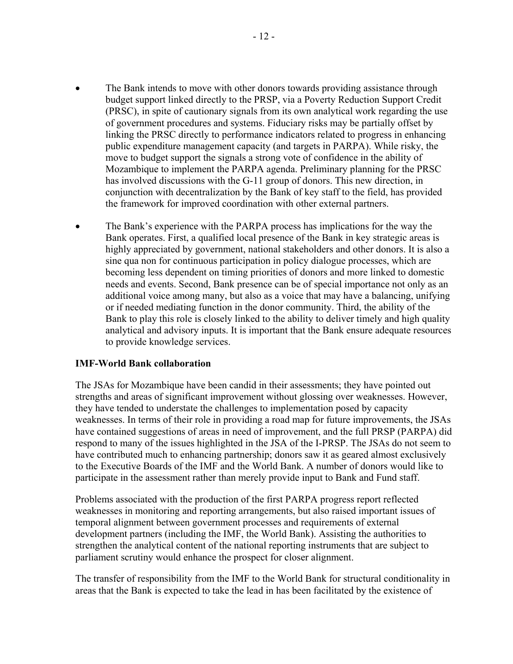- The Bank intends to move with other donors towards providing assistance through budget support linked directly to the PRSP, via a Poverty Reduction Support Credit (PRSC), in spite of cautionary signals from its own analytical work regarding the use of government procedures and systems. Fiduciary risks may be partially offset by linking the PRSC directly to performance indicators related to progress in enhancing public expenditure management capacity (and targets in PARPA). While risky, the move to budget support the signals a strong vote of confidence in the ability of Mozambique to implement the PARPA agenda. Preliminary planning for the PRSC has involved discussions with the G-11 group of donors. This new direction, in conjunction with decentralization by the Bank of key staff to the field, has provided the framework for improved coordination with other external partners.
- The Bank's experience with the PARPA process has implications for the way the Bank operates. First, a qualified local presence of the Bank in key strategic areas is highly appreciated by government, national stakeholders and other donors. It is also a sine qua non for continuous participation in policy dialogue processes, which are becoming less dependent on timing priorities of donors and more linked to domestic needs and events. Second, Bank presence can be of special importance not only as an additional voice among many, but also as a voice that may have a balancing, unifying or if needed mediating function in the donor community. Third, the ability of the Bank to play this role is closely linked to the ability to deliver timely and high quality analytical and advisory inputs. It is important that the Bank ensure adequate resources to provide knowledge services.

#### **IMF-World Bank collaboration**

The JSAs for Mozambique have been candid in their assessments; they have pointed out strengths and areas of significant improvement without glossing over weaknesses. However, they have tended to understate the challenges to implementation posed by capacity weaknesses. In terms of their role in providing a road map for future improvements, the JSAs have contained suggestions of areas in need of improvement, and the full PRSP (PARPA) did respond to many of the issues highlighted in the JSA of the I-PRSP. The JSAs do not seem to have contributed much to enhancing partnership; donors saw it as geared almost exclusively to the Executive Boards of the IMF and the World Bank. A number of donors would like to participate in the assessment rather than merely provide input to Bank and Fund staff.

Problems associated with the production of the first PARPA progress report reflected weaknesses in monitoring and reporting arrangements, but also raised important issues of temporal alignment between government processes and requirements of external development partners (including the IMF, the World Bank). Assisting the authorities to strengthen the analytical content of the national reporting instruments that are subject to parliament scrutiny would enhance the prospect for closer alignment.

The transfer of responsibility from the IMF to the World Bank for structural conditionality in areas that the Bank is expected to take the lead in has been facilitated by the existence of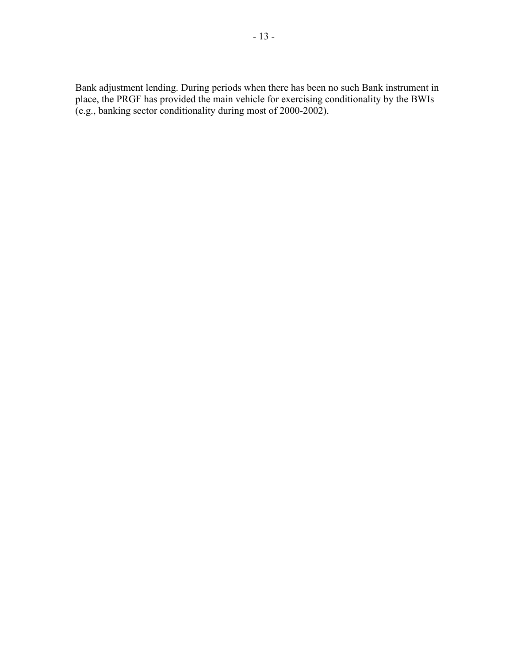Bank adjustment lending. During periods when there has been no such Bank instrument in place, the PRGF has provided the main vehicle for exercising conditionality by the BWIs (e.g., banking sector conditionality during most of 2000-2002).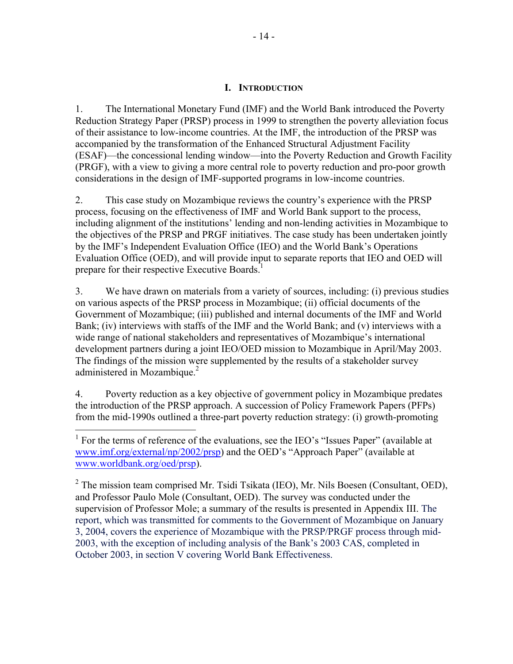### **I. INTRODUCTION**

1. The International Monetary Fund (IMF) and the World Bank introduced the Poverty Reduction Strategy Paper (PRSP) process in 1999 to strengthen the poverty alleviation focus of their assistance to low-income countries. At the IMF, the introduction of the PRSP was accompanied by the transformation of the Enhanced Structural Adjustment Facility (ESAF)—the concessional lending window—into the Poverty Reduction and Growth Facility (PRGF), with a view to giving a more central role to poverty reduction and pro-poor growth considerations in the design of IMF-supported programs in low-income countries.

2. This case study on Mozambique reviews the country's experience with the PRSP process, focusing on the effectiveness of IMF and World Bank support to the process, including alignment of the institutions' lending and non-lending activities in Mozambique to the objectives of the PRSP and PRGF initiatives. The case study has been undertaken jointly by the IMF's Independent Evaluation Office (IEO) and the World Bank's Operations Evaluation Office (OED), and will provide input to separate reports that IEO and OED will prepare for their respective Executive Boards.<sup>1</sup>

3. We have drawn on materials from a variety of sources, including: (i) previous studies on various aspects of the PRSP process in Mozambique; (ii) official documents of the Government of Mozambique; (iii) published and internal documents of the IMF and World Bank; (iv) interviews with staffs of the IMF and the World Bank; and (v) interviews with a wide range of national stakeholders and representatives of Mozambique's international development partners during a joint IEO/OED mission to Mozambique in April/May 2003. The findings of the mission were supplemented by the results of a stakeholder survey administered in Mozambique.<sup>2</sup>

4. Poverty reduction as a key objective of government policy in Mozambique predates the introduction of the PRSP approach. A succession of Policy Framework Papers (PFPs) from the mid-1990s outlined a three-part poverty reduction strategy: (i) growth-promoting

 $\overline{a}$ 

 $2$  The mission team comprised Mr. Tsidi Tsikata (IEO), Mr. Nils Boesen (Consultant, OED), and Professor Paulo Mole (Consultant, OED). The survey was conducted under the supervision of Professor Mole; a summary of the results is presented in Appendix III. The report, which was transmitted for comments to the Government of Mozambique on January 3, 2004, covers the experience of Mozambique with the PRSP/PRGF process through mid-2003, with the exception of including analysis of the Bank's 2003 CAS, completed in October 2003, in section V covering World Bank Effectiveness.

<sup>&</sup>lt;sup>1</sup> For the terms of reference of the evaluations, see the IEO's "Issues Paper" (available at www.imf.org/external/np/2002/prsp) and the OED's "Approach Paper" (available at www.worldbank.org/oed/prsp).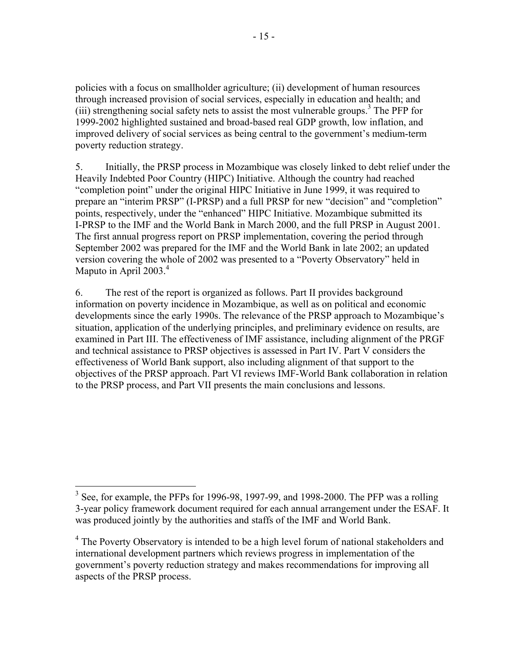policies with a focus on smallholder agriculture; (ii) development of human resources through increased provision of social services, especially in education and health; and (iii) strengthening social safety nets to assist the most vulnerable groups.<sup>3</sup> The PFP for 1999-2002 highlighted sustained and broad-based real GDP growth, low inflation, and improved delivery of social services as being central to the government's medium-term poverty reduction strategy.

5. Initially, the PRSP process in Mozambique was closely linked to debt relief under the Heavily Indebted Poor Country (HIPC) Initiative. Although the country had reached "completion point" under the original HIPC Initiative in June 1999, it was required to prepare an "interim PRSP" (I-PRSP) and a full PRSP for new "decision" and "completion" points, respectively, under the "enhanced" HIPC Initiative. Mozambique submitted its I-PRSP to the IMF and the World Bank in March 2000, and the full PRSP in August 2001. The first annual progress report on PRSP implementation, covering the period through September 2002 was prepared for the IMF and the World Bank in late 2002; an updated version covering the whole of 2002 was presented to a "Poverty Observatory" held in Maputo in April 2003.<sup>4</sup>

6. The rest of the report is organized as follows. Part II provides background information on poverty incidence in Mozambique, as well as on political and economic developments since the early 1990s. The relevance of the PRSP approach to Mozambique's situation, application of the underlying principles, and preliminary evidence on results, are examined in Part III. The effectiveness of IMF assistance, including alignment of the PRGF and technical assistance to PRSP objectives is assessed in Part IV. Part V considers the effectiveness of World Bank support, also including alignment of that support to the objectives of the PRSP approach. Part VI reviews IMF-World Bank collaboration in relation to the PRSP process, and Part VII presents the main conclusions and lessons.

<sup>&</sup>lt;sup>3</sup> See, for example, the PFPs for 1996-98, 1997-99, and 1998-2000. The PFP was a rolling 3-year policy framework document required for each annual arrangement under the ESAF. It was produced jointly by the authorities and staffs of the IMF and World Bank.

<sup>&</sup>lt;sup>4</sup> The Poverty Observatory is intended to be a high level forum of national stakeholders and international development partners which reviews progress in implementation of the government's poverty reduction strategy and makes recommendations for improving all aspects of the PRSP process.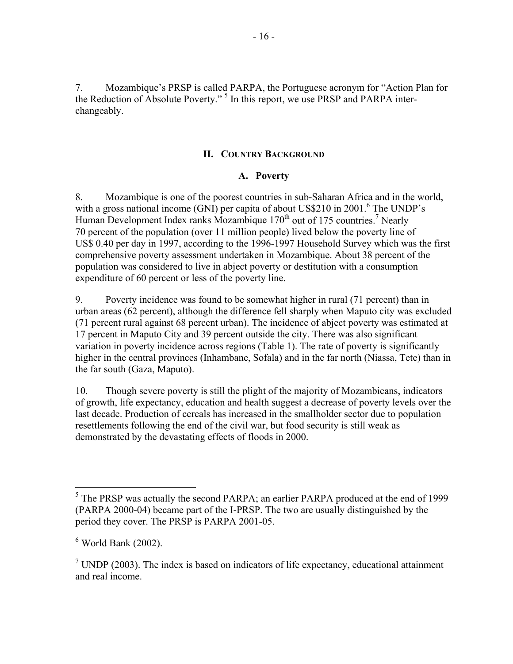7. Mozambique's PRSP is called PARPA, the Portuguese acronym for "Action Plan for the Reduction of Absolute Poverty."<sup>5</sup> In this report, we use PRSP and PARPA interchangeably.

### **II. COUNTRY BACKGROUND**

#### **A. Poverty**

8. Mozambique is one of the poorest countries in sub-Saharan Africa and in the world, with a gross national income (GNI) per capita of about US\$210 in 2001.<sup>6</sup> The UNDP's Human Development Index ranks Mozambique  $170<sup>th</sup>$  out of 175 countries.<sup>7</sup> Nearly 70 percent of the population (over 11 million people) lived below the poverty line of US\$ 0.40 per day in 1997, according to the 1996-1997 Household Survey which was the first comprehensive poverty assessment undertaken in Mozambique. About 38 percent of the population was considered to live in abject poverty or destitution with a consumption expenditure of 60 percent or less of the poverty line.

9. Poverty incidence was found to be somewhat higher in rural (71 percent) than in urban areas (62 percent), although the difference fell sharply when Maputo city was excluded (71 percent rural against 68 percent urban). The incidence of abject poverty was estimated at 17 percent in Maputo City and 39 percent outside the city. There was also significant variation in poverty incidence across regions (Table 1). The rate of poverty is significantly higher in the central provinces (Inhambane, Sofala) and in the far north (Niassa, Tete) than in the far south (Gaza, Maputo).

10. Though severe poverty is still the plight of the majority of Mozambicans, indicators of growth, life expectancy, education and health suggest a decrease of poverty levels over the last decade. Production of cereals has increased in the smallholder sector due to population resettlements following the end of the civil war, but food security is still weak as demonstrated by the devastating effects of floods in 2000.

<sup>&</sup>lt;sup>5</sup> The PRSP was actually the second PARPA; an earlier PARPA produced at the end of 1999 (PARPA 2000-04) became part of the I-PRSP. The two are usually distinguished by the period they cover. The PRSP is PARPA 2001-05.

<sup>6</sup> World Bank (2002).

<sup>&</sup>lt;sup>7</sup> UNDP (2003). The index is based on indicators of life expectancy, educational attainment and real income.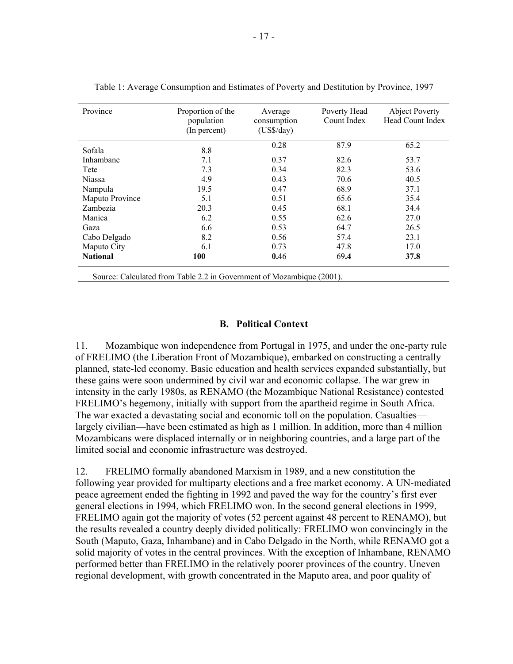| Province<br>Proportion of the<br>population<br>(In percent)           |      | Poverty Head<br>Average<br>Count Index<br>consumption<br>$(US\$ /day) |      | <b>Abject Poverty</b><br>Head Count Index |  |  |
|-----------------------------------------------------------------------|------|-----------------------------------------------------------------------|------|-------------------------------------------|--|--|
| Sofala                                                                | 8.8  | 0.28                                                                  | 87.9 | 65.2                                      |  |  |
| Inhambane                                                             | 7.1  | 0.37                                                                  | 82.6 | 53.7                                      |  |  |
| Tete                                                                  | 7.3  | 0.34                                                                  | 82.3 | 53.6                                      |  |  |
| <b>Niassa</b>                                                         | 4.9  | 0.43                                                                  | 70.6 | 40.5                                      |  |  |
| Nampula                                                               | 19.5 | 0.47                                                                  | 68.9 | 37.1                                      |  |  |
| Maputo Province                                                       | 5.1  | 0.51                                                                  | 65.6 | 35.4                                      |  |  |
| Zambezia                                                              | 20.3 | 0.45                                                                  | 68.1 | 34.4                                      |  |  |
| Manica                                                                | 6.2  | 0.55                                                                  | 62.6 | 27.0                                      |  |  |
| Gaza                                                                  | 6.6  | 0.53                                                                  | 64.7 | 26.5                                      |  |  |
| Cabo Delgado                                                          | 8.2  | 0.56                                                                  | 57.4 | 23.1                                      |  |  |
| Maputo City                                                           | 6.1  | 0.73                                                                  | 47.8 | 17.0                                      |  |  |
| <b>National</b>                                                       | 100  | 0.46                                                                  | 69.4 | 37.8                                      |  |  |
| Source: Calculated from Table 2.2 in Government of Mozambique (2001). |      |                                                                       |      |                                           |  |  |

|  |  | Table 1: Average Consumption and Estimates of Poverty and Destitution by Province, 1997 |  |
|--|--|-----------------------------------------------------------------------------------------|--|
|  |  |                                                                                         |  |

#### **B. Political Context**

11. Mozambique won independence from Portugal in 1975, and under the one-party rule of FRELIMO (the Liberation Front of Mozambique), embarked on constructing a centrally planned, state-led economy. Basic education and health services expanded substantially, but these gains were soon undermined by civil war and economic collapse. The war grew in intensity in the early 1980s, as RENAMO (the Mozambique National Resistance) contested FRELIMO's hegemony, initially with support from the apartheid regime in South Africa. The war exacted a devastating social and economic toll on the population. Casualties largely civilian—have been estimated as high as 1 million. In addition, more than 4 million Mozambicans were displaced internally or in neighboring countries, and a large part of the limited social and economic infrastructure was destroyed.

12. FRELIMO formally abandoned Marxism in 1989, and a new constitution the following year provided for multiparty elections and a free market economy. A UN-mediated peace agreement ended the fighting in 1992 and paved the way for the country's first ever general elections in 1994, which FRELIMO won. In the second general elections in 1999, FRELIMO again got the majority of votes (52 percent against 48 percent to RENAMO), but the results revealed a country deeply divided politically: FRELIMO won convincingly in the South (Maputo, Gaza, Inhambane) and in Cabo Delgado in the North, while RENAMO got a solid majority of votes in the central provinces. With the exception of Inhambane, RENAMO performed better than FRELIMO in the relatively poorer provinces of the country. Uneven regional development, with growth concentrated in the Maputo area, and poor quality of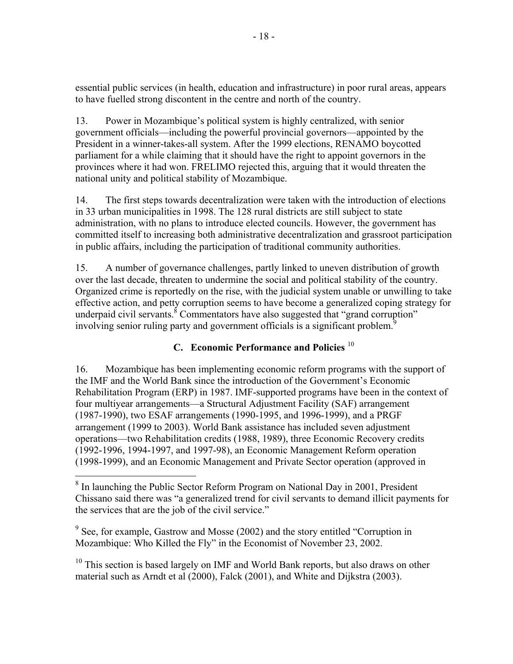essential public services (in health, education and infrastructure) in poor rural areas, appears to have fuelled strong discontent in the centre and north of the country.

13. Power in Mozambique's political system is highly centralized, with senior government officials—including the powerful provincial governors—appointed by the President in a winner-takes-all system. After the 1999 elections, RENAMO boycotted parliament for a while claiming that it should have the right to appoint governors in the provinces where it had won. FRELIMO rejected this, arguing that it would threaten the national unity and political stability of Mozambique.

14. The first steps towards decentralization were taken with the introduction of elections in 33 urban municipalities in 1998. The 128 rural districts are still subject to state administration, with no plans to introduce elected councils. However, the government has committed itself to increasing both administrative decentralization and grassroot participation in public affairs, including the participation of traditional community authorities.

15. A number of governance challenges, partly linked to uneven distribution of growth over the last decade, threaten to undermine the social and political stability of the country. Organized crime is reportedly on the rise, with the judicial system unable or unwilling to take effective action, and petty corruption seems to have become a generalized coping strategy for underpaid civil servants. $\delta$  Commentators have also suggested that "grand corruption" involving senior ruling party and government officials is a significant problem.<sup>9</sup>

# **C. Economic Performance and Policies** <sup>10</sup>

16. Mozambique has been implementing economic reform programs with the support of the IMF and the World Bank since the introduction of the Government's Economic Rehabilitation Program (ERP) in 1987. IMF-supported programs have been in the context of four multiyear arrangements—a Structural Adjustment Facility (SAF) arrangement (1987-1990), two ESAF arrangements (1990-1995, and 1996-1999), and a PRGF arrangement (1999 to 2003). World Bank assistance has included seven adjustment operations—two Rehabilitation credits (1988, 1989), three Economic Recovery credits (1992-1996, 1994-1997, and 1997-98), an Economic Management Reform operation (1998-1999), and an Economic Management and Private Sector operation (approved in

 $9^9$  See, for example, Gastrow and Mosse (2002) and the story entitled "Corruption in Mozambique: Who Killed the Fly" in the Economist of November 23, 2002.

 $10$  This section is based largely on IMF and World Bank reports, but also draws on other material such as Arndt et al (2000), Falck (2001), and White and Dijkstra (2003).

<sup>&</sup>lt;sup>8</sup> In launching the Public Sector Reform Program on National Day in 2001, President Chissano said there was "a generalized trend for civil servants to demand illicit payments for the services that are the job of the civil service."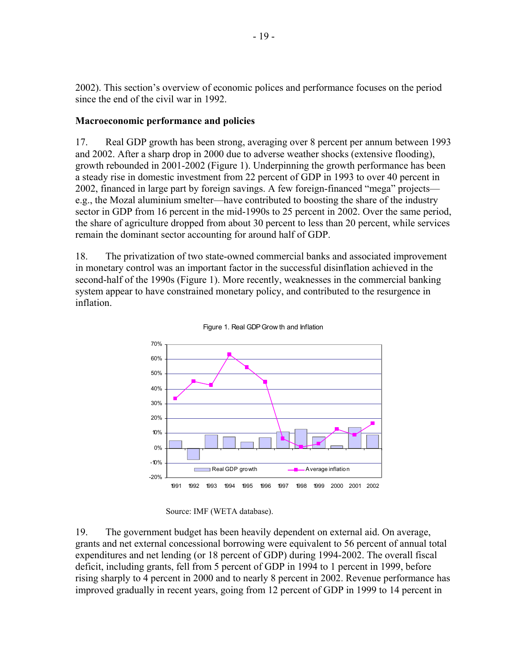2002). This section's overview of economic polices and performance focuses on the period since the end of the civil war in 1992.

### **Macroeconomic performance and policies**

17. Real GDP growth has been strong, averaging over 8 percent per annum between 1993 and 2002. After a sharp drop in 2000 due to adverse weather shocks (extensive flooding), growth rebounded in 2001-2002 (Figure 1). Underpinning the growth performance has been a steady rise in domestic investment from 22 percent of GDP in 1993 to over 40 percent in 2002, financed in large part by foreign savings. A few foreign-financed "mega" projects e.g., the Mozal aluminium smelter—have contributed to boosting the share of the industry sector in GDP from 16 percent in the mid-1990s to 25 percent in 2002. Over the same period, the share of agriculture dropped from about 30 percent to less than 20 percent, while services remain the dominant sector accounting for around half of GDP.

18. The privatization of two state-owned commercial banks and associated improvement in monetary control was an important factor in the successful disinflation achieved in the second-half of the 1990s (Figure 1). More recently, weaknesses in the commercial banking system appear to have constrained monetary policy, and contributed to the resurgence in inflation.



Figure 1. Real GDP Grow th and Inflation

Source: IMF (WETA database).

19. The government budget has been heavily dependent on external aid. On average, grants and net external concessional borrowing were equivalent to 56 percent of annual total expenditures and net lending (or 18 percent of GDP) during 1994-2002. The overall fiscal deficit, including grants, fell from 5 percent of GDP in 1994 to 1 percent in 1999, before rising sharply to 4 percent in 2000 and to nearly 8 percent in 2002. Revenue performance has improved gradually in recent years, going from 12 percent of GDP in 1999 to 14 percent in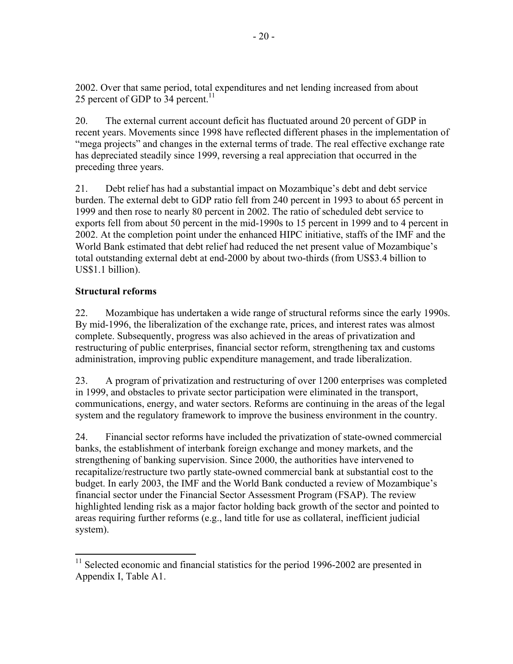2002. Over that same period, total expenditures and net lending increased from about 25 percent of GDP to  $34$  percent.<sup>11</sup>

20. The external current account deficit has fluctuated around 20 percent of GDP in recent years. Movements since 1998 have reflected different phases in the implementation of "mega projects" and changes in the external terms of trade. The real effective exchange rate has depreciated steadily since 1999, reversing a real appreciation that occurred in the preceding three years.

21. Debt relief has had a substantial impact on Mozambique's debt and debt service burden. The external debt to GDP ratio fell from 240 percent in 1993 to about 65 percent in 1999 and then rose to nearly 80 percent in 2002. The ratio of scheduled debt service to exports fell from about 50 percent in the mid-1990s to 15 percent in 1999 and to 4 percent in 2002. At the completion point under the enhanced HIPC initiative, staffs of the IMF and the World Bank estimated that debt relief had reduced the net present value of Mozambique's total outstanding external debt at end-2000 by about two-thirds (from US\$3.4 billion to US\$1.1 billion).

### **Structural reforms**

1

22. Mozambique has undertaken a wide range of structural reforms since the early 1990s. By mid-1996, the liberalization of the exchange rate, prices, and interest rates was almost complete. Subsequently, progress was also achieved in the areas of privatization and restructuring of public enterprises, financial sector reform, strengthening tax and customs administration, improving public expenditure management, and trade liberalization.

23. A program of privatization and restructuring of over 1200 enterprises was completed in 1999, and obstacles to private sector participation were eliminated in the transport, communications, energy, and water sectors. Reforms are continuing in the areas of the legal system and the regulatory framework to improve the business environment in the country.

24. Financial sector reforms have included the privatization of state-owned commercial banks, the establishment of interbank foreign exchange and money markets, and the strengthening of banking supervision. Since 2000, the authorities have intervened to recapitalize/restructure two partly state-owned commercial bank at substantial cost to the budget. In early 2003, the IMF and the World Bank conducted a review of Mozambique's financial sector under the Financial Sector Assessment Program (FSAP). The review highlighted lending risk as a major factor holding back growth of the sector and pointed to areas requiring further reforms (e.g., land title for use as collateral, inefficient judicial system).

 $11$  Selected economic and financial statistics for the period 1996-2002 are presented in Appendix I, Table A1.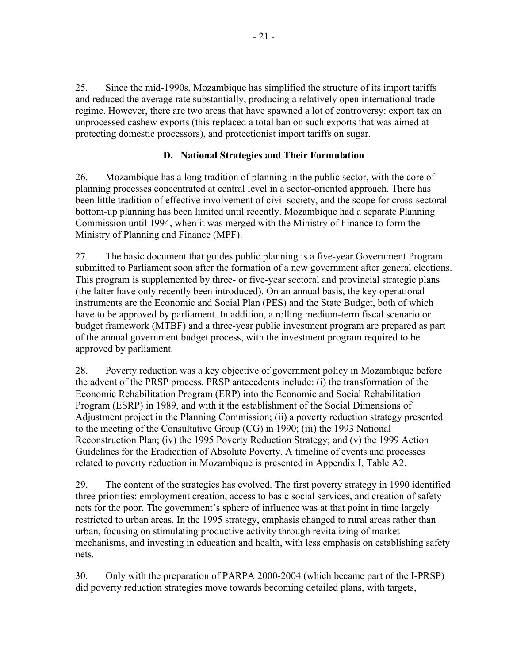25. Since the mid-1990s, Mozambique has simplified the structure of its import tariffs and reduced the average rate substantially, producing a relatively open international trade regime. However, there are two areas that have spawned a lot of controversy: export tax on unprocessed cashew exports (this replaced a total ban on such exports that was aimed at protecting domestic processors), and protectionist import tariffs on sugar.

### **D. National Strategies and Their Formulation**

26. Mozambique has a long tradition of planning in the public sector, with the core of planning processes concentrated at central level in a sector-oriented approach. There has been little tradition of effective involvement of civil society, and the scope for cross-sectoral bottom-up planning has been limited until recently. Mozambique had a separate Planning Commission until 1994, when it was merged with the Ministry of Finance to form the Ministry of Planning and Finance (MPF).

27. The basic document that guides public planning is a five-year Government Program submitted to Parliament soon after the formation of a new government after general elections. This program is supplemented by three- or five-year sectoral and provincial strategic plans (the latter have only recently been introduced). On an annual basis, the key operational instruments are the Economic and Social Plan (PES) and the State Budget, both of which have to be approved by parliament. In addition, a rolling medium-term fiscal scenario or budget framework (MTBF) and a three-year public investment program are prepared as part of the annual government budget process, with the investment program required to be approved by parliament.

28. Poverty reduction was a key objective of government policy in Mozambique before the advent of the PRSP process. PRSP antecedents include: (i) the transformation of the Economic Rehabilitation Program (ERP) into the Economic and Social Rehabilitation Program (ESRP) in 1989, and with it the establishment of the Social Dimensions of Adjustment project in the Planning Commission; (ii) a poverty reduction strategy presented to the meeting of the Consultative Group (CG) in 1990; (iii) the 1993 National Reconstruction Plan; (iv) the 1995 Poverty Reduction Strategy; and (v) the 1999 Action Guidelines for the Eradication of Absolute Poverty. A timeline of events and processes related to poverty reduction in Mozambique is presented in Appendix I, Table A2.

29. The content of the strategies has evolved. The first poverty strategy in 1990 identified three priorities: employment creation, access to basic social services, and creation of safety nets for the poor. The government's sphere of influence was at that point in time largely restricted to urban areas. In the 1995 strategy, emphasis changed to rural areas rather than urban, focusing on stimulating productive activity through revitalizing of market mechanisms, and investing in education and health, with less emphasis on establishing safety nets.

30. Only with the preparation of PARPA 2000-2004 (which became part of the I-PRSP) did poverty reduction strategies move towards becoming detailed plans, with targets,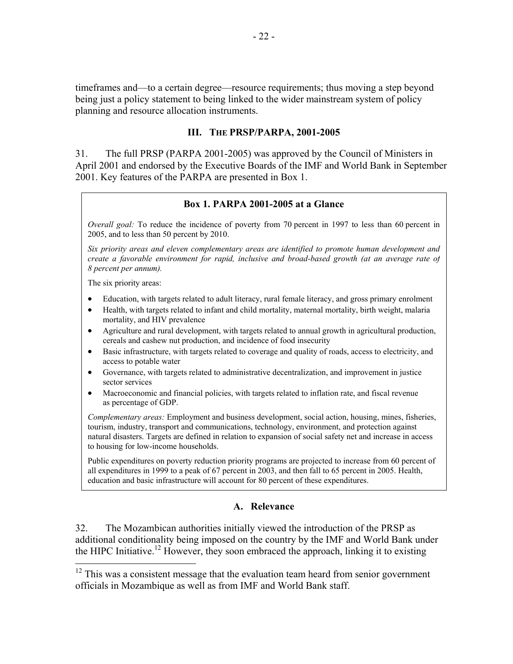timeframes and—to a certain degree—resource requirements; thus moving a step beyond being just a policy statement to being linked to the wider mainstream system of policy planning and resource allocation instruments.

#### **III. THE PRSP/PARPA, 2001-2005**

31. The full PRSP (PARPA 2001-2005) was approved by the Council of Ministers in April 2001 and endorsed by the Executive Boards of the IMF and World Bank in September 2001. Key features of the PARPA are presented in Box 1.

#### **Box 1. PARPA 2001-2005 at a Glance**

*Overall goal:* To reduce the incidence of poverty from 70 percent in 1997 to less than 60 percent in 2005, and to less than 50 percent by 2010.

*Six priority areas and eleven complementary areas are identified to promote human development and create a favorable environment for rapid, inclusive and broad-based growth (at an average rate of 8 percent per annum).* 

The six priority areas:

 $\overline{a}$ 

- Education, with targets related to adult literacy, rural female literacy, and gross primary enrolment
- Health, with targets related to infant and child mortality, maternal mortality, birth weight, malaria mortality, and HIV prevalence
- Agriculture and rural development, with targets related to annual growth in agricultural production, cereals and cashew nut production, and incidence of food insecurity
- Basic infrastructure, with targets related to coverage and quality of roads, access to electricity, and access to potable water
- Governance, with targets related to administrative decentralization, and improvement in justice sector services
- Macroeconomic and financial policies, with targets related to inflation rate, and fiscal revenue as percentage of GDP.

*Complementary areas:* Employment and business development, social action, housing, mines, fisheries, tourism, industry, transport and communications, technology, environment, and protection against natural disasters. Targets are defined in relation to expansion of social safety net and increase in access to housing for low-income households.

Public expenditures on poverty reduction priority programs are projected to increase from 60 percent of all expenditures in 1999 to a peak of 67 percent in 2003, and then fall to 65 percent in 2005. Health, education and basic infrastructure will account for 80 percent of these expenditures.

#### **A. Relevance**

32. The Mozambican authorities initially viewed the introduction of the PRSP as additional conditionality being imposed on the country by the IMF and World Bank under the HIPC Initiative.<sup>12</sup> However, they soon embraced the approach, linking it to existing

 $12$  This was a consistent message that the evaluation team heard from senior government officials in Mozambique as well as from IMF and World Bank staff.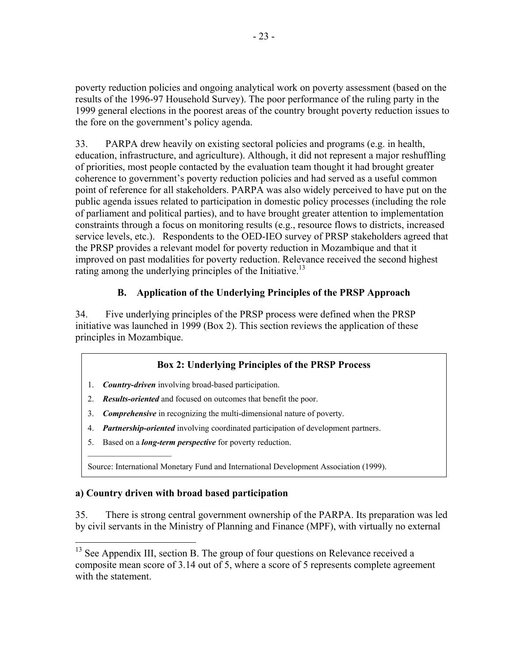poverty reduction policies and ongoing analytical work on poverty assessment (based on the results of the 1996-97 Household Survey). The poor performance of the ruling party in the 1999 general elections in the poorest areas of the country brought poverty reduction issues to the fore on the government's policy agenda.

33. PARPA drew heavily on existing sectoral policies and programs (e.g. in health, education, infrastructure, and agriculture). Although, it did not represent a major reshuffling of priorities, most people contacted by the evaluation team thought it had brought greater coherence to government's poverty reduction policies and had served as a useful common point of reference for all stakeholders. PARPA was also widely perceived to have put on the public agenda issues related to participation in domestic policy processes (including the role of parliament and political parties), and to have brought greater attention to implementation constraints through a focus on monitoring results (e.g., resource flows to districts, increased service levels, etc.).Respondents to the OED-IEO survey of PRSP stakeholders agreed that the PRSP provides a relevant model for poverty reduction in Mozambique and that it improved on past modalities for poverty reduction. Relevance received the second highest rating among the underlying principles of the Initiative.<sup>13</sup>

# **B. Application of the Underlying Principles of the PRSP Approach**

34. Five underlying principles of the PRSP process were defined when the PRSP initiative was launched in 1999 (Box 2). This section reviews the application of these principles in Mozambique.

### **Box 2: Underlying Principles of the PRSP Process**

- 1. *Country-driven* involving broad-based participation.
- 2. *Results-oriented* and focused on outcomes that benefit the poor.
- 3. *Comprehensive* in recognizing the multi-dimensional nature of poverty.
- 4. *Partnership-oriented* involving coordinated participation of development partners.
- 5. Based on a *long-term perspective* for poverty reduction.

Source: International Monetary Fund and International Development Association (1999).

## **a) Country driven with broad based participation**

 $\overline{a}$ 

35. There is strong central government ownership of the PARPA. Its preparation was led by civil servants in the Ministry of Planning and Finance (MPF), with virtually no external

 $13$  See Appendix III, section B. The group of four questions on Relevance received a composite mean score of 3.14 out of 5, where a score of 5 represents complete agreement with the statement.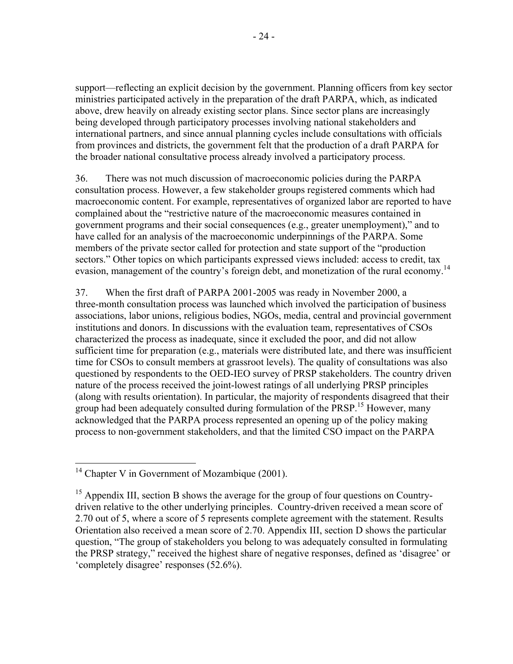support—reflecting an explicit decision by the government. Planning officers from key sector ministries participated actively in the preparation of the draft PARPA, which, as indicated above, drew heavily on already existing sector plans. Since sector plans are increasingly being developed through participatory processes involving national stakeholders and international partners, and since annual planning cycles include consultations with officials from provinces and districts, the government felt that the production of a draft PARPA for the broader national consultative process already involved a participatory process.

36. There was not much discussion of macroeconomic policies during the PARPA consultation process. However, a few stakeholder groups registered comments which had macroeconomic content. For example, representatives of organized labor are reported to have complained about the "restrictive nature of the macroeconomic measures contained in government programs and their social consequences (e.g., greater unemployment)," and to have called for an analysis of the macroeconomic underpinnings of the PARPA. Some members of the private sector called for protection and state support of the "production sectors." Other topics on which participants expressed views included: access to credit, tax evasion, management of the country's foreign debt, and monetization of the rural economy.<sup>14</sup>

37. When the first draft of PARPA 2001-2005 was ready in November 2000, a three-month consultation process was launched which involved the participation of business associations, labor unions, religious bodies, NGOs, media, central and provincial government institutions and donors. In discussions with the evaluation team, representatives of CSOs characterized the process as inadequate, since it excluded the poor, and did not allow sufficient time for preparation (e.g., materials were distributed late, and there was insufficient time for CSOs to consult members at grassroot levels). The quality of consultations was also questioned by respondents to the OED-IEO survey of PRSP stakeholders. The country driven nature of the process received the joint-lowest ratings of all underlying PRSP principles (along with results orientation). In particular, the majority of respondents disagreed that their group had been adequately consulted during formulation of the PRSP.<sup>15</sup> However, many acknowledged that the PARPA process represented an opening up of the policy making process to non-government stakeholders, and that the limited CSO impact on the PARPA

 $\overline{a}$  $14$  Chapter V in Government of Mozambique (2001).

 $15$  Appendix III, section B shows the average for the group of four questions on Countrydriven relative to the other underlying principles. Country-driven received a mean score of 2.70 out of 5, where a score of 5 represents complete agreement with the statement. Results Orientation also received a mean score of 2.70. Appendix III, section D shows the particular question, "The group of stakeholders you belong to was adequately consulted in formulating the PRSP strategy," received the highest share of negative responses, defined as 'disagree' or 'completely disagree' responses (52.6%).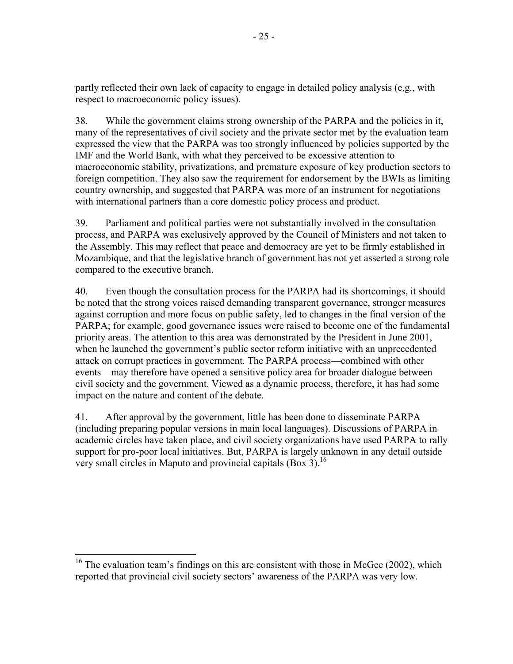partly reflected their own lack of capacity to engage in detailed policy analysis (e.g., with respect to macroeconomic policy issues).

38. While the government claims strong ownership of the PARPA and the policies in it, many of the representatives of civil society and the private sector met by the evaluation team expressed the view that the PARPA was too strongly influenced by policies supported by the IMF and the World Bank, with what they perceived to be excessive attention to macroeconomic stability, privatizations, and premature exposure of key production sectors to foreign competition. They also saw the requirement for endorsement by the BWIs as limiting country ownership, and suggested that PARPA was more of an instrument for negotiations with international partners than a core domestic policy process and product.

39. Parliament and political parties were not substantially involved in the consultation process, and PARPA was exclusively approved by the Council of Ministers and not taken to the Assembly. This may reflect that peace and democracy are yet to be firmly established in Mozambique, and that the legislative branch of government has not yet asserted a strong role compared to the executive branch.

40. Even though the consultation process for the PARPA had its shortcomings, it should be noted that the strong voices raised demanding transparent governance, stronger measures against corruption and more focus on public safety, led to changes in the final version of the PARPA; for example, good governance issues were raised to become one of the fundamental priority areas. The attention to this area was demonstrated by the President in June 2001, when he launched the government's public sector reform initiative with an unprecedented attack on corrupt practices in government. The PARPA process—combined with other events—may therefore have opened a sensitive policy area for broader dialogue between civil society and the government. Viewed as a dynamic process, therefore, it has had some impact on the nature and content of the debate.

41. After approval by the government, little has been done to disseminate PARPA (including preparing popular versions in main local languages). Discussions of PARPA in academic circles have taken place, and civil society organizations have used PARPA to rally support for pro-poor local initiatives. But, PARPA is largely unknown in any detail outside very small circles in Maputo and provincial capitals (Box 3).<sup>16</sup>

 $\overline{a}$ 

 $16$  The evaluation team's findings on this are consistent with those in McGee (2002), which reported that provincial civil society sectors' awareness of the PARPA was very low.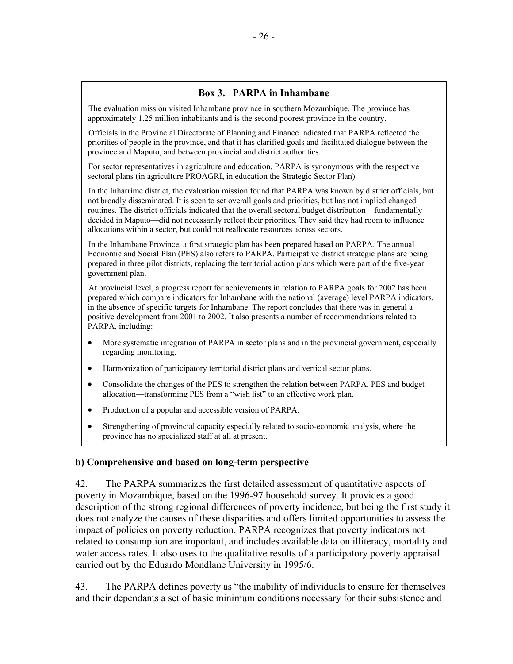### **Box 3. PARPA in Inhambane**

The evaluation mission visited Inhambane province in southern Mozambique. The province has approximately 1.25 million inhabitants and is the second poorest province in the country.

Officials in the Provincial Directorate of Planning and Finance indicated that PARPA reflected the priorities of people in the province, and that it has clarified goals and facilitated dialogue between the province and Maputo, and between provincial and district authorities.

For sector representatives in agriculture and education, PARPA is synonymous with the respective sectoral plans (in agriculture PROAGRI, in education the Strategic Sector Plan).

In the Inharrime district, the evaluation mission found that PARPA was known by district officials, but not broadly disseminated. It is seen to set overall goals and priorities, but has not implied changed routines. The district officials indicated that the overall sectoral budget distribution—fundamentally decided in Maputo—did not necessarily reflect their priorities. They said they had room to influence allocations within a sector, but could not reallocate resources across sectors.

In the Inhambane Province, a first strategic plan has been prepared based on PARPA. The annual Economic and Social Plan (PES) also refers to PARPA. Participative district strategic plans are being prepared in three pilot districts, replacing the territorial action plans which were part of the five-year government plan.

At provincial level, a progress report for achievements in relation to PARPA goals for 2002 has been prepared which compare indicators for Inhambane with the national (average) level PARPA indicators, in the absence of specific targets for Inhambane. The report concludes that there was in general a positive development from 2001 to 2002. It also presents a number of recommendations related to PARPA, including:

- More systematic integration of PARPA in sector plans and in the provincial government, especially regarding monitoring.
- Harmonization of participatory territorial district plans and vertical sector plans.
- Consolidate the changes of the PES to strengthen the relation between PARPA, PES and budget allocation—transforming PES from a "wish list" to an effective work plan.
- Production of a popular and accessible version of PARPA.
- Strengthening of provincial capacity especially related to socio-economic analysis, where the province has no specialized staff at all at present.

#### **b) Comprehensive and based on long-term perspective**

42. The PARPA summarizes the first detailed assessment of quantitative aspects of poverty in Mozambique, based on the 1996-97 household survey. It provides a good description of the strong regional differences of poverty incidence, but being the first study it does not analyze the causes of these disparities and offers limited opportunities to assess the impact of policies on poverty reduction. PARPA recognizes that poverty indicators not related to consumption are important, and includes available data on illiteracy, mortality and water access rates. It also uses to the qualitative results of a participatory poverty appraisal carried out by the Eduardo Mondlane University in 1995/6.

43. The PARPA defines poverty as "the inability of individuals to ensure for themselves and their dependants a set of basic minimum conditions necessary for their subsistence and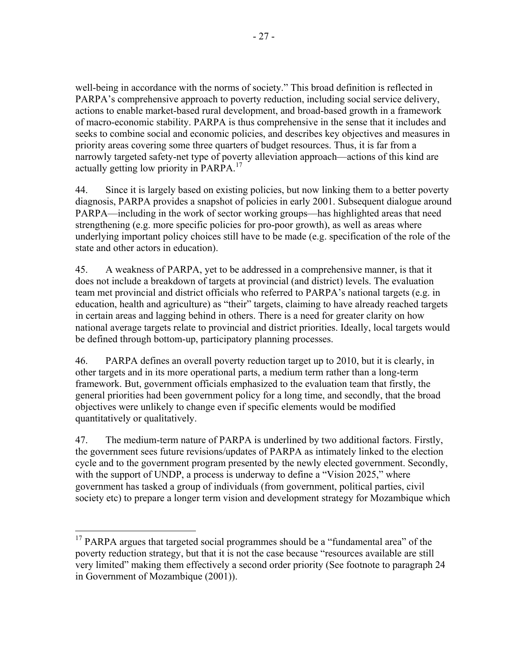well-being in accordance with the norms of society." This broad definition is reflected in PARPA's comprehensive approach to poverty reduction, including social service delivery, actions to enable market-based rural development, and broad-based growth in a framework of macro-economic stability. PARPA is thus comprehensive in the sense that it includes and seeks to combine social and economic policies, and describes key objectives and measures in priority areas covering some three quarters of budget resources. Thus, it is far from a narrowly targeted safety-net type of poverty alleviation approach—actions of this kind are actually getting low priority in PARPA.<sup>17</sup>

44. Since it is largely based on existing policies, but now linking them to a better poverty diagnosis, PARPA provides a snapshot of policies in early 2001. Subsequent dialogue around PARPA—including in the work of sector working groups—has highlighted areas that need strengthening (e.g. more specific policies for pro-poor growth), as well as areas where underlying important policy choices still have to be made (e.g. specification of the role of the state and other actors in education).

45. A weakness of PARPA, yet to be addressed in a comprehensive manner, is that it does not include a breakdown of targets at provincial (and district) levels. The evaluation team met provincial and district officials who referred to PARPA's national targets (e.g. in education, health and agriculture) as "their" targets, claiming to have already reached targets in certain areas and lagging behind in others. There is a need for greater clarity on how national average targets relate to provincial and district priorities. Ideally, local targets would be defined through bottom-up, participatory planning processes.

46. PARPA defines an overall poverty reduction target up to 2010, but it is clearly, in other targets and in its more operational parts, a medium term rather than a long-term framework. But, government officials emphasized to the evaluation team that firstly, the general priorities had been government policy for a long time, and secondly, that the broad objectives were unlikely to change even if specific elements would be modified quantitatively or qualitatively.

47. The medium-term nature of PARPA is underlined by two additional factors. Firstly, the government sees future revisions/updates of PARPA as intimately linked to the election cycle and to the government program presented by the newly elected government. Secondly, with the support of UNDP, a process is underway to define a "Vision 2025," where government has tasked a group of individuals (from government, political parties, civil society etc) to prepare a longer term vision and development strategy for Mozambique which

 $\overline{a}$  $17$  PARPA argues that targeted social programmes should be a "fundamental area" of the poverty reduction strategy, but that it is not the case because "resources available are still very limited" making them effectively a second order priority (See footnote to paragraph 24 in Government of Mozambique (2001)).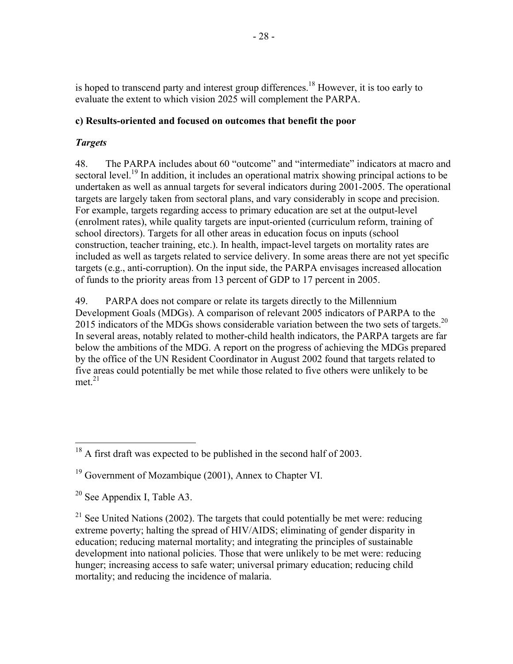is hoped to transcend party and interest group differences.<sup>18</sup> However, it is too early to evaluate the extent to which vision 2025 will complement the PARPA.

### **c) Results-oriented and focused on outcomes that benefit the poor**

### *Targets*

48. The PARPA includes about 60 "outcome" and "intermediate" indicators at macro and sectoral level.<sup>19</sup> In addition, it includes an operational matrix showing principal actions to be undertaken as well as annual targets for several indicators during 2001-2005. The operational targets are largely taken from sectoral plans, and vary considerably in scope and precision. For example, targets regarding access to primary education are set at the output-level (enrolment rates), while quality targets are input-oriented (curriculum reform, training of school directors). Targets for all other areas in education focus on inputs (school construction, teacher training, etc.). In health, impact-level targets on mortality rates are included as well as targets related to service delivery. In some areas there are not yet specific targets (e.g., anti-corruption). On the input side, the PARPA envisages increased allocation of funds to the priority areas from 13 percent of GDP to 17 percent in 2005.

49. PARPA does not compare or relate its targets directly to the Millennium Development Goals (MDGs). A comparison of relevant 2005 indicators of PARPA to the 2015 indicators of the MDGs shows considerable variation between the two sets of targets.<sup>20</sup> In several areas, notably related to mother-child health indicators, the PARPA targets are far below the ambitions of the MDG. A report on the progress of achieving the MDGs prepared by the office of the UN Resident Coordinator in August 2002 found that targets related to five areas could potentially be met while those related to five others were unlikely to be met. $21$ 

 $\overline{a}$ 

 $18$  A first draft was expected to be published in the second half of 2003.

<sup>&</sup>lt;sup>19</sup> Government of Mozambique (2001), Annex to Chapter VI.

 $20$  See Appendix I, Table A3.

 $21$  See United Nations (2002). The targets that could potentially be met were: reducing extreme poverty; halting the spread of HIV/AIDS; eliminating of gender disparity in education; reducing maternal mortality; and integrating the principles of sustainable development into national policies. Those that were unlikely to be met were: reducing hunger; increasing access to safe water; universal primary education; reducing child mortality; and reducing the incidence of malaria.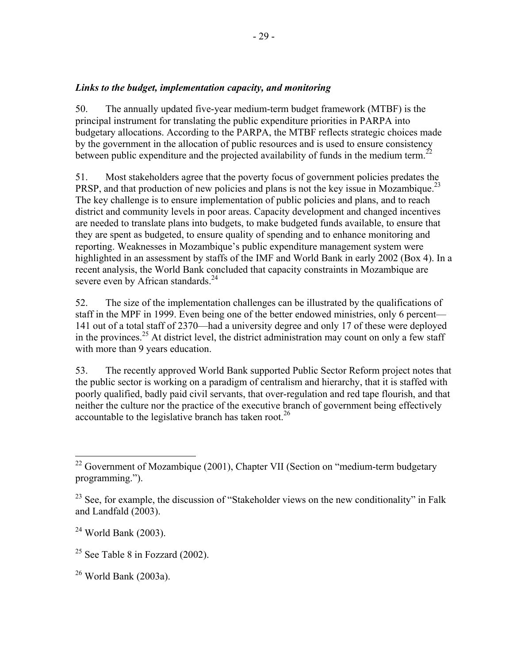50. The annually updated five-year medium-term budget framework (MTBF) is the principal instrument for translating the public expenditure priorities in PARPA into budgetary allocations. According to the PARPA, the MTBF reflects strategic choices made by the government in the allocation of public resources and is used to ensure consistency between public expenditure and the projected availability of funds in the medium term.<sup>22</sup>

51. Most stakeholders agree that the poverty focus of government policies predates the PRSP, and that production of new policies and plans is not the key issue in Mozambique.<sup>23</sup> The key challenge is to ensure implementation of public policies and plans, and to reach district and community levels in poor areas. Capacity development and changed incentives are needed to translate plans into budgets, to make budgeted funds available, to ensure that they are spent as budgeted, to ensure quality of spending and to enhance monitoring and reporting. Weaknesses in Mozambique's public expenditure management system were highlighted in an assessment by staffs of the IMF and World Bank in early 2002 (Box 4). In a recent analysis, the World Bank concluded that capacity constraints in Mozambique are severe even by African standards.<sup>24</sup>

52. The size of the implementation challenges can be illustrated by the qualifications of staff in the MPF in 1999. Even being one of the better endowed ministries, only 6 percent— 141 out of a total staff of 2370—had a university degree and only 17 of these were deployed in the provinces.<sup>25</sup> At district level, the district administration may count on only a few staff with more than 9 years education.

53. The recently approved World Bank supported Public Sector Reform project notes that the public sector is working on a paradigm of centralism and hierarchy, that it is staffed with poorly qualified, badly paid civil servants, that over-regulation and red tape flourish, and that neither the culture nor the practice of the executive branch of government being effectively accountable to the legislative branch has taken root.<sup>26</sup>

 $\overline{a}$ 

 $22$  Government of Mozambique (2001), Chapter VII (Section on "medium-term budgetary programming.").

 $^{23}$  See, for example, the discussion of "Stakeholder views on the new conditionality" in Falk and Landfald (2003).

 $24$  World Bank (2003).

 $25$  See Table 8 in Fozzard (2002).

 $26$  World Bank (2003a).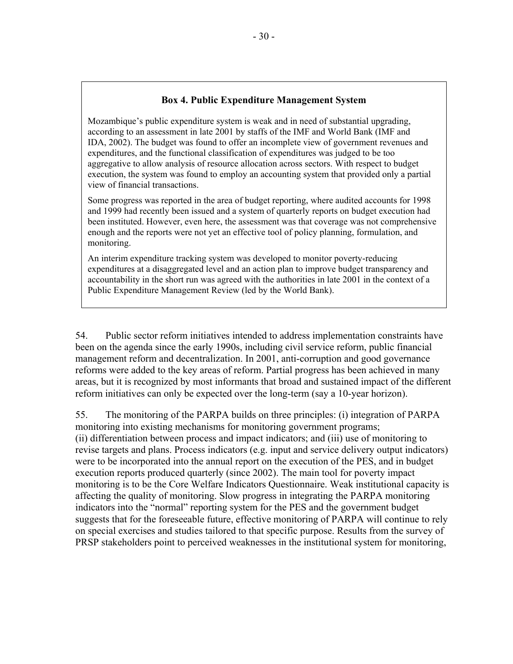### **Box 4. Public Expenditure Management System**

Mozambique's public expenditure system is weak and in need of substantial upgrading, according to an assessment in late 2001 by staffs of the IMF and World Bank (IMF and IDA, 2002). The budget was found to offer an incomplete view of government revenues and expenditures, and the functional classification of expenditures was judged to be too aggregative to allow analysis of resource allocation across sectors. With respect to budget execution, the system was found to employ an accounting system that provided only a partial view of financial transactions.

Some progress was reported in the area of budget reporting, where audited accounts for 1998 and 1999 had recently been issued and a system of quarterly reports on budget execution had been instituted. However, even here, the assessment was that coverage was not comprehensive enough and the reports were not yet an effective tool of policy planning, formulation, and monitoring.

An interim expenditure tracking system was developed to monitor poverty-reducing expenditures at a disaggregated level and an action plan to improve budget transparency and accountability in the short run was agreed with the authorities in late 2001 in the context of a Public Expenditure Management Review (led by the World Bank).

54. Public sector reform initiatives intended to address implementation constraints have been on the agenda since the early 1990s, including civil service reform, public financial management reform and decentralization. In 2001, anti-corruption and good governance reforms were added to the key areas of reform. Partial progress has been achieved in many areas, but it is recognized by most informants that broad and sustained impact of the different reform initiatives can only be expected over the long-term (say a 10-year horizon).

55. The monitoring of the PARPA builds on three principles: (i) integration of PARPA monitoring into existing mechanisms for monitoring government programs; (ii) differentiation between process and impact indicators; and (iii) use of monitoring to revise targets and plans. Process indicators (e.g. input and service delivery output indicators) were to be incorporated into the annual report on the execution of the PES, and in budget execution reports produced quarterly (since 2002). The main tool for poverty impact monitoring is to be the Core Welfare Indicators Questionnaire. Weak institutional capacity is affecting the quality of monitoring. Slow progress in integrating the PARPA monitoring indicators into the "normal" reporting system for the PES and the government budget suggests that for the foreseeable future, effective monitoring of PARPA will continue to rely on special exercises and studies tailored to that specific purpose. Results from the survey of PRSP stakeholders point to perceived weaknesses in the institutional system for monitoring,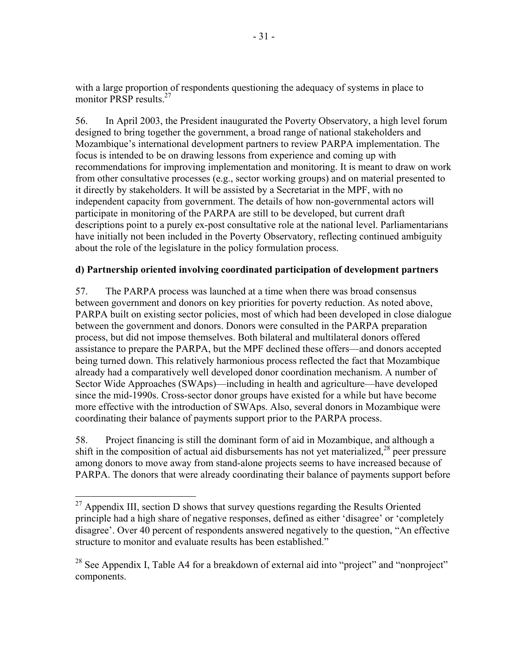with a large proportion of respondents questioning the adequacy of systems in place to monitor PRSP results.<sup>27</sup>

56. In April 2003, the President inaugurated the Poverty Observatory, a high level forum designed to bring together the government, a broad range of national stakeholders and Mozambique's international development partners to review PARPA implementation. The focus is intended to be on drawing lessons from experience and coming up with recommendations for improving implementation and monitoring. It is meant to draw on work from other consultative processes (e.g., sector working groups) and on material presented to it directly by stakeholders. It will be assisted by a Secretariat in the MPF, with no independent capacity from government. The details of how non-governmental actors will participate in monitoring of the PARPA are still to be developed, but current draft descriptions point to a purely ex-post consultative role at the national level. Parliamentarians have initially not been included in the Poverty Observatory, reflecting continued ambiguity about the role of the legislature in the policy formulation process.

### **d) Partnership oriented involving coordinated participation of development partners**

57. The PARPA process was launched at a time when there was broad consensus between government and donors on key priorities for poverty reduction. As noted above, PARPA built on existing sector policies, most of which had been developed in close dialogue between the government and donors. Donors were consulted in the PARPA preparation process, but did not impose themselves. Both bilateral and multilateral donors offered assistance to prepare the PARPA, but the MPF declined these offers—and donors accepted being turned down. This relatively harmonious process reflected the fact that Mozambique already had a comparatively well developed donor coordination mechanism. A number of Sector Wide Approaches (SWAps)—including in health and agriculture—have developed since the mid-1990s. Cross-sector donor groups have existed for a while but have become more effective with the introduction of SWAps. Also, several donors in Mozambique were coordinating their balance of payments support prior to the PARPA process.

58. Project financing is still the dominant form of aid in Mozambique, and although a shift in the composition of actual aid disbursements has not yet materialized.<sup>28</sup> peer pressure among donors to move away from stand-alone projects seems to have increased because of PARPA. The donors that were already coordinating their balance of payments support before

1

 $^{27}$  Appendix III, section D shows that survey questions regarding the Results Oriented principle had a high share of negative responses, defined as either 'disagree' or 'completely disagree'. Over 40 percent of respondents answered negatively to the question, "An effective structure to monitor and evaluate results has been established."

<sup>&</sup>lt;sup>28</sup> See Appendix I, Table A4 for a breakdown of external aid into "project" and "nonproject" components.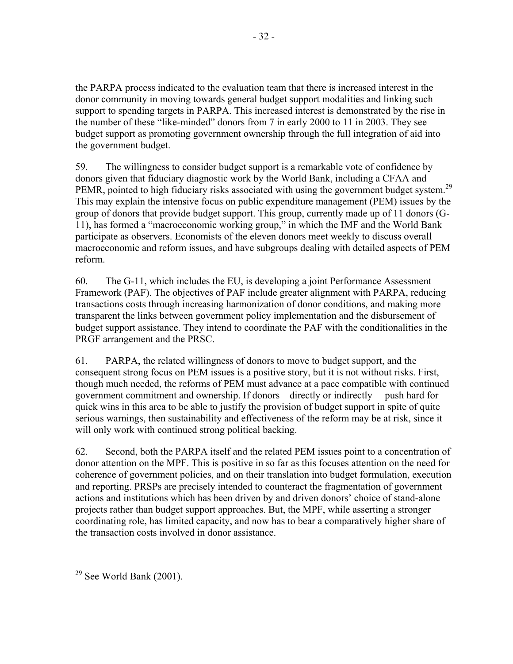the PARPA process indicated to the evaluation team that there is increased interest in the donor community in moving towards general budget support modalities and linking such support to spending targets in PARPA. This increased interest is demonstrated by the rise in the number of these "like-minded" donors from 7 in early 2000 to 11 in 2003. They see budget support as promoting government ownership through the full integration of aid into the government budget.

59. The willingness to consider budget support is a remarkable vote of confidence by donors given that fiduciary diagnostic work by the World Bank, including a CFAA and PEMR, pointed to high fiduciary risks associated with using the government budget system.<sup>29</sup> This may explain the intensive focus on public expenditure management (PEM) issues by the group of donors that provide budget support. This group, currently made up of 11 donors (G-11), has formed a "macroeconomic working group," in which the IMF and the World Bank participate as observers. Economists of the eleven donors meet weekly to discuss overall macroeconomic and reform issues, and have subgroups dealing with detailed aspects of PEM reform.

60. The G-11, which includes the EU, is developing a joint Performance Assessment Framework (PAF). The objectives of PAF include greater alignment with PARPA, reducing transactions costs through increasing harmonization of donor conditions, and making more transparent the links between government policy implementation and the disbursement of budget support assistance. They intend to coordinate the PAF with the conditionalities in the PRGF arrangement and the PRSC.

61. PARPA, the related willingness of donors to move to budget support, and the consequent strong focus on PEM issues is a positive story, but it is not without risks. First, though much needed, the reforms of PEM must advance at a pace compatible with continued government commitment and ownership. If donors—directly or indirectly— push hard for quick wins in this area to be able to justify the provision of budget support in spite of quite serious warnings, then sustainability and effectiveness of the reform may be at risk, since it will only work with continued strong political backing.

62. Second, both the PARPA itself and the related PEM issues point to a concentration of donor attention on the MPF. This is positive in so far as this focuses attention on the need for coherence of government policies, and on their translation into budget formulation, execution and reporting. PRSPs are precisely intended to counteract the fragmentation of government actions and institutions which has been driven by and driven donors' choice of stand-alone projects rather than budget support approaches. But, the MPF, while asserting a stronger coordinating role, has limited capacity, and now has to bear a comparatively higher share of the transaction costs involved in donor assistance.

<sup>1</sup>  $29$  See World Bank (2001).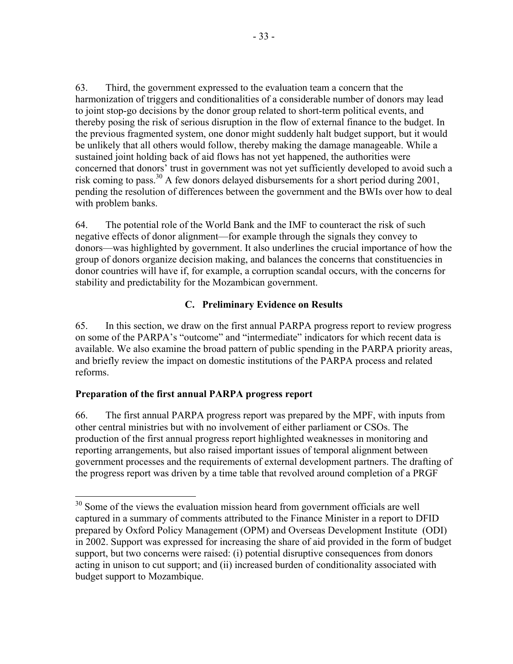63. Third, the government expressed to the evaluation team a concern that the harmonization of triggers and conditionalities of a considerable number of donors may lead to joint stop-go decisions by the donor group related to short-term political events, and thereby posing the risk of serious disruption in the flow of external finance to the budget. In the previous fragmented system, one donor might suddenly halt budget support, but it would be unlikely that all others would follow, thereby making the damage manageable. While a sustained joint holding back of aid flows has not yet happened, the authorities were concerned that donors' trust in government was not yet sufficiently developed to avoid such a risk coming to pass.<sup>30</sup> A few donors delayed disbursements for a short period during 2001, pending the resolution of differences between the government and the BWIs over how to deal with problem banks.

64. The potential role of the World Bank and the IMF to counteract the risk of such negative effects of donor alignment—for example through the signals they convey to donors—was highlighted by government. It also underlines the crucial importance of how the group of donors organize decision making, and balances the concerns that constituencies in donor countries will have if, for example, a corruption scandal occurs, with the concerns for stability and predictability for the Mozambican government.

## **C. Preliminary Evidence on Results**

65. In this section, we draw on the first annual PARPA progress report to review progress on some of the PARPA's "outcome" and "intermediate" indicators for which recent data is available. We also examine the broad pattern of public spending in the PARPA priority areas, and briefly review the impact on domestic institutions of the PARPA process and related reforms.

## **Preparation of the first annual PARPA progress report**

1

66. The first annual PARPA progress report was prepared by the MPF, with inputs from other central ministries but with no involvement of either parliament or CSOs. The production of the first annual progress report highlighted weaknesses in monitoring and reporting arrangements, but also raised important issues of temporal alignment between government processes and the requirements of external development partners. The drafting of the progress report was driven by a time table that revolved around completion of a PRGF

 $30$  Some of the views the evaluation mission heard from government officials are well captured in a summary of comments attributed to the Finance Minister in a report to DFID prepared by Oxford Policy Management (OPM) and Overseas Development Institute (ODI) in 2002. Support was expressed for increasing the share of aid provided in the form of budget support, but two concerns were raised: (i) potential disruptive consequences from donors acting in unison to cut support; and (ii) increased burden of conditionality associated with budget support to Mozambique.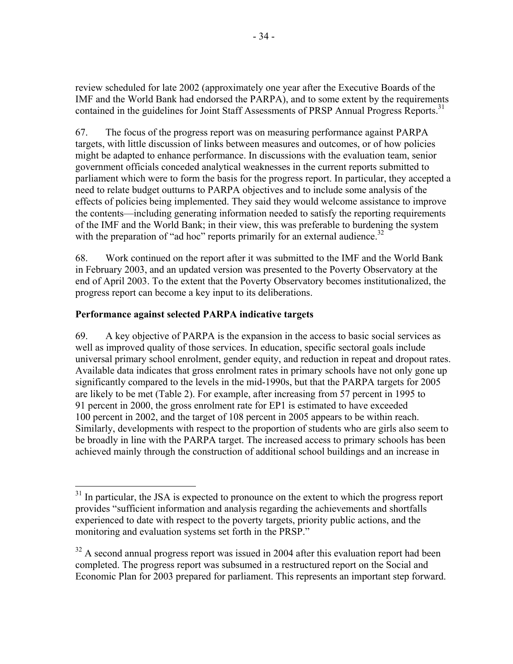review scheduled for late 2002 (approximately one year after the Executive Boards of the IMF and the World Bank had endorsed the PARPA), and to some extent by the requirements contained in the guidelines for Joint Staff Assessments of PRSP Annual Progress Reports.<sup>31</sup>

67. The focus of the progress report was on measuring performance against PARPA targets, with little discussion of links between measures and outcomes, or of how policies might be adapted to enhance performance. In discussions with the evaluation team, senior government officials conceded analytical weaknesses in the current reports submitted to parliament which were to form the basis for the progress report. In particular, they accepted a need to relate budget outturns to PARPA objectives and to include some analysis of the effects of policies being implemented. They said they would welcome assistance to improve the contents—including generating information needed to satisfy the reporting requirements of the IMF and the World Bank; in their view, this was preferable to burdening the system with the preparation of "ad hoc" reports primarily for an external audience.<sup>32</sup>

68. Work continued on the report after it was submitted to the IMF and the World Bank in February 2003, and an updated version was presented to the Poverty Observatory at the end of April 2003. To the extent that the Poverty Observatory becomes institutionalized, the progress report can become a key input to its deliberations.

### **Performance against selected PARPA indicative targets**

1

69. A key objective of PARPA is the expansion in the access to basic social services as well as improved quality of those services. In education, specific sectoral goals include universal primary school enrolment, gender equity, and reduction in repeat and dropout rates. Available data indicates that gross enrolment rates in primary schools have not only gone up significantly compared to the levels in the mid-1990s, but that the PARPA targets for 2005 are likely to be met (Table 2). For example, after increasing from 57 percent in 1995 to 91 percent in 2000, the gross enrolment rate for EP1 is estimated to have exceeded 100 percent in 2002, and the target of 108 percent in 2005 appears to be within reach. Similarly, developments with respect to the proportion of students who are girls also seem to be broadly in line with the PARPA target. The increased access to primary schools has been achieved mainly through the construction of additional school buildings and an increase in

 $31$  In particular, the JSA is expected to pronounce on the extent to which the progress report provides "sufficient information and analysis regarding the achievements and shortfalls experienced to date with respect to the poverty targets, priority public actions, and the monitoring and evaluation systems set forth in the PRSP."

 $32$  A second annual progress report was issued in 2004 after this evaluation report had been completed. The progress report was subsumed in a restructured report on the Social and Economic Plan for 2003 prepared for parliament. This represents an important step forward.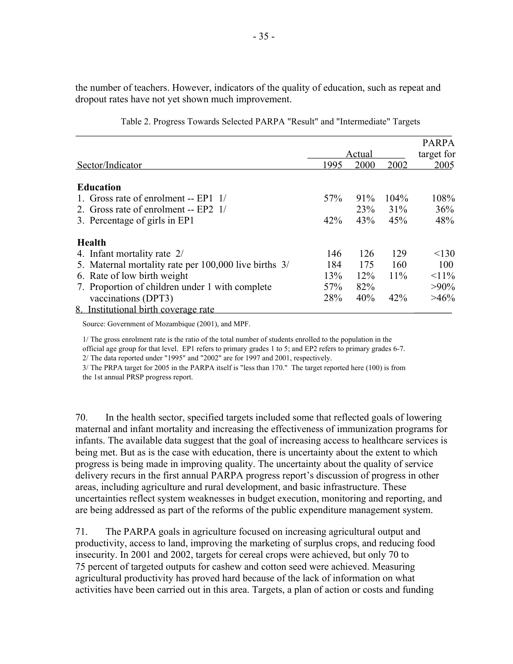the number of teachers. However, indicators of the quality of education, such as repeat and dropout rates have not yet shown much improvement.

|                                                       |      |        |         | <b>PARPA</b> |
|-------------------------------------------------------|------|--------|---------|--------------|
|                                                       |      | Actual |         | target for   |
| Sector/Indicator                                      | 1995 | 2000   | 2002    | 2005         |
|                                                       |      |        |         |              |
| <b>Education</b>                                      |      |        |         |              |
| 1. Gross rate of enrolment -- $EPI \t1/$              | 57%  | 91%    | $104\%$ | 108%         |
| 2. Gross rate of enrolment -- $EP2 \; 1/$             |      | 23%    | 31%     | 36%          |
| 3. Percentage of girls in EP1                         | 42%  | 43%    | 45%     | 48%          |
| <b>Health</b>                                         |      |        |         |              |
| 4. Infant mortality rate 2/                           | 146  | 126    | 129     | < 130        |
| 5. Maternal mortality rate per 100,000 live births 3/ | 184  | 175    | 160     | 100          |
| 6. Rate of low birth weight                           | 13%  | 12%    | 11%     | $11\%$       |
| 7. Proportion of children under 1 with complete       | 57%  | 82%    |         | $>90\%$      |
| vaccinations (DPT3)                                   | 28%  | 40%    | 42%     | $>46\%$      |
| 8. Institutional birth coverage rate                  |      |        |         |              |

Table 2. Progress Towards Selected PARPA "Result" and "Intermediate" Targets

Source: Government of Mozambique (2001), and MPF.

1/ The gross enrolment rate is the ratio of the total number of students enrolled to the population in the official age group for that level. EP1 refers to primary grades 1 to 5; and EP2 refers to primary grades 6-7. 2/ The data reported under "1995" and "2002" are for 1997 and 2001, respectively.

3/ The PRPA target for 2005 in the PARPA itself is "less than 170." The target reported here (100) is from the 1st annual PRSP progress report.

70. In the health sector, specified targets included some that reflected goals of lowering maternal and infant mortality and increasing the effectiveness of immunization programs for infants. The available data suggest that the goal of increasing access to healthcare services is being met. But as is the case with education, there is uncertainty about the extent to which progress is being made in improving quality. The uncertainty about the quality of service delivery recurs in the first annual PARPA progress report's discussion of progress in other areas, including agriculture and rural development, and basic infrastructure. These uncertainties reflect system weaknesses in budget execution, monitoring and reporting, and are being addressed as part of the reforms of the public expenditure management system.

71. The PARPA goals in agriculture focused on increasing agricultural output and productivity, access to land, improving the marketing of surplus crops, and reducing food insecurity. In 2001 and 2002, targets for cereal crops were achieved, but only 70 to 75 percent of targeted outputs for cashew and cotton seed were achieved. Measuring agricultural productivity has proved hard because of the lack of information on what activities have been carried out in this area. Targets, a plan of action or costs and funding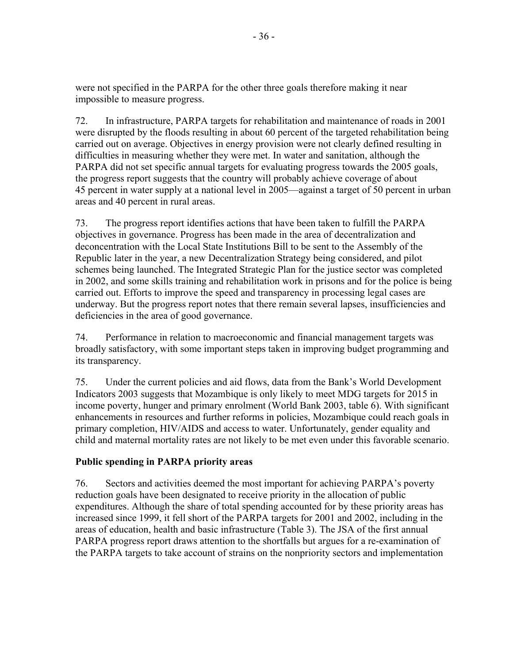were not specified in the PARPA for the other three goals therefore making it near impossible to measure progress.

72. In infrastructure, PARPA targets for rehabilitation and maintenance of roads in 2001 were disrupted by the floods resulting in about 60 percent of the targeted rehabilitation being carried out on average. Objectives in energy provision were not clearly defined resulting in difficulties in measuring whether they were met. In water and sanitation, although the PARPA did not set specific annual targets for evaluating progress towards the 2005 goals, the progress report suggests that the country will probably achieve coverage of about 45 percent in water supply at a national level in 2005—against a target of 50 percent in urban areas and 40 percent in rural areas.

73. The progress report identifies actions that have been taken to fulfill the PARPA objectives in governance. Progress has been made in the area of decentralization and deconcentration with the Local State Institutions Bill to be sent to the Assembly of the Republic later in the year, a new Decentralization Strategy being considered, and pilot schemes being launched. The Integrated Strategic Plan for the justice sector was completed in 2002, and some skills training and rehabilitation work in prisons and for the police is being carried out. Efforts to improve the speed and transparency in processing legal cases are underway. But the progress report notes that there remain several lapses, insufficiencies and deficiencies in the area of good governance.

74. Performance in relation to macroeconomic and financial management targets was broadly satisfactory, with some important steps taken in improving budget programming and its transparency.

75. Under the current policies and aid flows, data from the Bank's World Development Indicators 2003 suggests that Mozambique is only likely to meet MDG targets for 2015 in income poverty, hunger and primary enrolment (World Bank 2003, table 6). With significant enhancements in resources and further reforms in policies, Mozambique could reach goals in primary completion, HIV/AIDS and access to water. Unfortunately, gender equality and child and maternal mortality rates are not likely to be met even under this favorable scenario.

### **Public spending in PARPA priority areas**

76. Sectors and activities deemed the most important for achieving PARPA's poverty reduction goals have been designated to receive priority in the allocation of public expenditures. Although the share of total spending accounted for by these priority areas has increased since 1999, it fell short of the PARPA targets for 2001 and 2002, including in the areas of education, health and basic infrastructure (Table 3). The JSA of the first annual PARPA progress report draws attention to the shortfalls but argues for a re-examination of the PARPA targets to take account of strains on the nonpriority sectors and implementation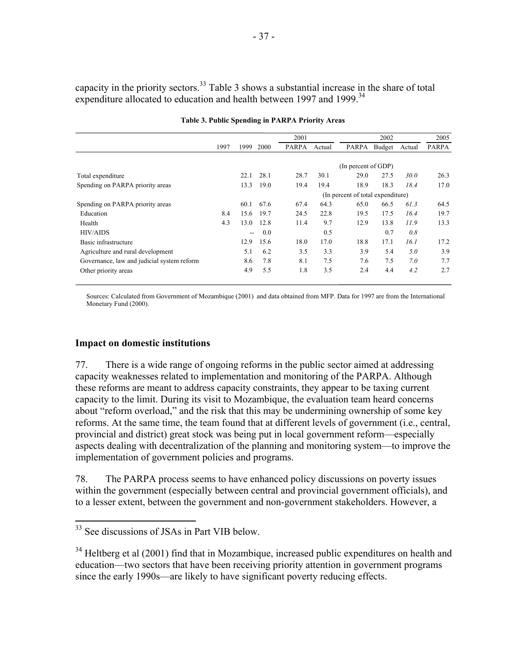capacity in the priority sectors.<sup>33</sup> Table 3 shows a substantial increase in the share of total expenditure allocated to education and health between 1997 and 1999.<sup>34</sup>

|                                            |      |       |      | 2001         |        |                                   | 2002   |        | 2005         |
|--------------------------------------------|------|-------|------|--------------|--------|-----------------------------------|--------|--------|--------------|
|                                            | 1997 | 1999  | 2000 | <b>PARPA</b> | Actual | <b>PARPA</b>                      | Budget | Actual | <b>PARPA</b> |
|                                            |      |       |      |              |        |                                   |        |        |              |
|                                            |      |       |      |              |        | (In percent of GDP)               |        |        |              |
| Total expenditure                          |      | 22.1  | 28.1 | 28.7         | 30.1   | 29.0                              | 27.5   | 30.0   | 26.3         |
| Spending on PARPA priority areas           |      | 13.3  | 19.0 | 19.4         | 19.4   | 18.9                              | 18.3   | 18.4   | 17.0         |
|                                            |      |       |      |              |        | (In percent of total expenditure) |        |        |              |
| Spending on PARPA priority areas           |      | 60.1  | 67.6 | 67.4         | 64.3   | 65.0                              | 66.5   | 61.3   | 64.5         |
| Education                                  | 8.4  | 15.6  | 19.7 | 24.5         | 22.8   | 19.5                              | 17.5   | 16.4   | 19.7         |
| Health                                     | 4.3  | 13.0  | 12.8 | 11.4         | 9.7    | 12.9                              | 13.8   | 11.9   | 13.3         |
| <b>HIV/AIDS</b>                            |      | $- -$ | 0.0  |              | 0.5    |                                   | 0.7    | 0.8    |              |
| Basic infrastructure                       |      | 12.9  | 15.6 | 18.0         | 17.0   | 18.8                              | 17.1   | 16.1   | 17.2         |
| Agriculture and rural development          |      | 5.1   | 6.2  | 3.5          | 3.3    | 3.9                               | 5.4    | 5.0    | 3.9          |
| Governance, law and judicial system reform |      | 8.6   | 7.8  | 8.1          | 7.5    | 7.6                               | 7.5    | 7.0    | 7.7          |
| Other priority areas                       |      | 4.9   | 5.5  | 1.8          | 3.5    | 2.4                               | 4.4    | 4.2    | 2.7          |

Sources: Calculated from Government of Mozambique (2001) and data obtained from MFP. Data for 1997 are from the International Monetary Fund (2000).

#### **Impact on domestic institutions**

77. There is a wide range of ongoing reforms in the public sector aimed at addressing capacity weaknesses related to implementation and monitoring of the PARPA. Although these reforms are meant to address capacity constraints, they appear to be taxing current capacity to the limit. During its visit to Mozambique, the evaluation team heard concerns about "reform overload," and the risk that this may be undermining ownership of some key reforms. At the same time, the team found that at different levels of government (i.e., central, provincial and district) great stock was being put in local government reform—especially aspects dealing with decentralization of the planning and monitoring system—to improve the implementation of government policies and programs.

78. The PARPA process seems to have enhanced policy discussions on poverty issues within the government (especially between central and provincial government officials), and to a lesser extent, between the government and non-government stakeholders. However, a

 $\overline{a}$ 

<sup>&</sup>lt;sup>33</sup> See discussions of JSAs in Part VIB below.

<sup>&</sup>lt;sup>34</sup> Heltberg et al (2001) find that in Mozambique, increased public expenditures on health and education—two sectors that have been receiving priority attention in government programs since the early 1990s—are likely to have significant poverty reducing effects.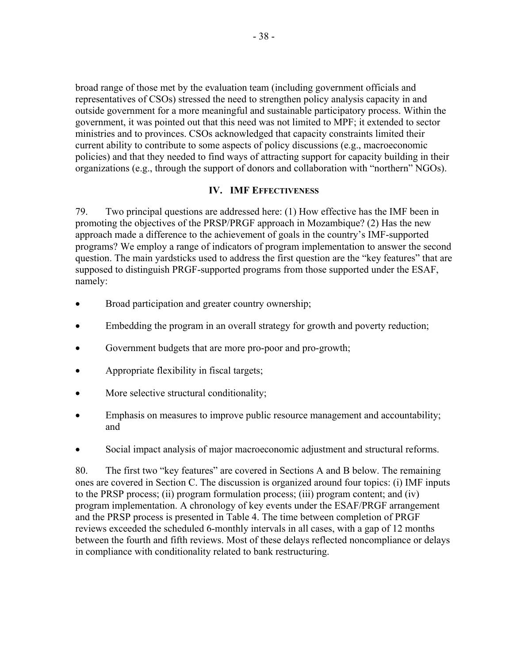broad range of those met by the evaluation team (including government officials and representatives of CSOs) stressed the need to strengthen policy analysis capacity in and outside government for a more meaningful and sustainable participatory process. Within the government, it was pointed out that this need was not limited to MPF; it extended to sector ministries and to provinces. CSOs acknowledged that capacity constraints limited their current ability to contribute to some aspects of policy discussions (e.g., macroeconomic policies) and that they needed to find ways of attracting support for capacity building in their organizations (e.g., through the support of donors and collaboration with "northern" NGOs).

#### **IV. IMF EFFECTIVENESS**

79. Two principal questions are addressed here: (1) How effective has the IMF been in promoting the objectives of the PRSP/PRGF approach in Mozambique? (2) Has the new approach made a difference to the achievement of goals in the country's IMF-supported programs? We employ a range of indicators of program implementation to answer the second question. The main yardsticks used to address the first question are the "key features" that are supposed to distinguish PRGF-supported programs from those supported under the ESAF, namely:

- Broad participation and greater country ownership;
- Embedding the program in an overall strategy for growth and poverty reduction;
- Government budgets that are more pro-poor and pro-growth;
- Appropriate flexibility in fiscal targets;
- More selective structural conditionality;
- Emphasis on measures to improve public resource management and accountability; and
- Social impact analysis of major macroeconomic adjustment and structural reforms.

80. The first two "key features" are covered in Sections A and B below. The remaining ones are covered in Section C. The discussion is organized around four topics: (i) IMF inputs to the PRSP process; (ii) program formulation process; (iii) program content; and (iv) program implementation. A chronology of key events under the ESAF/PRGF arrangement and the PRSP process is presented in Table 4. The time between completion of PRGF reviews exceeded the scheduled 6-monthly intervals in all cases, with a gap of 12 months between the fourth and fifth reviews. Most of these delays reflected noncompliance or delays in compliance with conditionality related to bank restructuring.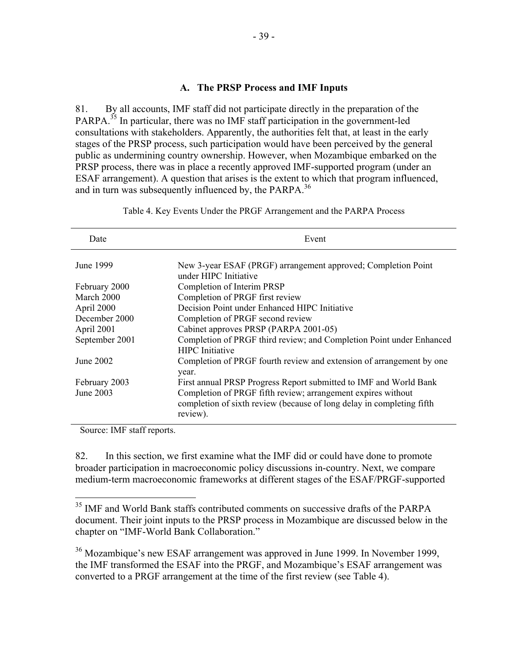#### **A. The PRSP Process and IMF Inputs**

81. By all accounts, IMF staff did not participate directly in the preparation of the PARPA.<sup>35</sup> In particular, there was no IMF staff participation in the government-led consultations with stakeholders. Apparently, the authorities felt that, at least in the early stages of the PRSP process, such participation would have been perceived by the general public as undermining country ownership. However, when Mozambique embarked on the PRSP process, there was in place a recently approved IMF-supported program (under an ESAF arrangement). A question that arises is the extent to which that program influenced, and in turn was subsequently influenced by, the PARPA.<sup>36</sup>

| Date           | Event                                                                                                                                             |
|----------------|---------------------------------------------------------------------------------------------------------------------------------------------------|
| June 1999      | New 3-year ESAF (PRGF) arrangement approved; Completion Point<br>under HIPC Initiative                                                            |
| February 2000  | Completion of Interim PRSP                                                                                                                        |
| March 2000     | Completion of PRGF first review                                                                                                                   |
| April 2000     | Decision Point under Enhanced HIPC Initiative                                                                                                     |
| December 2000  | Completion of PRGF second review                                                                                                                  |
| April 2001     | Cabinet approves PRSP (PARPA 2001-05)                                                                                                             |
| September 2001 | Completion of PRGF third review; and Completion Point under Enhanced<br><b>HIPC</b> Initiative                                                    |
| June 2002      | Completion of PRGF fourth review and extension of arrangement by one<br>year.                                                                     |
| February 2003  | First annual PRSP Progress Report submitted to IMF and World Bank                                                                                 |
| June 2003      | Completion of PRGF fifth review; arrangement expires without<br>completion of sixth review (because of long delay in completing fifth<br>review). |

Table 4. Key Events Under the PRGF Arrangement and the PARPA Process

Source: IMF staff reports.

 $\overline{a}$ 

82. In this section, we first examine what the IMF did or could have done to promote broader participation in macroeconomic policy discussions in-country. Next, we compare medium-term macroeconomic frameworks at different stages of the ESAF/PRGF-supported

<sup>&</sup>lt;sup>35</sup> IMF and World Bank staffs contributed comments on successive drafts of the PARPA document. Their joint inputs to the PRSP process in Mozambique are discussed below in the chapter on "IMF-World Bank Collaboration."

<sup>36</sup> Mozambique's new ESAF arrangement was approved in June 1999. In November 1999, the IMF transformed the ESAF into the PRGF, and Mozambique's ESAF arrangement was converted to a PRGF arrangement at the time of the first review (see Table 4).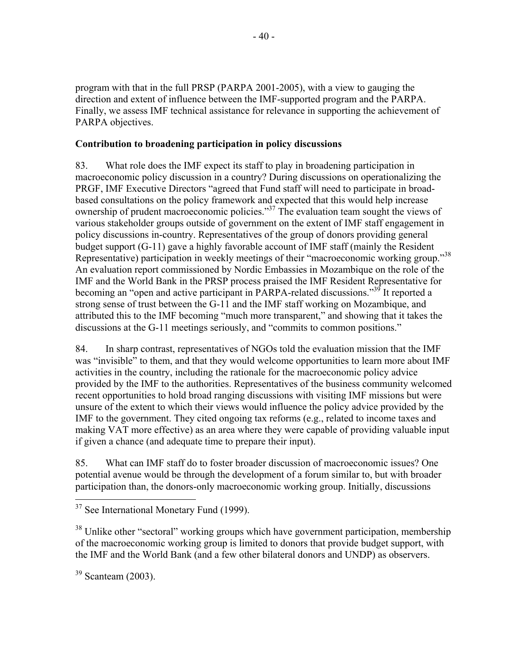program with that in the full PRSP (PARPA 2001-2005), with a view to gauging the direction and extent of influence between the IMF-supported program and the PARPA. Finally, we assess IMF technical assistance for relevance in supporting the achievement of PARPA objectives.

## **Contribution to broadening participation in policy discussions**

83. What role does the IMF expect its staff to play in broadening participation in macroeconomic policy discussion in a country? During discussions on operationalizing the PRGF, IMF Executive Directors "agreed that Fund staff will need to participate in broadbased consultations on the policy framework and expected that this would help increase ownership of prudent macroeconomic policies."<sup>37</sup> The evaluation team sought the views of various stakeholder groups outside of government on the extent of IMF staff engagement in policy discussions in-country. Representatives of the group of donors providing general budget support (G-11) gave a highly favorable account of IMF staff (mainly the Resident Representative) participation in weekly meetings of their "macroeconomic working group."<sup>38</sup> An evaluation report commissioned by Nordic Embassies in Mozambique on the role of the IMF and the World Bank in the PRSP process praised the IMF Resident Representative for becoming an "open and active participant in PARPA-related discussions."<sup>39</sup> It reported a strong sense of trust between the G-11 and the IMF staff working on Mozambique, and attributed this to the IMF becoming "much more transparent," and showing that it takes the discussions at the G-11 meetings seriously, and "commits to common positions."

84. In sharp contrast, representatives of NGOs told the evaluation mission that the IMF was "invisible" to them, and that they would welcome opportunities to learn more about IMF activities in the country, including the rationale for the macroeconomic policy advice provided by the IMF to the authorities. Representatives of the business community welcomed recent opportunities to hold broad ranging discussions with visiting IMF missions but were unsure of the extent to which their views would influence the policy advice provided by the IMF to the government. They cited ongoing tax reforms (e.g., related to income taxes and making VAT more effective) as an area where they were capable of providing valuable input if given a chance (and adequate time to prepare their input).

85. What can IMF staff do to foster broader discussion of macroeconomic issues? One potential avenue would be through the development of a forum similar to, but with broader participation than, the donors-only macroeconomic working group. Initially, discussions

<sup>38</sup> Unlike other "sectoral" working groups which have government participation, membership of the macroeconomic working group is limited to donors that provide budget support, with the IMF and the World Bank (and a few other bilateral donors and UNDP) as observers.

 $39$  Scanteam (2003).

 $\overline{a}$  $37$  See International Monetary Fund (1999).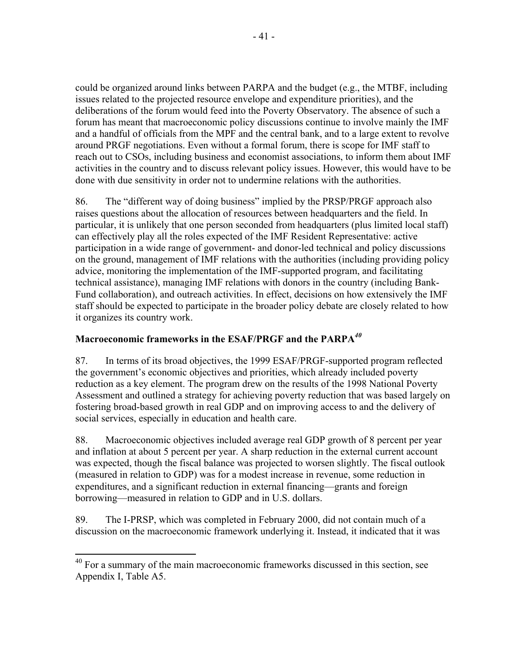could be organized around links between PARPA and the budget (e.g., the MTBF, including issues related to the projected resource envelope and expenditure priorities), and the deliberations of the forum would feed into the Poverty Observatory. The absence of such a forum has meant that macroeconomic policy discussions continue to involve mainly the IMF and a handful of officials from the MPF and the central bank, and to a large extent to revolve around PRGF negotiations. Even without a formal forum, there is scope for IMF staff to reach out to CSOs, including business and economist associations, to inform them about IMF activities in the country and to discuss relevant policy issues. However, this would have to be done with due sensitivity in order not to undermine relations with the authorities.

86. The "different way of doing business" implied by the PRSP/PRGF approach also raises questions about the allocation of resources between headquarters and the field. In particular, it is unlikely that one person seconded from headquarters (plus limited local staff) can effectively play all the roles expected of the IMF Resident Representative: active participation in a wide range of government- and donor-led technical and policy discussions on the ground, management of IMF relations with the authorities (including providing policy advice, monitoring the implementation of the IMF-supported program, and facilitating technical assistance), managing IMF relations with donors in the country (including Bank-Fund collaboration), and outreach activities. In effect, decisions on how extensively the IMF staff should be expected to participate in the broader policy debate are closely related to how it organizes its country work.

# **Macroeconomic frameworks in the ESAF/PRGF and the PARPA***<sup>40</sup>*

87. In terms of its broad objectives, the 1999 ESAF/PRGF-supported program reflected the government's economic objectives and priorities, which already included poverty reduction as a key element. The program drew on the results of the 1998 National Poverty Assessment and outlined a strategy for achieving poverty reduction that was based largely on fostering broad-based growth in real GDP and on improving access to and the delivery of social services, especially in education and health care.

88. Macroeconomic objectives included average real GDP growth of 8 percent per year and inflation at about 5 percent per year. A sharp reduction in the external current account was expected, though the fiscal balance was projected to worsen slightly. The fiscal outlook (measured in relation to GDP) was for a modest increase in revenue, some reduction in expenditures, and a significant reduction in external financing—grants and foreign borrowing—measured in relation to GDP and in U.S. dollars.

89. The I-PRSP, which was completed in February 2000, did not contain much of a discussion on the macroeconomic framework underlying it. Instead, it indicated that it was

 $\overline{a}$ 

 $40$  For a summary of the main macroeconomic frameworks discussed in this section, see Appendix I, Table A5.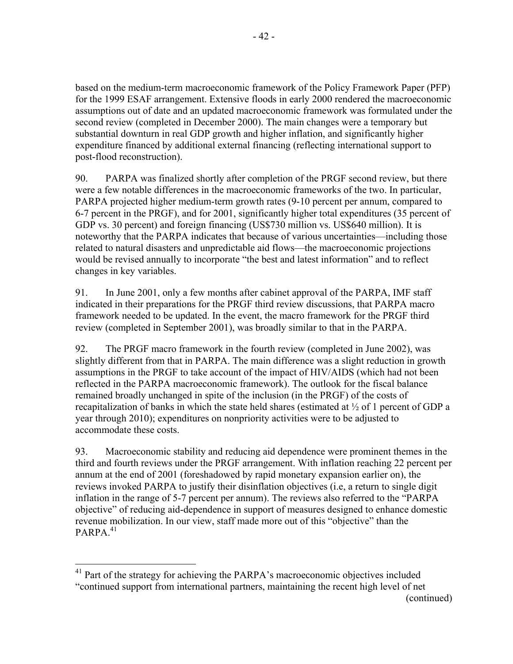based on the medium-term macroeconomic framework of the Policy Framework Paper (PFP) for the 1999 ESAF arrangement. Extensive floods in early 2000 rendered the macroeconomic assumptions out of date and an updated macroeconomic framework was formulated under the second review (completed in December 2000). The main changes were a temporary but substantial downturn in real GDP growth and higher inflation, and significantly higher expenditure financed by additional external financing (reflecting international support to

post-flood reconstruction).

- 42 -

90. PARPA was finalized shortly after completion of the PRGF second review, but there were a few notable differences in the macroeconomic frameworks of the two. In particular, PARPA projected higher medium-term growth rates (9-10 percent per annum, compared to 6-7 percent in the PRGF), and for 2001, significantly higher total expenditures (35 percent of GDP vs. 30 percent) and foreign financing (US\$730 million vs. US\$640 million). It is noteworthy that the PARPA indicates that because of various uncertainties—including those related to natural disasters and unpredictable aid flows—the macroeconomic projections would be revised annually to incorporate "the best and latest information" and to reflect changes in key variables.

91. In June 2001, only a few months after cabinet approval of the PARPA, IMF staff indicated in their preparations for the PRGF third review discussions, that PARPA macro framework needed to be updated. In the event, the macro framework for the PRGF third review (completed in September 2001), was broadly similar to that in the PARPA.

92. The PRGF macro framework in the fourth review (completed in June 2002), was slightly different from that in PARPA. The main difference was a slight reduction in growth assumptions in the PRGF to take account of the impact of HIV/AIDS (which had not been reflected in the PARPA macroeconomic framework). The outlook for the fiscal balance remained broadly unchanged in spite of the inclusion (in the PRGF) of the costs of recapitalization of banks in which the state held shares (estimated at ½ of 1 percent of GDP a year through 2010); expenditures on nonpriority activities were to be adjusted to accommodate these costs.

93. Macroeconomic stability and reducing aid dependence were prominent themes in the third and fourth reviews under the PRGF arrangement. With inflation reaching 22 percent per annum at the end of 2001 (foreshadowed by rapid monetary expansion earlier on), the reviews invoked PARPA to justify their disinflation objectives (i.e, a return to single digit inflation in the range of 5-7 percent per annum). The reviews also referred to the "PARPA objective" of reducing aid-dependence in support of measures designed to enhance domestic revenue mobilization. In our view, staff made more out of this "objective" than the  $PARPA.<sup>41</sup>$ 

(continued)

<sup>1</sup> <sup>41</sup> Part of the strategy for achieving the PARPA's macroeconomic objectives included "continued support from international partners, maintaining the recent high level of net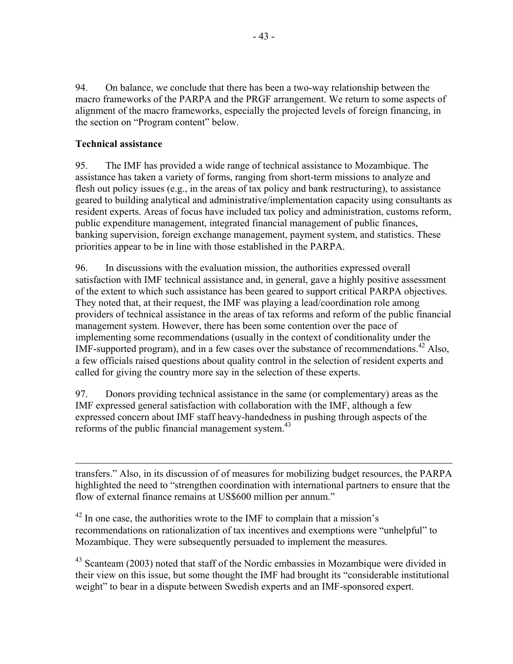94. On balance, we conclude that there has been a two-way relationship between the macro frameworks of the PARPA and the PRGF arrangement. We return to some aspects of alignment of the macro frameworks, especially the projected levels of foreign financing, in the section on "Program content" below.

## **Technical assistance**

 $\overline{a}$ 

95. The IMF has provided a wide range of technical assistance to Mozambique. The assistance has taken a variety of forms, ranging from short-term missions to analyze and flesh out policy issues (e.g., in the areas of tax policy and bank restructuring), to assistance geared to building analytical and administrative/implementation capacity using consultants as resident experts. Areas of focus have included tax policy and administration, customs reform, public expenditure management, integrated financial management of public finances, banking supervision, foreign exchange management, payment system, and statistics. These priorities appear to be in line with those established in the PARPA.

96. In discussions with the evaluation mission, the authorities expressed overall satisfaction with IMF technical assistance and, in general, gave a highly positive assessment of the extent to which such assistance has been geared to support critical PARPA objectives. They noted that, at their request, the IMF was playing a lead/coordination role among providers of technical assistance in the areas of tax reforms and reform of the public financial management system. However, there has been some contention over the pace of implementing some recommendations (usually in the context of conditionality under the IMF-supported program), and in a few cases over the substance of recommendations.<sup>42</sup> Also, a few officials raised questions about quality control in the selection of resident experts and called for giving the country more say in the selection of these experts.

97. Donors providing technical assistance in the same (or complementary) areas as the IMF expressed general satisfaction with collaboration with the IMF, although a few expressed concern about IMF staff heavy-handedness in pushing through aspects of the reforms of the public financial management system. $43$ 

transfers." Also, in its discussion of of measures for mobilizing budget resources, the PARPA highlighted the need to "strengthen coordination with international partners to ensure that the flow of external finance remains at US\$600 million per annum."

 $^{42}$  In one case, the authorities wrote to the IMF to complain that a mission's recommendations on rationalization of tax incentives and exemptions were "unhelpful" to Mozambique. They were subsequently persuaded to implement the measures.

 $43$  Scanteam (2003) noted that staff of the Nordic embassies in Mozambique were divided in their view on this issue, but some thought the IMF had brought its "considerable institutional weight" to bear in a dispute between Swedish experts and an IMF-sponsored expert.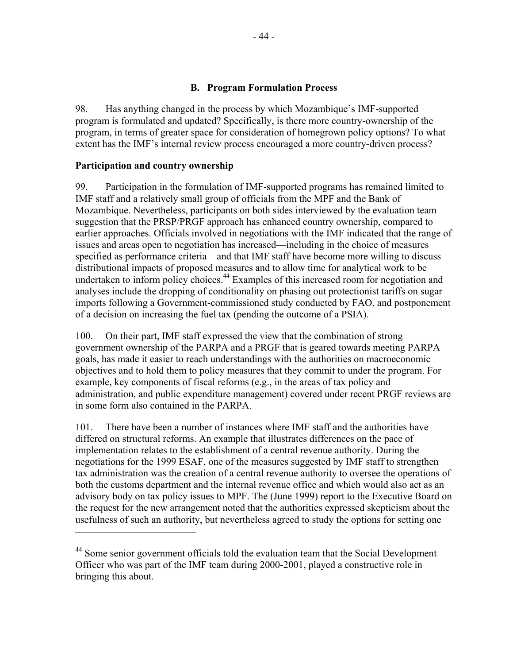#### **B. Program Formulation Process**

98. Has anything changed in the process by which Mozambique's IMF-supported program is formulated and updated? Specifically, is there more country-ownership of the program, in terms of greater space for consideration of homegrown policy options? To what extent has the IMF's internal review process encouraged a more country-driven process?

#### **Participation and country ownership**

 $\overline{a}$ 

99. Participation in the formulation of IMF-supported programs has remained limited to IMF staff and a relatively small group of officials from the MPF and the Bank of Mozambique. Nevertheless, participants on both sides interviewed by the evaluation team suggestion that the PRSP/PRGF approach has enhanced country ownership, compared to earlier approaches. Officials involved in negotiations with the IMF indicated that the range of issues and areas open to negotiation has increased—including in the choice of measures specified as performance criteria—and that IMF staff have become more willing to discuss distributional impacts of proposed measures and to allow time for analytical work to be undertaken to inform policy choices.<sup>44</sup> Examples of this increased room for negotiation and analyses include the dropping of conditionality on phasing out protectionist tariffs on sugar imports following a Government-commissioned study conducted by FAO, and postponement of a decision on increasing the fuel tax (pending the outcome of a PSIA).

100. On their part, IMF staff expressed the view that the combination of strong government ownership of the PARPA and a PRGF that is geared towards meeting PARPA goals, has made it easier to reach understandings with the authorities on macroeconomic objectives and to hold them to policy measures that they commit to under the program. For example, key components of fiscal reforms (e.g., in the areas of tax policy and administration, and public expenditure management) covered under recent PRGF reviews are in some form also contained in the PARPA.

101. There have been a number of instances where IMF staff and the authorities have differed on structural reforms. An example that illustrates differences on the pace of implementation relates to the establishment of a central revenue authority. During the negotiations for the 1999 ESAF, one of the measures suggested by IMF staff to strengthen tax administration was the creation of a central revenue authority to oversee the operations of both the customs department and the internal revenue office and which would also act as an advisory body on tax policy issues to MPF. The (June 1999) report to the Executive Board on the request for the new arrangement noted that the authorities expressed skepticism about the usefulness of such an authority, but nevertheless agreed to study the options for setting one

<sup>&</sup>lt;sup>44</sup> Some senior government officials told the evaluation team that the Social Development Officer who was part of the IMF team during 2000-2001, played a constructive role in bringing this about.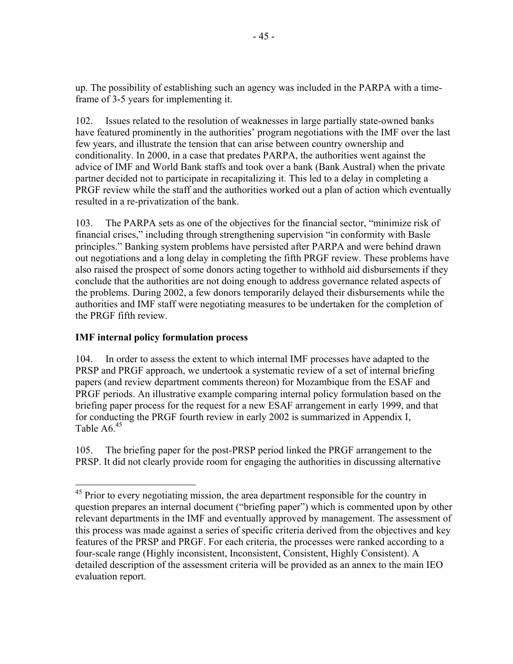up. The possibility of establishing such an agency was included in the PARPA with a timeframe of 3-5 years for implementing it.

102. Issues related to the resolution of weaknesses in large partially state-owned banks have featured prominently in the authorities' program negotiations with the IMF over the last few years, and illustrate the tension that can arise between country ownership and conditionality. In 2000, in a case that predates PARPA, the authorities went against the advice of IMF and World Bank staffs and took over a bank (Bank Austral) when the private partner decided not to participate in recapitalizing it. This led to a delay in completing a PRGF review while the staff and the authorities worked out a plan of action which eventually resulted in a re-privatization of the bank.

103. The PARPA sets as one of the objectives for the financial sector, "minimize risk of financial crises," including through strengthening supervision "in conformity with Basle principles." Banking system problems have persisted after PARPA and were behind drawn out negotiations and a long delay in completing the fifth PRGF review. These problems have also raised the prospect of some donors acting together to withhold aid disbursements if they conclude that the authorities are not doing enough to address governance related aspects of the problems. During 2002, a few donors temporarily delayed their disbursements while the authorities and IMF staff were negotiating measures to be undertaken for the completion of the PRGF fifth review.

## **IMF internal policy formulation process**

1

104. In order to assess the extent to which internal IMF processes have adapted to the PRSP and PRGF approach, we undertook a systematic review of a set of internal briefing papers (and review department comments thereon) for Mozambique from the ESAF and PRGF periods. An illustrative example comparing internal policy formulation based on the briefing paper process for the request for a new ESAF arrangement in early 1999, and that for conducting the PRGF fourth review in early 2002 is summarized in Appendix I, Table A6.<sup>45</sup>

105. The briefing paper for the post-PRSP period linked the PRGF arrangement to the PRSP. It did not clearly provide room for engaging the authorities in discussing alternative

<sup>&</sup>lt;sup>45</sup> Prior to every negotiating mission, the area department responsible for the country in question prepares an internal document ("briefing paper") which is commented upon by other relevant departments in the IMF and eventually approved by management. The assessment of this process was made against a series of specific criteria derived from the objectives and key features of the PRSP and PRGF. For each criteria, the processes were ranked according to a four-scale range (Highly inconsistent, Inconsistent, Consistent, Highly Consistent). A detailed description of the assessment criteria will be provided as an annex to the main IEO evaluation report.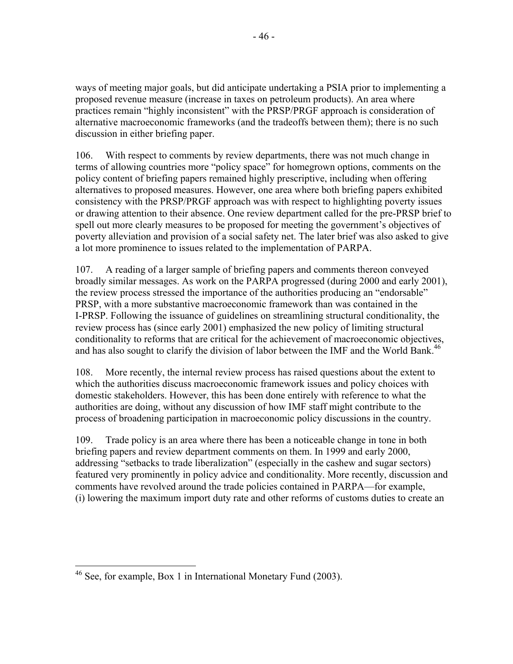ways of meeting major goals, but did anticipate undertaking a PSIA prior to implementing a proposed revenue measure (increase in taxes on petroleum products). An area where practices remain "highly inconsistent" with the PRSP/PRGF approach is consideration of alternative macroeconomic frameworks (and the tradeoffs between them); there is no such discussion in either briefing paper.

106. With respect to comments by review departments, there was not much change in terms of allowing countries more "policy space" for homegrown options, comments on the policy content of briefing papers remained highly prescriptive, including when offering alternatives to proposed measures. However, one area where both briefing papers exhibited consistency with the PRSP/PRGF approach was with respect to highlighting poverty issues or drawing attention to their absence. One review department called for the pre-PRSP brief to spell out more clearly measures to be proposed for meeting the government's objectives of poverty alleviation and provision of a social safety net. The later brief was also asked to give a lot more prominence to issues related to the implementation of PARPA.

107. A reading of a larger sample of briefing papers and comments thereon conveyed broadly similar messages. As work on the PARPA progressed (during 2000 and early 2001), the review process stressed the importance of the authorities producing an "endorsable" PRSP, with a more substantive macroeconomic framework than was contained in the I-PRSP. Following the issuance of guidelines on streamlining structural conditionality, the review process has (since early 2001) emphasized the new policy of limiting structural conditionality to reforms that are critical for the achievement of macroeconomic objectives, and has also sought to clarify the division of labor between the IMF and the World Bank.<sup>46</sup>

108. More recently, the internal review process has raised questions about the extent to which the authorities discuss macroeconomic framework issues and policy choices with domestic stakeholders. However, this has been done entirely with reference to what the authorities are doing, without any discussion of how IMF staff might contribute to the process of broadening participation in macroeconomic policy discussions in the country.

109. Trade policy is an area where there has been a noticeable change in tone in both briefing papers and review department comments on them. In 1999 and early 2000, addressing "setbacks to trade liberalization" (especially in the cashew and sugar sectors) featured very prominently in policy advice and conditionality. More recently, discussion and comments have revolved around the trade policies contained in PARPA—for example, (i) lowering the maximum import duty rate and other reforms of customs duties to create an

<sup>1</sup> <sup>46</sup> See, for example, Box 1 in International Monetary Fund (2003).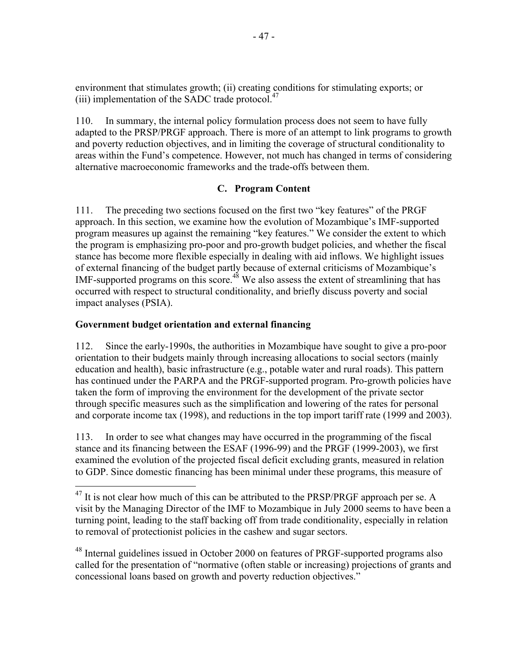environment that stimulates growth; (ii) creating conditions for stimulating exports; or (iii) implementation of the SADC trade protocol. $47$ 

110. In summary, the internal policy formulation process does not seem to have fully adapted to the PRSP/PRGF approach. There is more of an attempt to link programs to growth and poverty reduction objectives, and in limiting the coverage of structural conditionality to areas within the Fund's competence. However, not much has changed in terms of considering alternative macroeconomic frameworks and the trade-offs between them.

### **C. Program Content**

111. The preceding two sections focused on the first two "key features" of the PRGF approach. In this section, we examine how the evolution of Mozambique's IMF-supported program measures up against the remaining "key features." We consider the extent to which the program is emphasizing pro-poor and pro-growth budget policies, and whether the fiscal stance has become more flexible especially in dealing with aid inflows. We highlight issues of external financing of the budget partly because of external criticisms of Mozambique's IMF-supported programs on this score.<sup>48</sup> We also assess the extent of streamlining that has occurred with respect to structural conditionality, and briefly discuss poverty and social impact analyses (PSIA).

### **Government budget orientation and external financing**

 $\overline{a}$ 

112. Since the early-1990s, the authorities in Mozambique have sought to give a pro-poor orientation to their budgets mainly through increasing allocations to social sectors (mainly education and health), basic infrastructure (e.g., potable water and rural roads). This pattern has continued under the PARPA and the PRGF-supported program. Pro-growth policies have taken the form of improving the environment for the development of the private sector through specific measures such as the simplification and lowering of the rates for personal and corporate income tax (1998), and reductions in the top import tariff rate (1999 and 2003).

113. In order to see what changes may have occurred in the programming of the fiscal stance and its financing between the ESAF (1996-99) and the PRGF (1999-2003), we first examined the evolution of the projected fiscal deficit excluding grants, measured in relation to GDP. Since domestic financing has been minimal under these programs, this measure of

<sup>48</sup> Internal guidelines issued in October 2000 on features of PRGF-supported programs also called for the presentation of "normative (often stable or increasing) projections of grants and concessional loans based on growth and poverty reduction objectives."

 $47$  It is not clear how much of this can be attributed to the PRSP/PRGF approach per se. A visit by the Managing Director of the IMF to Mozambique in July 2000 seems to have been a turning point, leading to the staff backing off from trade conditionality, especially in relation to removal of protectionist policies in the cashew and sugar sectors.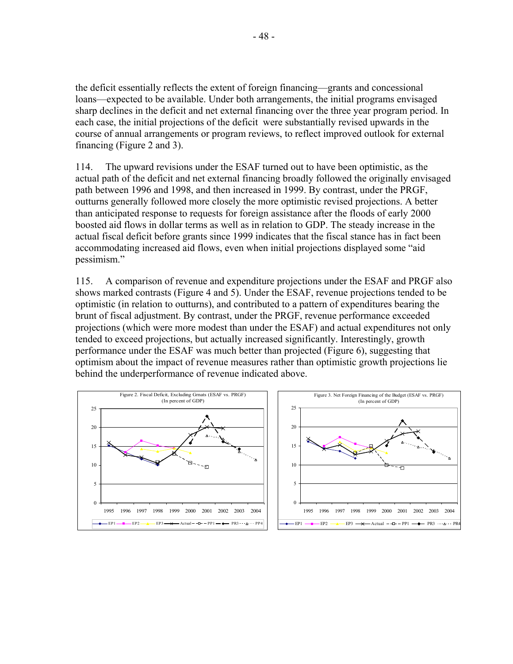the deficit essentially reflects the extent of foreign financing—grants and concessional loans—expected to be available. Under both arrangements, the initial programs envisaged sharp declines in the deficit and net external financing over the three year program period. In each case, the initial projections of the deficit were substantially revised upwards in the course of annual arrangements or program reviews, to reflect improved outlook for external financing (Figure 2 and 3).

114. The upward revisions under the ESAF turned out to have been optimistic, as the actual path of the deficit and net external financing broadly followed the originally envisaged path between 1996 and 1998, and then increased in 1999. By contrast, under the PRGF, outturns generally followed more closely the more optimistic revised projections. A better than anticipated response to requests for foreign assistance after the floods of early 2000 boosted aid flows in dollar terms as well as in relation to GDP. The steady increase in the actual fiscal deficit before grants since 1999 indicates that the fiscal stance has in fact been accommodating increased aid flows, even when initial projections displayed some "aid pessimism."

115. A comparison of revenue and expenditure projections under the ESAF and PRGF also shows marked contrasts (Figure 4 and 5). Under the ESAF, revenue projections tended to be optimistic (in relation to outturns), and contributed to a pattern of expenditures bearing the brunt of fiscal adjustment. By contrast, under the PRGF, revenue performance exceeded projections (which were more modest than under the ESAF) and actual expenditures not only tended to exceed projections, but actually increased significantly. Interestingly, growth performance under the ESAF was much better than projected (Figure 6), suggesting that optimism about the impact of revenue measures rather than optimistic growth projections lie behind the underperformance of revenue indicated above.

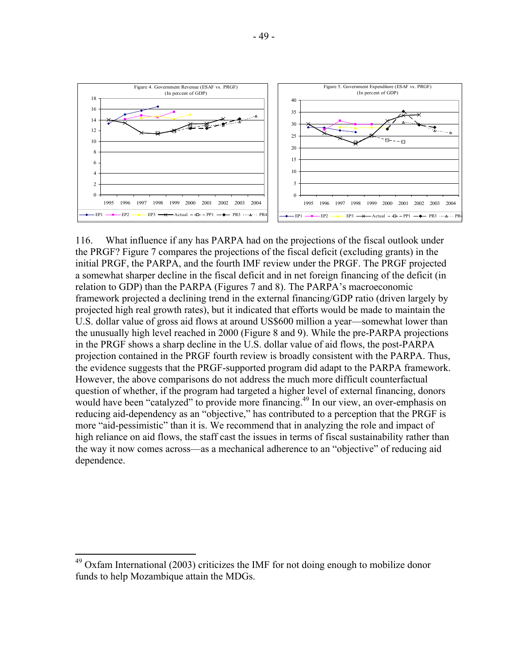

116. What influence if any has PARPA had on the projections of the fiscal outlook under the PRGF? Figure 7 compares the projections of the fiscal deficit (excluding grants) in the initial PRGF, the PARPA, and the fourth IMF review under the PRGF. The PRGF projected a somewhat sharper decline in the fiscal deficit and in net foreign financing of the deficit (in relation to GDP) than the PARPA (Figures 7 and 8). The PARPA's macroeconomic framework projected a declining trend in the external financing/GDP ratio (driven largely by projected high real growth rates), but it indicated that efforts would be made to maintain the U.S. dollar value of gross aid flows at around US\$600 million a year—somewhat lower than the unusually high level reached in 2000 (Figure 8 and 9). While the pre-PARPA projections in the PRGF shows a sharp decline in the U.S. dollar value of aid flows, the post-PARPA projection contained in the PRGF fourth review is broadly consistent with the PARPA. Thus, the evidence suggests that the PRGF-supported program did adapt to the PARPA framework. However, the above comparisons do not address the much more difficult counterfactual question of whether, if the program had targeted a higher level of external financing, donors would have been "catalyzed" to provide more financing.<sup>49</sup> In our view, an over-emphasis on reducing aid-dependency as an "objective," has contributed to a perception that the PRGF is more "aid-pessimistic" than it is. We recommend that in analyzing the role and impact of high reliance on aid flows, the staff cast the issues in terms of fiscal sustainability rather than the way it now comes across—as a mechanical adherence to an "objective" of reducing aid dependence.

 $\overline{a}$ 

 $49$  Oxfam International (2003) criticizes the IMF for not doing enough to mobilize donor funds to help Mozambique attain the MDGs.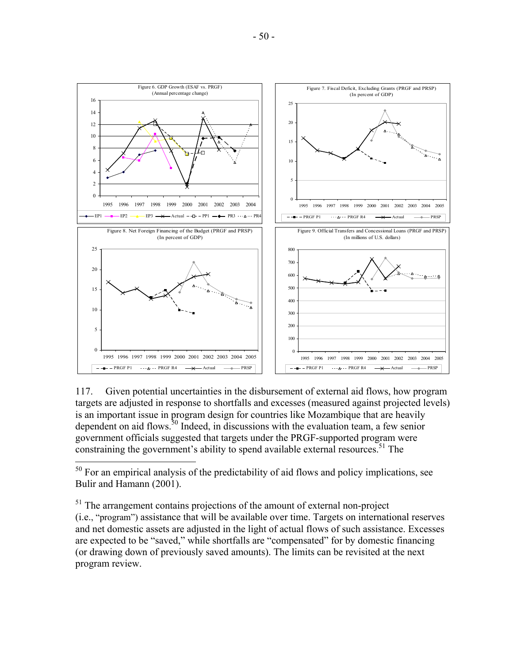

117. Given potential uncertainties in the disbursement of external aid flows, how program targets are adjusted in response to shortfalls and excesses (measured against projected levels) is an important issue in program design for countries like Mozambique that are heavily dependent on aid flows.<sup>50</sup> Indeed, in discussions with the evaluation team, a few senior government officials suggested that targets under the PRGF-supported program were constraining the government's ability to spend available external resources.<sup>51</sup> The

 $\overline{a}$ 

 $50$  For an empirical analysis of the predictability of aid flows and policy implications, see Bulir and Hamann (2001).

<sup>&</sup>lt;sup>51</sup> The arrangement contains projections of the amount of external non-project (i.e., "program") assistance that will be available over time. Targets on international reserves and net domestic assets are adjusted in the light of actual flows of such assistance. Excesses are expected to be "saved," while shortfalls are "compensated" for by domestic financing (or drawing down of previously saved amounts). The limits can be revisited at the next program review.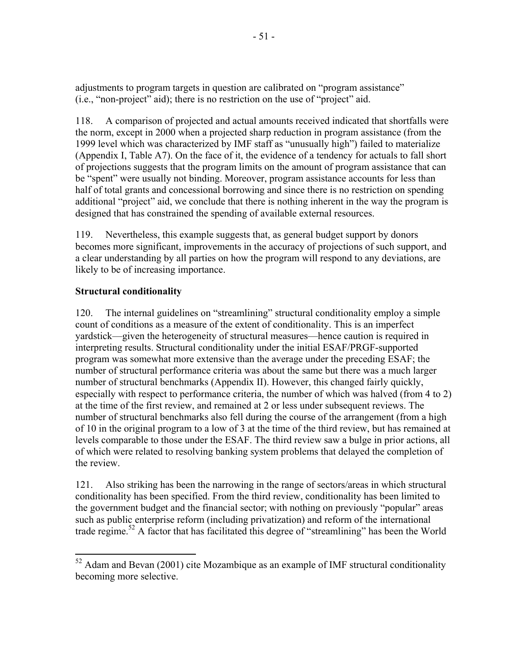adjustments to program targets in question are calibrated on "program assistance" (i.e., "non-project" aid); there is no restriction on the use of "project" aid.

118. A comparison of projected and actual amounts received indicated that shortfalls were the norm, except in 2000 when a projected sharp reduction in program assistance (from the 1999 level which was characterized by IMF staff as "unusually high") failed to materialize (Appendix I, Table A7). On the face of it, the evidence of a tendency for actuals to fall short of projections suggests that the program limits on the amount of program assistance that can be "spent" were usually not binding. Moreover, program assistance accounts for less than half of total grants and concessional borrowing and since there is no restriction on spending additional "project" aid, we conclude that there is nothing inherent in the way the program is designed that has constrained the spending of available external resources.

119. Nevertheless, this example suggests that, as general budget support by donors becomes more significant, improvements in the accuracy of projections of such support, and a clear understanding by all parties on how the program will respond to any deviations, are likely to be of increasing importance.

## **Structural conditionality**

 $\overline{a}$ 

120. The internal guidelines on "streamlining" structural conditionality employ a simple count of conditions as a measure of the extent of conditionality. This is an imperfect yardstick—given the heterogeneity of structural measures—hence caution is required in interpreting results. Structural conditionality under the initial ESAF/PRGF-supported program was somewhat more extensive than the average under the preceding ESAF; the number of structural performance criteria was about the same but there was a much larger number of structural benchmarks (Appendix II). However, this changed fairly quickly, especially with respect to performance criteria, the number of which was halved (from 4 to 2) at the time of the first review, and remained at 2 or less under subsequent reviews. The number of structural benchmarks also fell during the course of the arrangement (from a high of 10 in the original program to a low of 3 at the time of the third review, but has remained at levels comparable to those under the ESAF. The third review saw a bulge in prior actions, all of which were related to resolving banking system problems that delayed the completion of the review.

121. Also striking has been the narrowing in the range of sectors/areas in which structural conditionality has been specified. From the third review, conditionality has been limited to the government budget and the financial sector; with nothing on previously "popular" areas such as public enterprise reform (including privatization) and reform of the international trade regime.<sup>52</sup> A factor that has facilitated this degree of "streamlining" has been the World

 $52$  Adam and Bevan (2001) cite Mozambique as an example of IMF structural conditionality becoming more selective.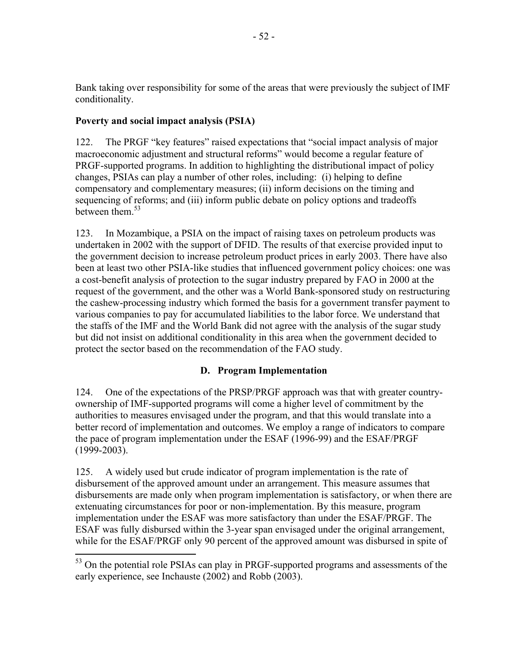Bank taking over responsibility for some of the areas that were previously the subject of IMF conditionality.

### **Poverty and social impact analysis (PSIA)**

 $\overline{a}$ 

122. The PRGF "key features" raised expectations that "social impact analysis of major macroeconomic adjustment and structural reforms" would become a regular feature of PRGF-supported programs. In addition to highlighting the distributional impact of policy changes, PSIAs can play a number of other roles, including: (i) helping to define compensatory and complementary measures; (ii) inform decisions on the timing and sequencing of reforms; and (iii) inform public debate on policy options and tradeoffs between them  $53$ 

123. In Mozambique, a PSIA on the impact of raising taxes on petroleum products was undertaken in 2002 with the support of DFID. The results of that exercise provided input to the government decision to increase petroleum product prices in early 2003. There have also been at least two other PSIA-like studies that influenced government policy choices: one was a cost-benefit analysis of protection to the sugar industry prepared by FAO in 2000 at the request of the government, and the other was a World Bank-sponsored study on restructuring the cashew-processing industry which formed the basis for a government transfer payment to various companies to pay for accumulated liabilities to the labor force. We understand that the staffs of the IMF and the World Bank did not agree with the analysis of the sugar study but did not insist on additional conditionality in this area when the government decided to protect the sector based on the recommendation of the FAO study.

### **D. Program Implementation**

124. One of the expectations of the PRSP/PRGF approach was that with greater countryownership of IMF-supported programs will come a higher level of commitment by the authorities to measures envisaged under the program, and that this would translate into a better record of implementation and outcomes. We employ a range of indicators to compare the pace of program implementation under the ESAF (1996-99) and the ESAF/PRGF (1999-2003).

125. A widely used but crude indicator of program implementation is the rate of disbursement of the approved amount under an arrangement. This measure assumes that disbursements are made only when program implementation is satisfactory, or when there are extenuating circumstances for poor or non-implementation. By this measure, program implementation under the ESAF was more satisfactory than under the ESAF/PRGF. The ESAF was fully disbursed within the 3-year span envisaged under the original arrangement, while for the ESAF/PRGF only 90 percent of the approved amount was disbursed in spite of

<sup>&</sup>lt;sup>53</sup> On the potential role PSIAs can play in PRGF-supported programs and assessments of the early experience, see Inchauste (2002) and Robb (2003).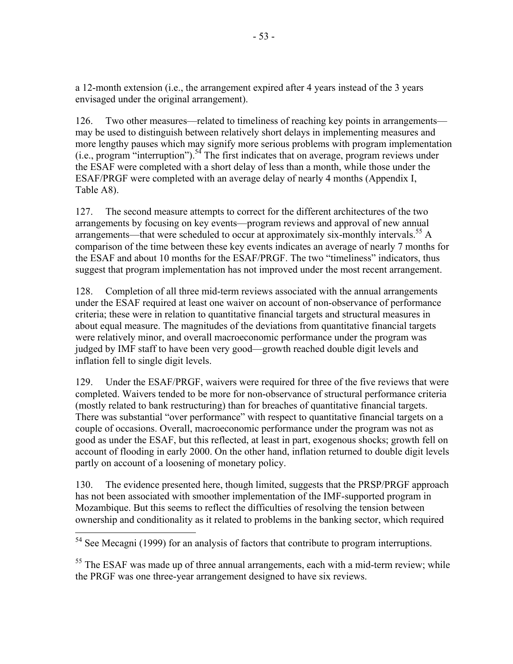a 12-month extension (i.e., the arrangement expired after 4 years instead of the 3 years envisaged under the original arrangement).

126. Two other measures—related to timeliness of reaching key points in arrangements may be used to distinguish between relatively short delays in implementing measures and more lengthy pauses which may signify more serious problems with program implementation (i.e., program "interruption").<sup>54</sup> The first indicates that on average, program reviews under the ESAF were completed with a short delay of less than a month, while those under the ESAF/PRGF were completed with an average delay of nearly 4 months (Appendix I, Table A8).

127. The second measure attempts to correct for the different architectures of the two arrangements by focusing on key events—program reviews and approval of new annual arrangements—that were scheduled to occur at approximately six-monthly intervals.<sup>55</sup> A comparison of the time between these key events indicates an average of nearly 7 months for the ESAF and about 10 months for the ESAF/PRGF. The two "timeliness" indicators, thus suggest that program implementation has not improved under the most recent arrangement.

128. Completion of all three mid-term reviews associated with the annual arrangements under the ESAF required at least one waiver on account of non-observance of performance criteria; these were in relation to quantitative financial targets and structural measures in about equal measure. The magnitudes of the deviations from quantitative financial targets were relatively minor, and overall macroeconomic performance under the program was judged by IMF staff to have been very good—growth reached double digit levels and inflation fell to single digit levels.

129. Under the ESAF/PRGF, waivers were required for three of the five reviews that were completed. Waivers tended to be more for non-observance of structural performance criteria (mostly related to bank restructuring) than for breaches of quantitative financial targets. There was substantial "over performance" with respect to quantitative financial targets on a couple of occasions. Overall, macroeconomic performance under the program was not as good as under the ESAF, but this reflected, at least in part, exogenous shocks; growth fell on account of flooding in early 2000. On the other hand, inflation returned to double digit levels partly on account of a loosening of monetary policy.

130. The evidence presented here, though limited, suggests that the PRSP/PRGF approach has not been associated with smoother implementation of the IMF-supported program in Mozambique. But this seems to reflect the difficulties of resolving the tension between ownership and conditionality as it related to problems in the banking sector, which required

1

 $54$  See Mecagni (1999) for an analysis of factors that contribute to program interruptions.

<sup>&</sup>lt;sup>55</sup> The ESAF was made up of three annual arrangements, each with a mid-term review; while the PRGF was one three-year arrangement designed to have six reviews.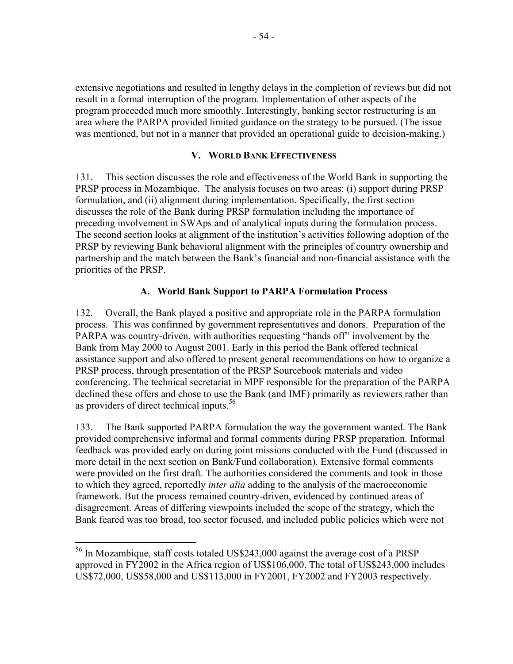extensive negotiations and resulted in lengthy delays in the completion of reviews but did not result in a formal interruption of the program. Implementation of other aspects of the program proceeded much more smoothly. Interestingly, banking sector restructuring is an area where the PARPA provided limited guidance on the strategy to be pursued. (The issue was mentioned, but not in a manner that provided an operational guide to decision-making.)

#### **V. WORLD BANK EFFECTIVENESS**

131. This section discusses the role and effectiveness of the World Bank in supporting the PRSP process in Mozambique. The analysis focuses on two areas: (i) support during PRSP formulation, and (ii) alignment during implementation. Specifically, the first section discusses the role of the Bank during PRSP formulation including the importance of preceding involvement in SWAps and of analytical inputs during the formulation process. The second section looks at alignment of the institution's activities following adoption of the PRSP by reviewing Bank behavioral alignment with the principles of country ownership and partnership and the match between the Bank's financial and non-financial assistance with the priorities of the PRSP.

## **A. World Bank Support to PARPA Formulation Process**

132. Overall, the Bank played a positive and appropriate role in the PARPA formulation process. This was confirmed by government representatives and donors. Preparation of the PARPA was country-driven, with authorities requesting "hands off" involvement by the Bank from May 2000 to August 2001. Early in this period the Bank offered technical assistance support and also offered to present general recommendations on how to organize a PRSP process, through presentation of the PRSP Sourcebook materials and video conferencing. The technical secretariat in MPF responsible for the preparation of the PARPA declined these offers and chose to use the Bank (and IMF) primarily as reviewers rather than as providers of direct technical inputs.<sup>56</sup>

133. The Bank supported PARPA formulation the way the government wanted. The Bank provided comprehensive informal and formal comments during PRSP preparation. Informal feedback was provided early on during joint missions conducted with the Fund (discussed in more detail in the next section on Bank/Fund collaboration). Extensive formal comments were provided on the first draft. The authorities considered the comments and took in those to which they agreed, reportedly *inter alia* adding to the analysis of the macroeconomic framework. But the process remained country-driven, evidenced by continued areas of disagreement. Areas of differing viewpoints included the scope of the strategy, which the Bank feared was too broad, too sector focused, and included public policies which were not

 $\overline{a}$ 

<sup>&</sup>lt;sup>56</sup> In Mozambique, staff costs totaled US\$243,000 against the average cost of a PRSP approved in FY2002 in the Africa region of US\$106,000. The total of US\$243,000 includes US\$72,000, US\$58,000 and US\$113,000 in FY2001, FY2002 and FY2003 respectively.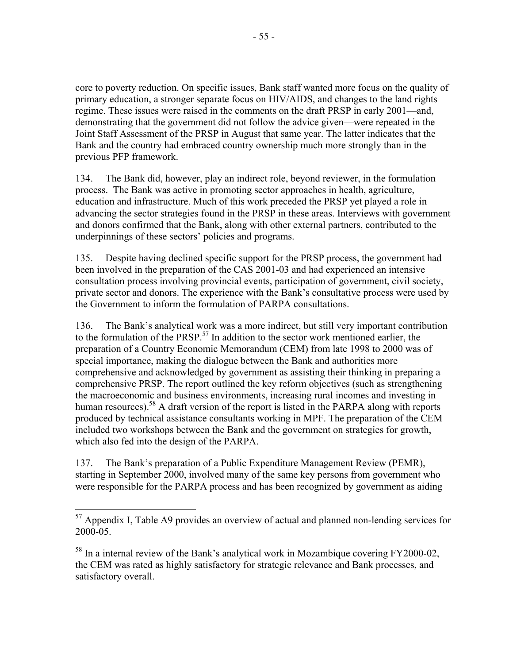core to poverty reduction. On specific issues, Bank staff wanted more focus on the quality of primary education, a stronger separate focus on HIV/AIDS, and changes to the land rights regime. These issues were raised in the comments on the draft PRSP in early 2001—and, demonstrating that the government did not follow the advice given—were repeated in the Joint Staff Assessment of the PRSP in August that same year. The latter indicates that the Bank and the country had embraced country ownership much more strongly than in the previous PFP framework.

134. The Bank did, however, play an indirect role, beyond reviewer, in the formulation process. The Bank was active in promoting sector approaches in health, agriculture, education and infrastructure. Much of this work preceded the PRSP yet played a role in advancing the sector strategies found in the PRSP in these areas. Interviews with government and donors confirmed that the Bank, along with other external partners, contributed to the underpinnings of these sectors' policies and programs.

135. Despite having declined specific support for the PRSP process, the government had been involved in the preparation of the CAS 2001-03 and had experienced an intensive consultation process involving provincial events, participation of government, civil society, private sector and donors. The experience with the Bank's consultative process were used by the Government to inform the formulation of PARPA consultations.

136. The Bank's analytical work was a more indirect, but still very important contribution to the formulation of the  $PRSP<sup>57</sup>$  In addition to the sector work mentioned earlier, the preparation of a Country Economic Memorandum (CEM) from late 1998 to 2000 was of special importance, making the dialogue between the Bank and authorities more comprehensive and acknowledged by government as assisting their thinking in preparing a comprehensive PRSP. The report outlined the key reform objectives (such as strengthening the macroeconomic and business environments, increasing rural incomes and investing in human resources).<sup>58</sup> A draft version of the report is listed in the PARPA along with reports produced by technical assistance consultants working in MPF. The preparation of the CEM included two workshops between the Bank and the government on strategies for growth, which also fed into the design of the PARPA.

137. The Bank's preparation of a Public Expenditure Management Review (PEMR), starting in September 2000, involved many of the same key persons from government who were responsible for the PARPA process and has been recognized by government as aiding

 $\overline{a}$  $57$  Appendix I, Table A9 provides an overview of actual and planned non-lending services for 2000-05.

<sup>&</sup>lt;sup>58</sup> In a internal review of the Bank's analytical work in Mozambique covering FY2000-02, the CEM was rated as highly satisfactory for strategic relevance and Bank processes, and satisfactory overall.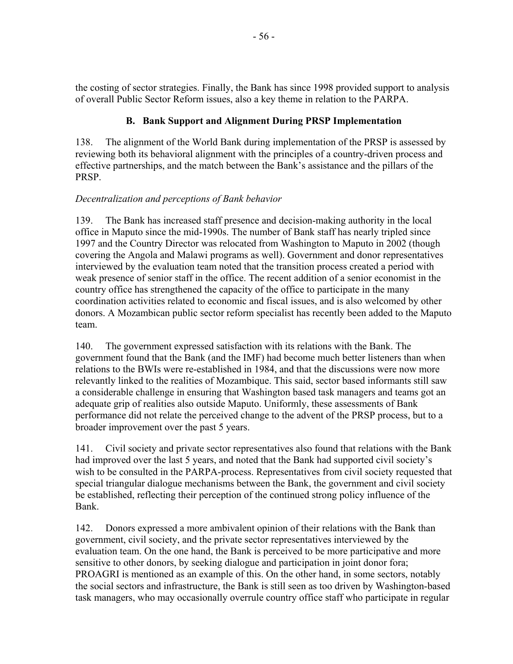the costing of sector strategies. Finally, the Bank has since 1998 provided support to analysis of overall Public Sector Reform issues, also a key theme in relation to the PARPA.

## **B. Bank Support and Alignment During PRSP Implementation**

138. The alignment of the World Bank during implementation of the PRSP is assessed by reviewing both its behavioral alignment with the principles of a country-driven process and effective partnerships, and the match between the Bank's assistance and the pillars of the PRSP.

### *Decentralization and perceptions of Bank behavior*

139. The Bank has increased staff presence and decision-making authority in the local office in Maputo since the mid-1990s. The number of Bank staff has nearly tripled since 1997 and the Country Director was relocated from Washington to Maputo in 2002 (though covering the Angola and Malawi programs as well). Government and donor representatives interviewed by the evaluation team noted that the transition process created a period with weak presence of senior staff in the office. The recent addition of a senior economist in the country office has strengthened the capacity of the office to participate in the many coordination activities related to economic and fiscal issues, and is also welcomed by other donors. A Mozambican public sector reform specialist has recently been added to the Maputo team.

140. The government expressed satisfaction with its relations with the Bank. The government found that the Bank (and the IMF) had become much better listeners than when relations to the BWIs were re-established in 1984, and that the discussions were now more relevantly linked to the realities of Mozambique. This said, sector based informants still saw a considerable challenge in ensuring that Washington based task managers and teams got an adequate grip of realities also outside Maputo. Uniformly, these assessments of Bank performance did not relate the perceived change to the advent of the PRSP process, but to a broader improvement over the past 5 years.

141. Civil society and private sector representatives also found that relations with the Bank had improved over the last 5 years, and noted that the Bank had supported civil society's wish to be consulted in the PARPA-process. Representatives from civil society requested that special triangular dialogue mechanisms between the Bank, the government and civil society be established, reflecting their perception of the continued strong policy influence of the Bank.

142. Donors expressed a more ambivalent opinion of their relations with the Bank than government, civil society, and the private sector representatives interviewed by the evaluation team. On the one hand, the Bank is perceived to be more participative and more sensitive to other donors, by seeking dialogue and participation in joint donor fora; PROAGRI is mentioned as an example of this. On the other hand, in some sectors, notably the social sectors and infrastructure, the Bank is still seen as too driven by Washington-based task managers, who may occasionally overrule country office staff who participate in regular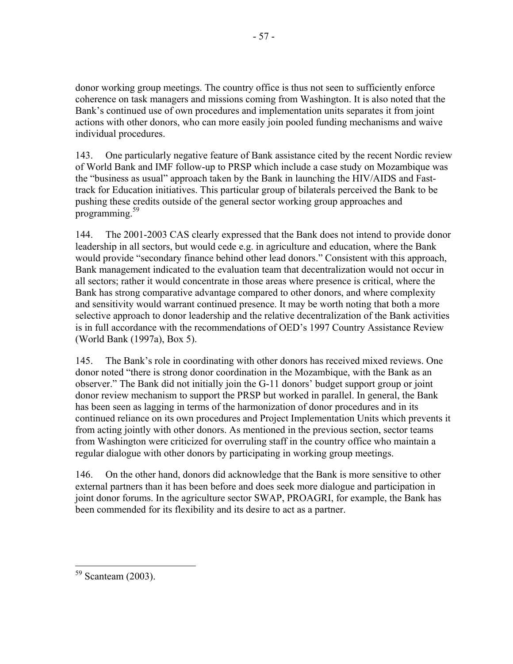donor working group meetings. The country office is thus not seen to sufficiently enforce coherence on task managers and missions coming from Washington. It is also noted that the Bank's continued use of own procedures and implementation units separates it from joint actions with other donors, who can more easily join pooled funding mechanisms and waive individual procedures.

143. One particularly negative feature of Bank assistance cited by the recent Nordic review of World Bank and IMF follow-up to PRSP which include a case study on Mozambique was the "business as usual" approach taken by the Bank in launching the HIV/AIDS and Fasttrack for Education initiatives. This particular group of bilaterals perceived the Bank to be pushing these credits outside of the general sector working group approaches and programming.<sup>59</sup>

144. The 2001-2003 CAS clearly expressed that the Bank does not intend to provide donor leadership in all sectors, but would cede e.g. in agriculture and education, where the Bank would provide "secondary finance behind other lead donors." Consistent with this approach, Bank management indicated to the evaluation team that decentralization would not occur in all sectors; rather it would concentrate in those areas where presence is critical, where the Bank has strong comparative advantage compared to other donors, and where complexity and sensitivity would warrant continued presence. It may be worth noting that both a more selective approach to donor leadership and the relative decentralization of the Bank activities is in full accordance with the recommendations of OED's 1997 Country Assistance Review (World Bank (1997a), Box 5).

145. The Bank's role in coordinating with other donors has received mixed reviews. One donor noted "there is strong donor coordination in the Mozambique, with the Bank as an observer." The Bank did not initially join the G-11 donors' budget support group or joint donor review mechanism to support the PRSP but worked in parallel. In general, the Bank has been seen as lagging in terms of the harmonization of donor procedures and in its continued reliance on its own procedures and Project Implementation Units which prevents it from acting jointly with other donors. As mentioned in the previous section, sector teams from Washington were criticized for overruling staff in the country office who maintain a regular dialogue with other donors by participating in working group meetings.

146. On the other hand, donors did acknowledge that the Bank is more sensitive to other external partners than it has been before and does seek more dialogue and participation in joint donor forums. In the agriculture sector SWAP, PROAGRI, for example, the Bank has been commended for its flexibility and its desire to act as a partner.

 $\overline{a}$ <sup>59</sup> Scanteam (2003).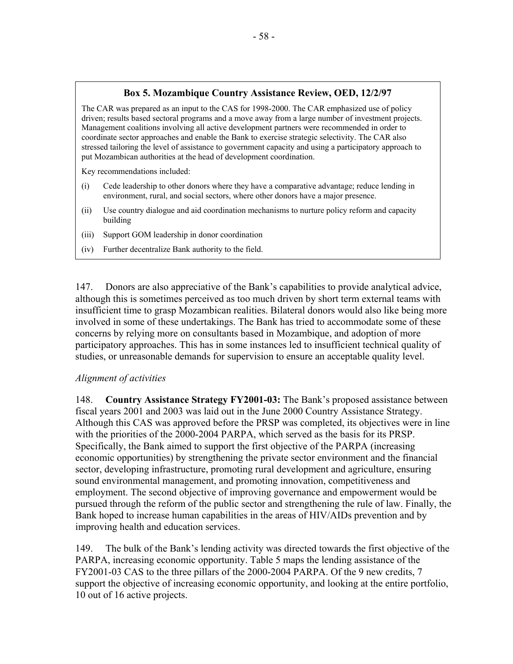### **Box 5. Mozambique Country Assistance Review, OED, 12/2/97**

The CAR was prepared as an input to the CAS for 1998-2000. The CAR emphasized use of policy driven; results based sectoral programs and a move away from a large number of investment projects. Management coalitions involving all active development partners were recommended in order to coordinate sector approaches and enable the Bank to exercise strategic selectivity. The CAR also stressed tailoring the level of assistance to government capacity and using a participatory approach to put Mozambican authorities at the head of development coordination.

Key recommendations included:

- (i) Cede leadership to other donors where they have a comparative advantage; reduce lending in environment, rural, and social sectors, where other donors have a major presence.
- (ii) Use country dialogue and aid coordination mechanisms to nurture policy reform and capacity building
- (iii) Support GOM leadership in donor coordination
- (iv) Further decentralize Bank authority to the field.

147. Donors are also appreciative of the Bank's capabilities to provide analytical advice, although this is sometimes perceived as too much driven by short term external teams with insufficient time to grasp Mozambican realities. Bilateral donors would also like being more involved in some of these undertakings. The Bank has tried to accommodate some of these concerns by relying more on consultants based in Mozambique, and adoption of more participatory approaches. This has in some instances led to insufficient technical quality of studies, or unreasonable demands for supervision to ensure an acceptable quality level.

#### *Alignment of activities*

148. **Country Assistance Strategy FY2001-03:** The Bank's proposed assistance between fiscal years 2001 and 2003 was laid out in the June 2000 Country Assistance Strategy. Although this CAS was approved before the PRSP was completed, its objectives were in line with the priorities of the 2000-2004 PARPA, which served as the basis for its PRSP. Specifically, the Bank aimed to support the first objective of the PARPA (increasing economic opportunities) by strengthening the private sector environment and the financial sector, developing infrastructure, promoting rural development and agriculture, ensuring sound environmental management, and promoting innovation, competitiveness and employment. The second objective of improving governance and empowerment would be pursued through the reform of the public sector and strengthening the rule of law. Finally, the Bank hoped to increase human capabilities in the areas of HIV/AIDs prevention and by improving health and education services.

149. The bulk of the Bank's lending activity was directed towards the first objective of the PARPA, increasing economic opportunity. Table 5 maps the lending assistance of the FY2001-03 CAS to the three pillars of the 2000-2004 PARPA. Of the 9 new credits, 7 support the objective of increasing economic opportunity, and looking at the entire portfolio, 10 out of 16 active projects.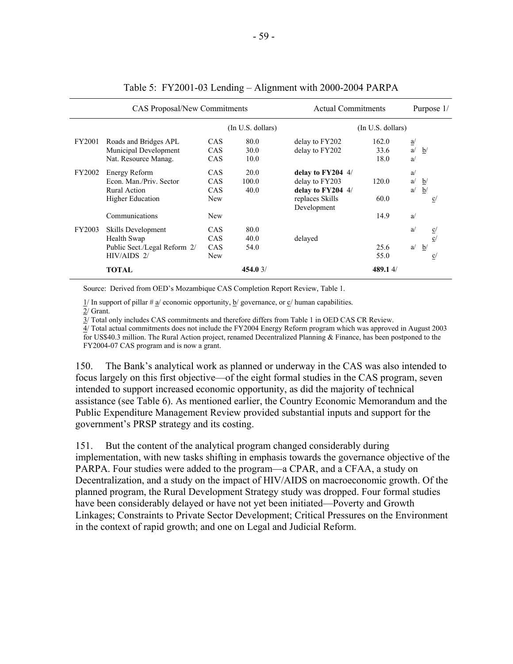|        | <b>CAS Proposal/New Commitments</b> | <b>Actual Commitments</b> | Purpose 1/        |                     |                   |    |                 |                |
|--------|-------------------------------------|---------------------------|-------------------|---------------------|-------------------|----|-----------------|----------------|
|        |                                     |                           | (In U.S. dollars) |                     | (In U.S. dollars) |    |                 |                |
| FY2001 | Roads and Bridges APL               | <b>CAS</b>                | 80.0              | delay to FY202      | 162.0             | a  |                 |                |
|        | Municipal Development               | <b>CAS</b>                | 30.0              | delay to FY202      | 33.6              | a/ | b/              |                |
|        | Nat. Resource Manag.                | <b>CAS</b>                | 10.0              |                     | 18.0              | a  |                 |                |
| FY2002 | Energy Reform                       | <b>CAS</b>                | 20.0              | delay to $FY204$ 4/ |                   | a  |                 |                |
|        | Econ. Man./Priv. Sector             | <b>CAS</b>                | 100.0             | delay to FY203      | 120.0             | a/ | $\mathbf{b}$    |                |
|        | Rural Action                        | <b>CAS</b>                | 40.0              | delay to FY204 4/   |                   | a  | b/              |                |
|        | <b>Higher Education</b>             | New                       |                   | replaces Skills     | 60.0              |    |                 | $\overline{c}$ |
|        |                                     |                           |                   | Development         |                   |    |                 |                |
|        | Communications                      | <b>New</b>                |                   |                     | 14.9              | a  |                 |                |
| FY2003 | Skills Development                  | <b>CAS</b>                | 80.0              |                     |                   | a  |                 | $\frac{c}{2}$  |
|        | Health Swap                         | <b>CAS</b>                | 40.0              | delayed             |                   |    |                 | C/             |
|        | Public Sect./Legal Reform 2/        | <b>CAS</b>                | 54.0              |                     | 25.6              | a  | $\underline{b}$ |                |
|        | $HIV/AIDS$ 2/                       | New                       |                   |                     | 55.0              |    |                 | $\overline{c}$ |
|        | <b>TOTAL</b>                        |                           | 454.03/           |                     | 489.14/           |    |                 |                |

#### Table 5: FY2001-03 Lending – Alignment with 2000-2004 PARPA

Source: Derived from OED's Mozambique CAS Completion Report Review, Table 1.

 $\frac{1}{l}$  In support of pillar #  $\frac{a}{l}$  economic opportunity,  $\frac{b}{l}$  governance, or  $\frac{c}{l}$  human capabilities.

2/ Grant.

3/ Total only includes CAS commitments and therefore differs from Table 1 in OED CAS CR Review.

 $\frac{1}{4}$  Total actual commitments does not include the FY2004 Energy Reform program which was approved in August 2003 for US\$40.3 million. The Rural Action project, renamed Decentralized Planning & Finance, has been postponed to the FY2004-07 CAS program and is now a grant.

150. The Bank's analytical work as planned or underway in the CAS was also intended to focus largely on this first objective—of the eight formal studies in the CAS program, seven intended to support increased economic opportunity, as did the majority of technical assistance (see Table 6). As mentioned earlier, the Country Economic Memorandum and the Public Expenditure Management Review provided substantial inputs and support for the government's PRSP strategy and its costing.

151. But the content of the analytical program changed considerably during implementation, with new tasks shifting in emphasis towards the governance objective of the PARPA. Four studies were added to the program—a CPAR, and a CFAA, a study on Decentralization, and a study on the impact of HIV/AIDS on macroeconomic growth. Of the planned program, the Rural Development Strategy study was dropped. Four formal studies have been considerably delayed or have not yet been initiated—Poverty and Growth Linkages; Constraints to Private Sector Development; Critical Pressures on the Environment in the context of rapid growth; and one on Legal and Judicial Reform.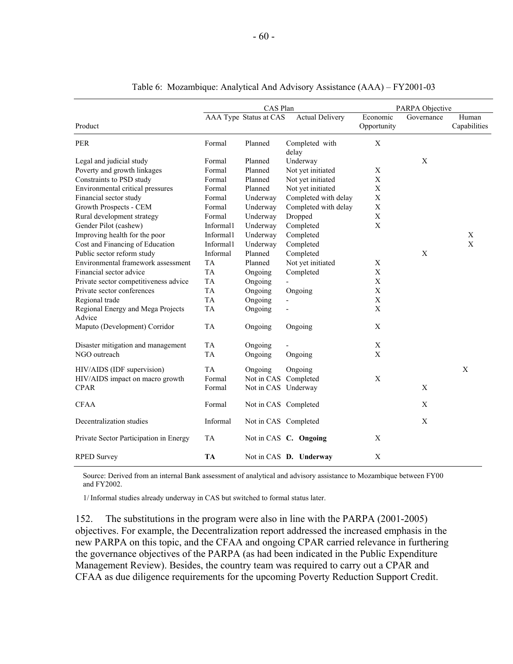|                                             | CAS Plan  |                        |                         | PARPA Objective         |             |                       |  |
|---------------------------------------------|-----------|------------------------|-------------------------|-------------------------|-------------|-----------------------|--|
| Product                                     |           | AAA Type Status at CAS | <b>Actual Delivery</b>  | Economic<br>Opportunity | Governance  | Human<br>Capabilities |  |
|                                             |           |                        |                         |                         |             |                       |  |
| PER                                         | Formal    | Planned                | Completed with<br>delay | X                       |             |                       |  |
| Legal and judicial study                    | Formal    | Planned                | Underway                |                         | X           |                       |  |
| Poverty and growth linkages                 | Formal    | Planned                | Not yet initiated       | X                       |             |                       |  |
| Constraints to PSD study                    | Formal    | Planned                | Not yet initiated       | X                       |             |                       |  |
| Environmental critical pressures            | Formal    | Planned                | Not yet initiated       | X                       |             |                       |  |
| Financial sector study                      | Formal    | Underway               | Completed with delay    | X                       |             |                       |  |
| Growth Prospects - CEM                      | Formal    | Underway               | Completed with delay    | $\mathbf X$             |             |                       |  |
| Rural development strategy                  | Formal    | Underway               | Dropped                 | X                       |             |                       |  |
| Gender Pilot (cashew)                       | Informal1 | Underway               | Completed               | $\mathbf X$             |             |                       |  |
| Improving health for the poor               | Informal1 | Underway               | Completed               |                         |             | X                     |  |
| Cost and Financing of Education             | Informal1 | Underway               | Completed               |                         |             | $\mathbf{X}$          |  |
| Public sector reform study                  | Informal  | Planned                | Completed               |                         | X           |                       |  |
| Environmental framework assessment          | <b>TA</b> | Planned                | Not yet initiated       | X                       |             |                       |  |
| Financial sector advice                     | <b>TA</b> | Ongoing                | Completed               | $\mathbf X$             |             |                       |  |
| Private sector competitiveness advice       | <b>TA</b> | Ongoing                |                         | $\mathbf X$             |             |                       |  |
| Private sector conferences                  | <b>TA</b> | Ongoing                | Ongoing                 | $\mathbf X$             |             |                       |  |
| Regional trade                              | TA        | Ongoing                |                         | $\mathbf X$             |             |                       |  |
| Regional Energy and Mega Projects<br>Advice | TA        | Ongoing                |                         | $\mathbf X$             |             |                       |  |
| Maputo (Development) Corridor               | <b>TA</b> | Ongoing                | Ongoing                 | $\mathbf X$             |             |                       |  |
| Disaster mitigation and management          | TA        | Ongoing                |                         | $\mathbf X$             |             |                       |  |
| NGO outreach                                | <b>TA</b> | Ongoing                | Ongoing                 | $\mathbf X$             |             |                       |  |
| HIV/AIDS (IDF supervision)                  | <b>TA</b> | Ongoing                | Ongoing                 |                         |             | X                     |  |
| HIV/AIDS impact on macro growth             | Formal    | Not in CAS Completed   |                         | X                       |             |                       |  |
| <b>CPAR</b>                                 | Formal    | Not in CAS Underway    |                         |                         | X           |                       |  |
| <b>CFAA</b>                                 | Formal    | Not in CAS Completed   |                         |                         | $\mathbf X$ |                       |  |
| Decentralization studies                    | Informal  | Not in CAS Completed   |                         |                         | $\mathbf X$ |                       |  |
| Private Sector Participation in Energy      | <b>TA</b> |                        | Not in CAS C. Ongoing   | X                       |             |                       |  |
| <b>RPED Survey</b>                          | <b>TA</b> |                        | Not in CAS D. Underway  | X                       |             |                       |  |

#### Table 6: Mozambique: Analytical And Advisory Assistance (AAA) – FY2001-03

Source: Derived from an internal Bank assessment of analytical and advisory assistance to Mozambique between FY00 and FY2002.

1/ Informal studies already underway in CAS but switched to formal status later.

152. The substitutions in the program were also in line with the PARPA (2001-2005) objectives. For example, the Decentralization report addressed the increased emphasis in the new PARPA on this topic, and the CFAA and ongoing CPAR carried relevance in furthering the governance objectives of the PARPA (as had been indicated in the Public Expenditure Management Review). Besides, the country team was required to carry out a CPAR and CFAA as due diligence requirements for the upcoming Poverty Reduction Support Credit.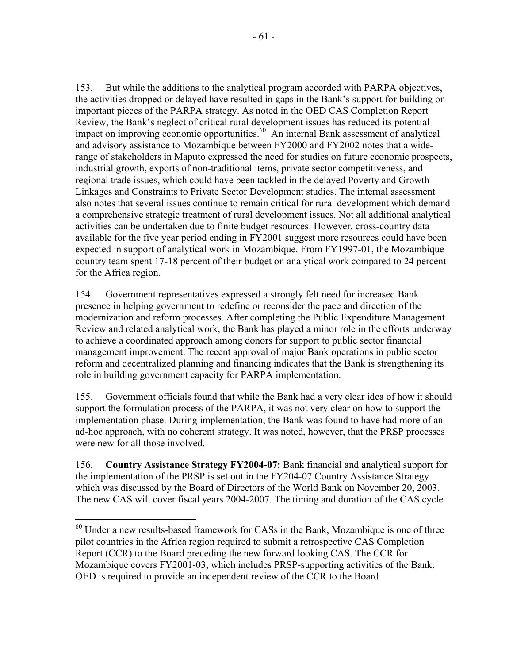153. But while the additions to the analytical program accorded with PARPA objectives, the activities dropped or delayed have resulted in gaps in the Bank's support for building on important pieces of the PARPA strategy. As noted in the OED CAS Completion Report Review, the Bank's neglect of critical rural development issues has reduced its potential impact on improving economic opportunities.<sup>60</sup> An internal Bank assessment of analytical and advisory assistance to Mozambique between FY2000 and FY2002 notes that a widerange of stakeholders in Maputo expressed the need for studies on future economic prospects, industrial growth, exports of non-traditional items, private sector competitiveness, and regional trade issues, which could have been tackled in the delayed Poverty and Growth Linkages and Constraints to Private Sector Development studies. The internal assessment also notes that several issues continue to remain critical for rural development which demand a comprehensive strategic treatment of rural development issues. Not all additional analytical activities can be undertaken due to finite budget resources. However, cross-country data available for the five year period ending in FY2001 suggest more resources could have been expected in support of analytical work in Mozambique. From FY1997-01, the Mozambique country team spent 17-18 percent of their budget on analytical work compared to 24 percent for the Africa region.

154. Government representatives expressed a strongly felt need for increased Bank presence in helping government to redefine or reconsider the pace and direction of the modernization and reform processes. After completing the Public Expenditure Management Review and related analytical work, the Bank has played a minor role in the efforts underway to achieve a coordinated approach among donors for support to public sector financial management improvement. The recent approval of major Bank operations in public sector reform and decentralized planning and financing indicates that the Bank is strengthening its role in building government capacity for PARPA implementation.

155. Government officials found that while the Bank had a very clear idea of how it should support the formulation process of the PARPA, it was not very clear on how to support the implementation phase. During implementation, the Bank was found to have had more of an ad-hoc approach, with no coherent strategy. It was noted, however, that the PRSP processes were new for all those involved.

156. **Country Assistance Strategy FY2004-07:** Bank financial and analytical support for the implementation of the PRSP is set out in the FY204-07 Country Assistance Strategy which was discussed by the Board of Directors of the World Bank on November 20, 2003. The new CAS will cover fiscal years 2004-2007. The timing and duration of the CAS cycle

 $\overline{a}$ 

 $60$  Under a new results-based framework for CASs in the Bank, Mozambique is one of three pilot countries in the Africa region required to submit a retrospective CAS Completion Report (CCR) to the Board preceding the new forward looking CAS. The CCR for Mozambique covers FY2001-03, which includes PRSP-supporting activities of the Bank. OED is required to provide an independent review of the CCR to the Board.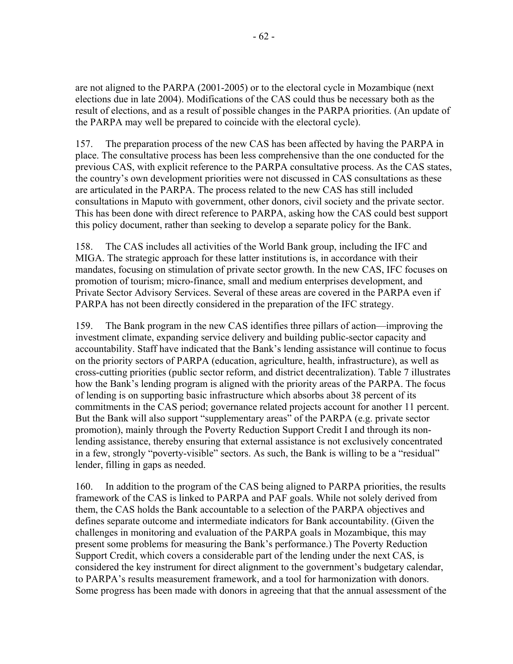are not aligned to the PARPA (2001-2005) or to the electoral cycle in Mozambique (next elections due in late 2004). Modifications of the CAS could thus be necessary both as the result of elections, and as a result of possible changes in the PARPA priorities. (An update of the PARPA may well be prepared to coincide with the electoral cycle).

157. The preparation process of the new CAS has been affected by having the PARPA in place. The consultative process has been less comprehensive than the one conducted for the previous CAS, with explicit reference to the PARPA consultative process. As the CAS states, the country's own development priorities were not discussed in CAS consultations as these are articulated in the PARPA. The process related to the new CAS has still included consultations in Maputo with government, other donors, civil society and the private sector. This has been done with direct reference to PARPA, asking how the CAS could best support this policy document, rather than seeking to develop a separate policy for the Bank.

158. The CAS includes all activities of the World Bank group, including the IFC and MIGA. The strategic approach for these latter institutions is, in accordance with their mandates, focusing on stimulation of private sector growth. In the new CAS, IFC focuses on promotion of tourism; micro-finance, small and medium enterprises development, and Private Sector Advisory Services. Several of these areas are covered in the PARPA even if PARPA has not been directly considered in the preparation of the IFC strategy.

159. The Bank program in the new CAS identifies three pillars of action—improving the investment climate, expanding service delivery and building public-sector capacity and accountability. Staff have indicated that the Bank's lending assistance will continue to focus on the priority sectors of PARPA (education, agriculture, health, infrastructure), as well as cross-cutting priorities (public sector reform, and district decentralization). Table 7 illustrates how the Bank's lending program is aligned with the priority areas of the PARPA. The focus of lending is on supporting basic infrastructure which absorbs about 38 percent of its commitments in the CAS period; governance related projects account for another 11 percent. But the Bank will also support "supplementary areas" of the PARPA (e.g. private sector promotion), mainly through the Poverty Reduction Support Credit I and through its nonlending assistance, thereby ensuring that external assistance is not exclusively concentrated in a few, strongly "poverty-visible" sectors. As such, the Bank is willing to be a "residual" lender, filling in gaps as needed.

160. In addition to the program of the CAS being aligned to PARPA priorities, the results framework of the CAS is linked to PARPA and PAF goals. While not solely derived from them, the CAS holds the Bank accountable to a selection of the PARPA objectives and defines separate outcome and intermediate indicators for Bank accountability. (Given the challenges in monitoring and evaluation of the PARPA goals in Mozambique, this may present some problems for measuring the Bank's performance.) The Poverty Reduction Support Credit, which covers a considerable part of the lending under the next CAS, is considered the key instrument for direct alignment to the government's budgetary calendar, to PARPA's results measurement framework, and a tool for harmonization with donors. Some progress has been made with donors in agreeing that that the annual assessment of the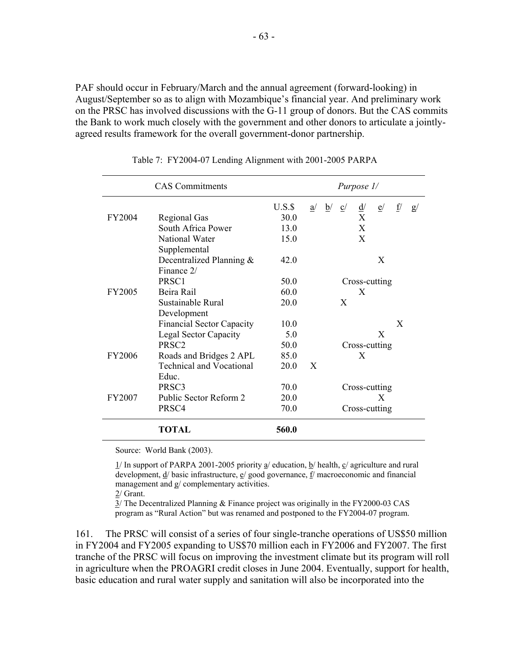PAF should occur in February/March and the annual agreement (forward-looking) in August/September so as to align with Mozambique's financial year. And preliminary work on the PRSC has involved discussions with the G-11 group of donors. But the CAS commits the Bank to work much closely with the government and other donors to articulate a jointlyagreed results framework for the overall government-donor partnership.

|               | Purpose 1/                       |         |    |    |                |               |               |    |    |
|---------------|----------------------------------|---------|----|----|----------------|---------------|---------------|----|----|
|               |                                  | $U.S.\$ | a/ | b/ | $\overline{c}$ | $\frac{d}{ }$ | e/            | f/ | g/ |
| FY2004        | <b>Regional Gas</b>              | 30.0    |    |    |                | X             |               |    |    |
|               | South Africa Power               | 13.0    |    |    |                | X             |               |    |    |
|               | National Water                   | 15.0    |    |    |                | X             |               |    |    |
|               | Supplemental                     |         |    |    |                |               |               |    |    |
|               | Decentralized Planning &         | 42.0    |    |    |                |               | X             |    |    |
|               | Finance 2/                       |         |    |    |                |               |               |    |    |
|               | PRSC <sub>1</sub>                | 50.0    |    |    |                |               | Cross-cutting |    |    |
| <b>FY2005</b> | Beira Rail                       | 60.0    |    |    |                | X             |               |    |    |
|               | Sustainable Rural                | 20.0    |    |    | X              |               |               |    |    |
|               | Development                      |         |    |    |                |               |               |    |    |
|               | <b>Financial Sector Capacity</b> | 10.0    |    |    |                |               |               | X  |    |
|               | <b>Legal Sector Capacity</b>     | 5.0     |    |    |                |               | X             |    |    |
|               | PRSC <sub>2</sub>                | 50.0    |    |    |                |               | Cross-cutting |    |    |
| FY2006        | Roads and Bridges 2 APL          | 85.0    |    |    |                | X             |               |    |    |
|               | <b>Technical and Vocational</b>  | 20.0    | X  |    |                |               |               |    |    |
|               | Educ.                            |         |    |    |                |               |               |    |    |
|               | PRSC <sub>3</sub>                | 70.0    |    |    |                |               | Cross-cutting |    |    |
| FY2007        | Public Sector Reform 2           | 20.0    |    |    |                |               | X             |    |    |
|               | PRSC4                            | 70.0    |    |    |                |               | Cross-cutting |    |    |
|               | <b>TOTAL</b>                     | 560.0   |    |    |                |               |               |    |    |

| Table 7: FY2004-07 Lending Alignment with 2001-2005 PARPA |  |  |  |  |  |  |
|-----------------------------------------------------------|--|--|--|--|--|--|
|-----------------------------------------------------------|--|--|--|--|--|--|

Source: World Bank (2003).

 $1/$  In support of PARPA 2001-2005 priority  $a/$  education,  $b/$  health,  $c/$  agriculture and rural development,  $\underline{d}$  basic infrastructure,  $\underline{e}$  good governance,  $\underline{f}$  macroeconomic and financial management and g/ complementary activities.

2/ Grant.

3/ The Decentralized Planning & Finance project was originally in the FY2000-03 CAS program as "Rural Action" but was renamed and postponed to the FY2004-07 program.

161. The PRSC will consist of a series of four single-tranche operations of US\$50 million in FY2004 and FY2005 expanding to US\$70 million each in FY2006 and FY2007. The first tranche of the PRSC will focus on improving the investment climate but its program will roll in agriculture when the PROAGRI credit closes in June 2004. Eventually, support for health, basic education and rural water supply and sanitation will also be incorporated into the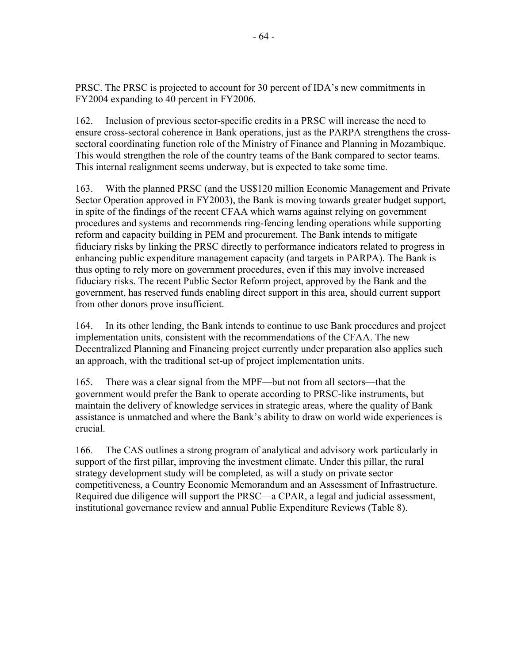PRSC. The PRSC is projected to account for 30 percent of IDA's new commitments in FY2004 expanding to 40 percent in FY2006.

162. Inclusion of previous sector-specific credits in a PRSC will increase the need to ensure cross-sectoral coherence in Bank operations, just as the PARPA strengthens the crosssectoral coordinating function role of the Ministry of Finance and Planning in Mozambique. This would strengthen the role of the country teams of the Bank compared to sector teams. This internal realignment seems underway, but is expected to take some time.

163. With the planned PRSC (and the US\$120 million Economic Management and Private Sector Operation approved in FY2003), the Bank is moving towards greater budget support, in spite of the findings of the recent CFAA which warns against relying on government procedures and systems and recommends ring-fencing lending operations while supporting reform and capacity building in PEM and procurement. The Bank intends to mitigate fiduciary risks by linking the PRSC directly to performance indicators related to progress in enhancing public expenditure management capacity (and targets in PARPA). The Bank is thus opting to rely more on government procedures, even if this may involve increased fiduciary risks. The recent Public Sector Reform project, approved by the Bank and the government, has reserved funds enabling direct support in this area, should current support from other donors prove insufficient.

164. In its other lending, the Bank intends to continue to use Bank procedures and project implementation units, consistent with the recommendations of the CFAA. The new Decentralized Planning and Financing project currently under preparation also applies such an approach, with the traditional set-up of project implementation units.

165. There was a clear signal from the MPF—but not from all sectors—that the government would prefer the Bank to operate according to PRSC-like instruments, but maintain the delivery of knowledge services in strategic areas, where the quality of Bank assistance is unmatched and where the Bank's ability to draw on world wide experiences is crucial.

166. The CAS outlines a strong program of analytical and advisory work particularly in support of the first pillar, improving the investment climate. Under this pillar, the rural strategy development study will be completed, as will a study on private sector competitiveness, a Country Economic Memorandum and an Assessment of Infrastructure. Required due diligence will support the PRSC—a CPAR, a legal and judicial assessment, institutional governance review and annual Public Expenditure Reviews (Table 8).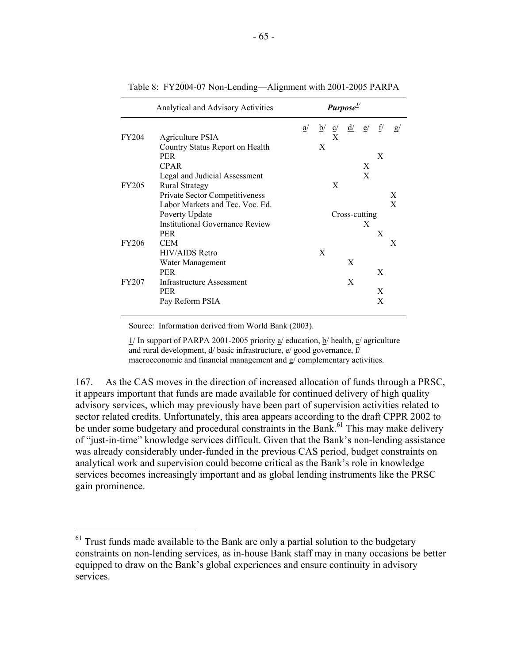|              | Analytical and Advisory Activities | Purpose <sup>1/</sup> |                 |                |               |    |    |    |  |
|--------------|------------------------------------|-----------------------|-----------------|----------------|---------------|----|----|----|--|
|              |                                    | a/                    | $\underline{b}$ | $\overline{c}$ | $\frac{d}{ }$ | e/ | f/ | g/ |  |
| FY204        | Agriculture PSIA                   |                       |                 | X              |               |    |    |    |  |
|              | Country Status Report on Health    |                       | X               |                |               |    |    |    |  |
|              | <b>PER</b>                         |                       |                 |                |               |    | X  |    |  |
|              | <b>CPAR</b>                        |                       |                 |                |               | X  |    |    |  |
|              | Legal and Judicial Assessment      |                       |                 |                |               | X  |    |    |  |
| <b>FY205</b> | <b>Rural Strategy</b>              |                       |                 | X              |               |    |    |    |  |
|              | Private Sector Competitiveness     |                       |                 |                |               |    |    | X  |  |
|              | Labor Markets and Tec. Voc. Ed.    |                       |                 |                |               |    |    | X  |  |
|              | Poverty Update                     |                       |                 |                | Cross-cutting |    |    |    |  |
|              | Institutional Governance Review    |                       |                 |                |               | X  |    |    |  |
|              | <b>PER</b>                         |                       |                 |                |               |    | X  |    |  |
| FY206        | CEM                                |                       |                 |                |               |    |    | X  |  |
|              | <b>HIV/AIDS</b> Retro              |                       | X               |                |               |    |    |    |  |
|              | Water Management                   |                       |                 |                | X             |    |    |    |  |
|              | <b>PER</b>                         |                       |                 |                |               |    | X  |    |  |
| <b>FY207</b> | Infrastructure Assessment          |                       |                 |                | X             |    |    |    |  |
|              | <b>PER</b>                         |                       |                 |                |               |    | X  |    |  |
|              | Pay Reform PSIA                    |                       |                 |                |               |    | X  |    |  |

Table 8: FY2004-07 Non-Lending—Alignment with 2001-2005 PARPA

Source: Information derived from World Bank (2003).

 $\overline{a}$ 

1/ In support of PARPA 2001-2005 priority a/ education, b/ health, c/ agriculture and rural development,  $\underline{d}$  basic infrastructure,  $\underline{e}$  good governance,  $\underline{f}$ macroeconomic and financial management and g/ complementary activities.

167. As the CAS moves in the direction of increased allocation of funds through a PRSC, it appears important that funds are made available for continued delivery of high quality advisory services, which may previously have been part of supervision activities related to sector related credits. Unfortunately, this area appears according to the draft CPPR 2002 to be under some budgetary and procedural constraints in the Bank.<sup>61</sup> This may make delivery of "just-in-time" knowledge services difficult. Given that the Bank's non-lending assistance was already considerably under-funded in the previous CAS period, budget constraints on analytical work and supervision could become critical as the Bank's role in knowledge services becomes increasingly important and as global lending instruments like the PRSC gain prominence.

 $61$  Trust funds made available to the Bank are only a partial solution to the budgetary constraints on non-lending services, as in-house Bank staff may in many occasions be better equipped to draw on the Bank's global experiences and ensure continuity in advisory services.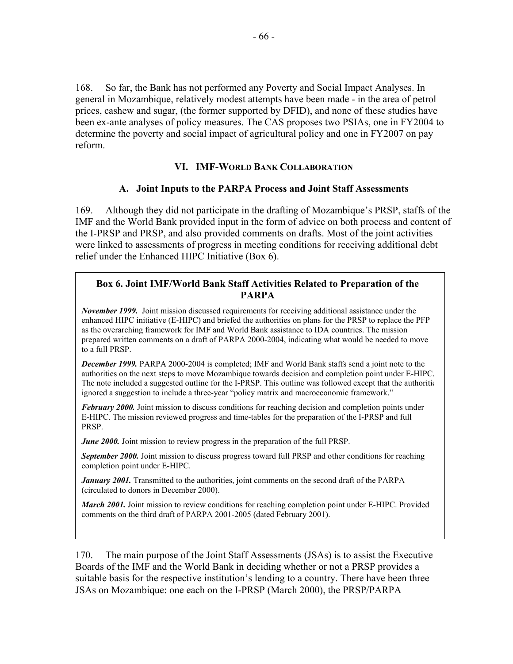168. So far, the Bank has not performed any Poverty and Social Impact Analyses. In general in Mozambique, relatively modest attempts have been made - in the area of petrol prices, cashew and sugar, (the former supported by DFID), and none of these studies have been ex-ante analyses of policy measures. The CAS proposes two PSIAs, one in FY2004 to determine the poverty and social impact of agricultural policy and one in FY2007 on pay reform.

#### **VI. IMF-WORLD BANK COLLABORATION**

#### **A. Joint Inputs to the PARPA Process and Joint Staff Assessments**

169. Although they did not participate in the drafting of Mozambique's PRSP, staffs of the IMF and the World Bank provided input in the form of advice on both process and content of the I-PRSP and PRSP, and also provided comments on drafts. Most of the joint activities were linked to assessments of progress in meeting conditions for receiving additional debt relief under the Enhanced HIPC Initiative (Box 6).

### **Box 6. Joint IMF/World Bank Staff Activities Related to Preparation of the PARPA**

*November 1999.* Joint mission discussed requirements for receiving additional assistance under the enhanced HIPC initiative (E-HIPC) and briefed the authorities on plans for the PRSP to replace the PFP as the overarching framework for IMF and World Bank assistance to IDA countries. The mission prepared written comments on a draft of PARPA 2000-2004, indicating what would be needed to move to a full PRSP.

*December 1999.* PARPA 2000-2004 is completed; IMF and World Bank staffs send a joint note to the authorities on the next steps to move Mozambique towards decision and completion point under E-HIPC. The note included a suggested outline for the I-PRSP. This outline was followed except that the authoritie ignored a suggestion to include a three-year "policy matrix and macroeconomic framework."

*February 2000.* Joint mission to discuss conditions for reaching decision and completion points under E-HIPC. The mission reviewed progress and time-tables for the preparation of the I-PRSP and full PRSP.

*June 2000*. Joint mission to review progress in the preparation of the full PRSP.

**September 2000.** Joint mission to discuss progress toward full PRSP and other conditions for reaching completion point under E-HIPC.

*January 2001*. Transmitted to the authorities, joint comments on the second draft of the PARPA (circulated to donors in December 2000).

*March 2001.* Joint mission to review conditions for reaching completion point under E-HIPC. Provided comments on the third draft of PARPA 2001-2005 (dated February 2001).

170. The main purpose of the Joint Staff Assessments (JSAs) is to assist the Executive Boards of the IMF and the World Bank in deciding whether or not a PRSP provides a suitable basis for the respective institution's lending to a country. There have been three JSAs on Mozambique: one each on the I-PRSP (March 2000), the PRSP/PARPA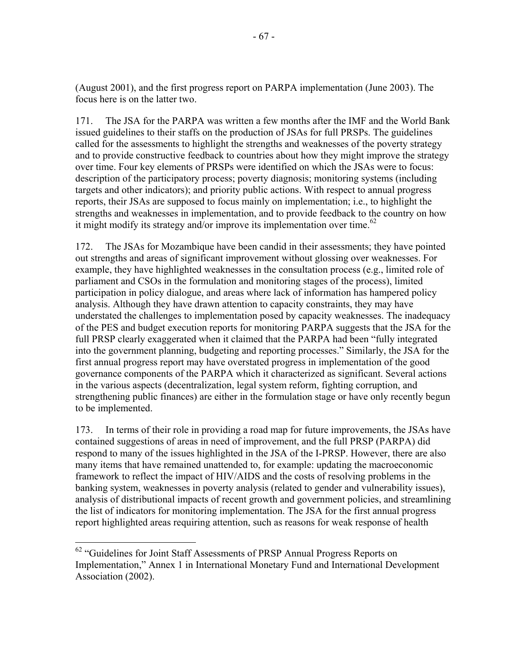(August 2001), and the first progress report on PARPA implementation (June 2003). The focus here is on the latter two.

171. The JSA for the PARPA was written a few months after the IMF and the World Bank issued guidelines to their staffs on the production of JSAs for full PRSPs. The guidelines called for the assessments to highlight the strengths and weaknesses of the poverty strategy and to provide constructive feedback to countries about how they might improve the strategy over time. Four key elements of PRSPs were identified on which the JSAs were to focus: description of the participatory process; poverty diagnosis; monitoring systems (including targets and other indicators); and priority public actions. With respect to annual progress reports, their JSAs are supposed to focus mainly on implementation; i.e., to highlight the strengths and weaknesses in implementation, and to provide feedback to the country on how it might modify its strategy and/or improve its implementation over time. $62$ 

172. The JSAs for Mozambique have been candid in their assessments; they have pointed out strengths and areas of significant improvement without glossing over weaknesses. For example, they have highlighted weaknesses in the consultation process (e.g., limited role of parliament and CSOs in the formulation and monitoring stages of the process), limited participation in policy dialogue, and areas where lack of information has hampered policy analysis. Although they have drawn attention to capacity constraints, they may have understated the challenges to implementation posed by capacity weaknesses. The inadequacy of the PES and budget execution reports for monitoring PARPA suggests that the JSA for the full PRSP clearly exaggerated when it claimed that the PARPA had been "fully integrated into the government planning, budgeting and reporting processes." Similarly, the JSA for the first annual progress report may have overstated progress in implementation of the good governance components of the PARPA which it characterized as significant. Several actions in the various aspects (decentralization, legal system reform, fighting corruption, and strengthening public finances) are either in the formulation stage or have only recently begun to be implemented.

173. In terms of their role in providing a road map for future improvements, the JSAs have contained suggestions of areas in need of improvement, and the full PRSP (PARPA) did respond to many of the issues highlighted in the JSA of the I-PRSP. However, there are also many items that have remained unattended to, for example: updating the macroeconomic framework to reflect the impact of HIV/AIDS and the costs of resolving problems in the banking system, weaknesses in poverty analysis (related to gender and vulnerability issues), analysis of distributional impacts of recent growth and government policies, and streamlining the list of indicators for monitoring implementation. The JSA for the first annual progress report highlighted areas requiring attention, such as reasons for weak response of health

 $\overline{a}$ 

<sup>&</sup>lt;sup>62</sup> "Guidelines for Joint Staff Assessments of PRSP Annual Progress Reports on Implementation," Annex 1 in International Monetary Fund and International Development Association (2002).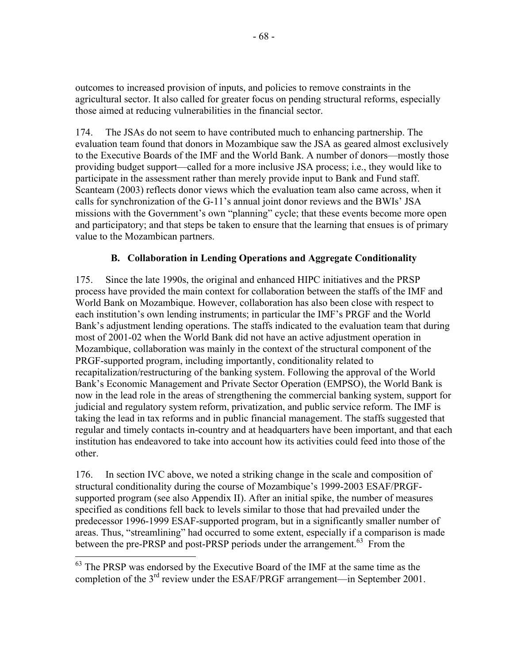outcomes to increased provision of inputs, and policies to remove constraints in the agricultural sector. It also called for greater focus on pending structural reforms, especially those aimed at reducing vulnerabilities in the financial sector.

174. The JSAs do not seem to have contributed much to enhancing partnership. The evaluation team found that donors in Mozambique saw the JSA as geared almost exclusively to the Executive Boards of the IMF and the World Bank. A number of donors—mostly those providing budget support—called for a more inclusive JSA process; i.e., they would like to participate in the assessment rather than merely provide input to Bank and Fund staff. Scanteam (2003) reflects donor views which the evaluation team also came across, when it calls for synchronization of the G-11's annual joint donor reviews and the BWIs' JSA missions with the Government's own "planning" cycle; that these events become more open and participatory; and that steps be taken to ensure that the learning that ensues is of primary value to the Mozambican partners.

# **B. Collaboration in Lending Operations and Aggregate Conditionality**

175. Since the late 1990s, the original and enhanced HIPC initiatives and the PRSP process have provided the main context for collaboration between the staffs of the IMF and World Bank on Mozambique. However, collaboration has also been close with respect to each institution's own lending instruments; in particular the IMF's PRGF and the World Bank's adjustment lending operations. The staffs indicated to the evaluation team that during most of 2001-02 when the World Bank did not have an active adjustment operation in Mozambique, collaboration was mainly in the context of the structural component of the PRGF-supported program, including importantly, conditionality related to recapitalization/restructuring of the banking system. Following the approval of the World Bank's Economic Management and Private Sector Operation (EMPSO), the World Bank is now in the lead role in the areas of strengthening the commercial banking system, support for judicial and regulatory system reform, privatization, and public service reform. The IMF is taking the lead in tax reforms and in public financial management. The staffs suggested that regular and timely contacts in-country and at headquarters have been important, and that each institution has endeavored to take into account how its activities could feed into those of the other.

176. In section IVC above, we noted a striking change in the scale and composition of structural conditionality during the course of Mozambique's 1999-2003 ESAF/PRGFsupported program (see also Appendix II). After an initial spike, the number of measures specified as conditions fell back to levels similar to those that had prevailed under the predecessor 1996-1999 ESAF-supported program, but in a significantly smaller number of areas. Thus, "streamlining" had occurred to some extent, especially if a comparison is made between the pre-PRSP and post-PRSP periods under the arrangement.<sup>63</sup> From the

<sup>1</sup>  $63$  The PRSP was endorsed by the Executive Board of the IMF at the same time as the completion of the 3<sup>rd</sup> review under the ESAF/PRGF arrangement—in September 2001.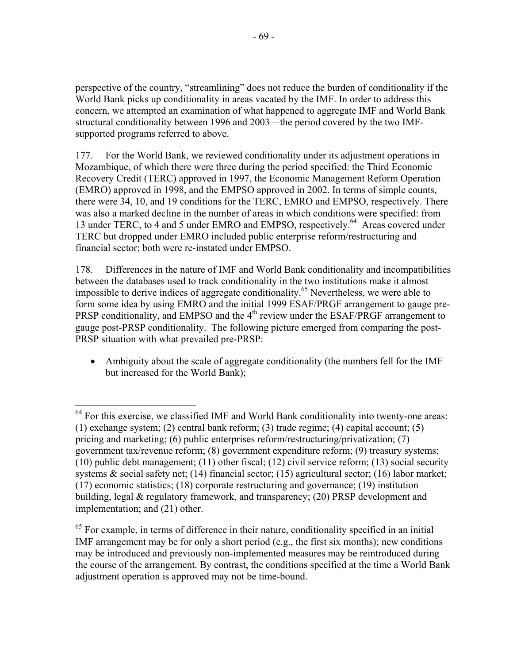perspective of the country, "streamlining" does not reduce the burden of conditionality if the World Bank picks up conditionality in areas vacated by the IMF. In order to address this concern, we attempted an examination of what happened to aggregate IMF and World Bank structural conditionality between 1996 and 2003—the period covered by the two IMFsupported programs referred to above.

177. For the World Bank, we reviewed conditionality under its adjustment operations in Mozambique, of which there were three during the period specified: the Third Economic Recovery Credit (TERC) approved in 1997, the Economic Management Reform Operation (EMRO) approved in 1998, and the EMPSO approved in 2002. In terms of simple counts, there were 34, 10, and 19 conditions for the TERC, EMRO and EMPSO, respectively. There was also a marked decline in the number of areas in which conditions were specified: from 13 under TERC, to 4 and 5 under EMRO and EMPSO, respectively.<sup>64</sup> Areas covered under TERC but dropped under EMRO included public enterprise reform/restructuring and financial sector; both were re-instated under EMPSO.

178. Differences in the nature of IMF and World Bank conditionality and incompatibilities between the databases used to track conditionality in the two institutions make it almost impossible to derive indices of aggregate conditionality.<sup>65</sup> Nevertheless, we were able to form some idea by using EMRO and the initial 1999 ESAF/PRGF arrangement to gauge pre-PRSP conditionality, and EMPSO and the  $4<sup>th</sup>$  review under the ESAF/PRGF arrangement to gauge post-PRSP conditionality. The following picture emerged from comparing the post-PRSP situation with what prevailed pre-PRSP:

• Ambiguity about the scale of aggregate conditionality (the numbers fell for the IMF but increased for the World Bank);

<sup>1</sup>  $64$  For this exercise, we classified IMF and World Bank conditionality into twenty-one areas: (1) exchange system; (2) central bank reform; (3) trade regime; (4) capital account; (5) pricing and marketing; (6) public enterprises reform/restructuring/privatization; (7) government tax/revenue reform; (8) government expenditure reform; (9) treasury systems; (10) public debt management; (11) other fiscal; (12) civil service reform; (13) social security systems & social safety net; (14) financial sector; (15) agricultural sector; (16) labor market; (17) economic statistics; (18) corporate restructuring and governance; (19) institution building, legal & regulatory framework, and transparency; (20) PRSP development and implementation; and (21) other.

 $<sup>65</sup>$  For example, in terms of difference in their nature, conditionality specified in an initial</sup> IMF arrangement may be for only a short period (e.g., the first six months); new conditions may be introduced and previously non-implemented measures may be reintroduced during the course of the arrangement. By contrast, the conditions specified at the time a World Bank adjustment operation is approved may not be time-bound.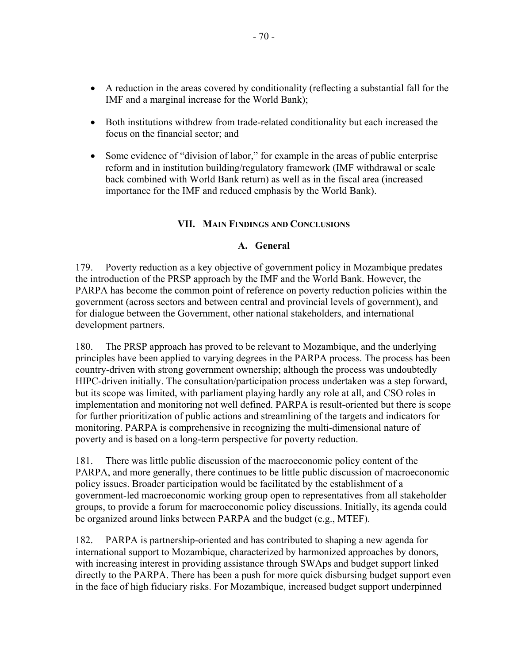- A reduction in the areas covered by conditionality (reflecting a substantial fall for the IMF and a marginal increase for the World Bank);
- Both institutions withdrew from trade-related conditionality but each increased the focus on the financial sector; and
- Some evidence of "division of labor," for example in the areas of public enterprise reform and in institution building/regulatory framework (IMF withdrawal or scale back combined with World Bank return) as well as in the fiscal area (increased importance for the IMF and reduced emphasis by the World Bank).

### **VII. MAIN FINDINGS AND CONCLUSIONS**

### **A. General**

179. Poverty reduction as a key objective of government policy in Mozambique predates the introduction of the PRSP approach by the IMF and the World Bank. However, the PARPA has become the common point of reference on poverty reduction policies within the government (across sectors and between central and provincial levels of government), and for dialogue between the Government, other national stakeholders, and international development partners.

180. The PRSP approach has proved to be relevant to Mozambique, and the underlying principles have been applied to varying degrees in the PARPA process. The process has been country-driven with strong government ownership; although the process was undoubtedly HIPC-driven initially. The consultation/participation process undertaken was a step forward, but its scope was limited, with parliament playing hardly any role at all, and CSO roles in implementation and monitoring not well defined. PARPA is result-oriented but there is scope for further prioritization of public actions and streamlining of the targets and indicators for monitoring. PARPA is comprehensive in recognizing the multi-dimensional nature of poverty and is based on a long-term perspective for poverty reduction.

181. There was little public discussion of the macroeconomic policy content of the PARPA, and more generally, there continues to be little public discussion of macroeconomic policy issues. Broader participation would be facilitated by the establishment of a government-led macroeconomic working group open to representatives from all stakeholder groups, to provide a forum for macroeconomic policy discussions. Initially, its agenda could be organized around links between PARPA and the budget (e.g., MTEF).

182. PARPA is partnership-oriented and has contributed to shaping a new agenda for international support to Mozambique, characterized by harmonized approaches by donors, with increasing interest in providing assistance through SWAps and budget support linked directly to the PARPA. There has been a push for more quick disbursing budget support even in the face of high fiduciary risks. For Mozambique, increased budget support underpinned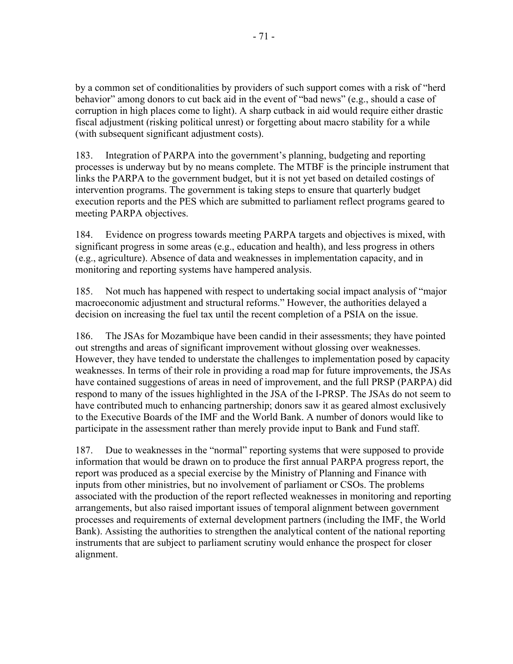by a common set of conditionalities by providers of such support comes with a risk of "herd behavior" among donors to cut back aid in the event of "bad news" (e.g., should a case of corruption in high places come to light). A sharp cutback in aid would require either drastic fiscal adjustment (risking political unrest) or forgetting about macro stability for a while (with subsequent significant adjustment costs).

183. Integration of PARPA into the government's planning, budgeting and reporting processes is underway but by no means complete. The MTBF is the principle instrument that links the PARPA to the government budget, but it is not yet based on detailed costings of intervention programs. The government is taking steps to ensure that quarterly budget execution reports and the PES which are submitted to parliament reflect programs geared to meeting PARPA objectives.

184. Evidence on progress towards meeting PARPA targets and objectives is mixed, with significant progress in some areas (e.g., education and health), and less progress in others (e.g., agriculture). Absence of data and weaknesses in implementation capacity, and in monitoring and reporting systems have hampered analysis.

185. Not much has happened with respect to undertaking social impact analysis of "major macroeconomic adjustment and structural reforms." However, the authorities delayed a decision on increasing the fuel tax until the recent completion of a PSIA on the issue.

186. The JSAs for Mozambique have been candid in their assessments; they have pointed out strengths and areas of significant improvement without glossing over weaknesses. However, they have tended to understate the challenges to implementation posed by capacity weaknesses. In terms of their role in providing a road map for future improvements, the JSAs have contained suggestions of areas in need of improvement, and the full PRSP (PARPA) did respond to many of the issues highlighted in the JSA of the I-PRSP. The JSAs do not seem to have contributed much to enhancing partnership; donors saw it as geared almost exclusively to the Executive Boards of the IMF and the World Bank. A number of donors would like to participate in the assessment rather than merely provide input to Bank and Fund staff.

187. Due to weaknesses in the "normal" reporting systems that were supposed to provide information that would be drawn on to produce the first annual PARPA progress report, the report was produced as a special exercise by the Ministry of Planning and Finance with inputs from other ministries, but no involvement of parliament or CSOs. The problems associated with the production of the report reflected weaknesses in monitoring and reporting arrangements, but also raised important issues of temporal alignment between government processes and requirements of external development partners (including the IMF, the World Bank). Assisting the authorities to strengthen the analytical content of the national reporting instruments that are subject to parliament scrutiny would enhance the prospect for closer alignment.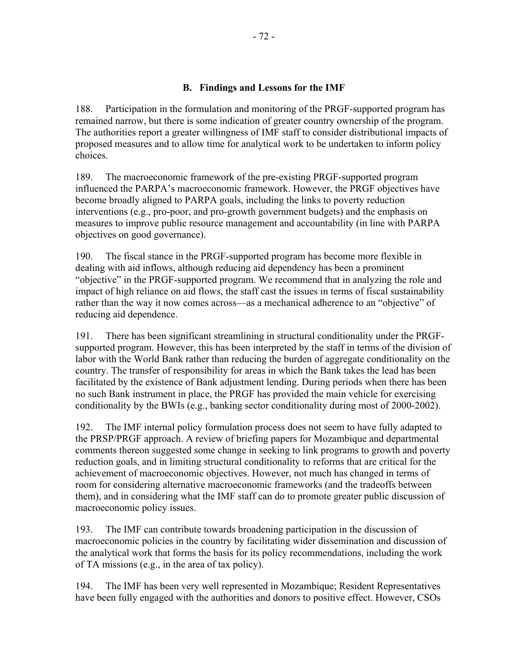### **B. Findings and Lessons for the IMF**

188. Participation in the formulation and monitoring of the PRGF-supported program has remained narrow, but there is some indication of greater country ownership of the program. The authorities report a greater willingness of IMF staff to consider distributional impacts of proposed measures and to allow time for analytical work to be undertaken to inform policy choices.

189. The macroeconomic framework of the pre-existing PRGF-supported program influenced the PARPA's macroeconomic framework. However, the PRGF objectives have become broadly aligned to PARPA goals, including the links to poverty reduction interventions (e.g., pro-poor, and pro-growth government budgets) and the emphasis on measures to improve public resource management and accountability (in line with PARPA objectives on good governance).

190. The fiscal stance in the PRGF-supported program has become more flexible in dealing with aid inflows, although reducing aid dependency has been a prominent "objective" in the PRGF-supported program. We recommend that in analyzing the role and impact of high reliance on aid flows, the staff cast the issues in terms of fiscal sustainability rather than the way it now comes across—as a mechanical adherence to an "objective" of reducing aid dependence.

191. There has been significant streamlining in structural conditionality under the PRGFsupported program. However, this has been interpreted by the staff in terms of the division of labor with the World Bank rather than reducing the burden of aggregate conditionality on the country. The transfer of responsibility for areas in which the Bank takes the lead has been facilitated by the existence of Bank adjustment lending. During periods when there has been no such Bank instrument in place, the PRGF has provided the main vehicle for exercising conditionality by the BWIs (e.g., banking sector conditionality during most of 2000-2002).

192. The IMF internal policy formulation process does not seem to have fully adapted to the PRSP/PRGF approach. A review of briefing papers for Mozambique and departmental comments thereon suggested some change in seeking to link programs to growth and poverty reduction goals, and in limiting structural conditionality to reforms that are critical for the achievement of macroeconomic objectives. However, not much has changed in terms of room for considering alternative macroeconomic frameworks (and the tradeoffs between them), and in considering what the IMF staff can do to promote greater public discussion of macroeconomic policy issues.

193. The IMF can contribute towards broadening participation in the discussion of macroeconomic policies in the country by facilitating wider dissemination and discussion of the analytical work that forms the basis for its policy recommendations, including the work of TA missions (e.g., in the area of tax policy).

194. The IMF has been very well represented in Mozambique; Resident Representatives have been fully engaged with the authorities and donors to positive effect. However, CSOs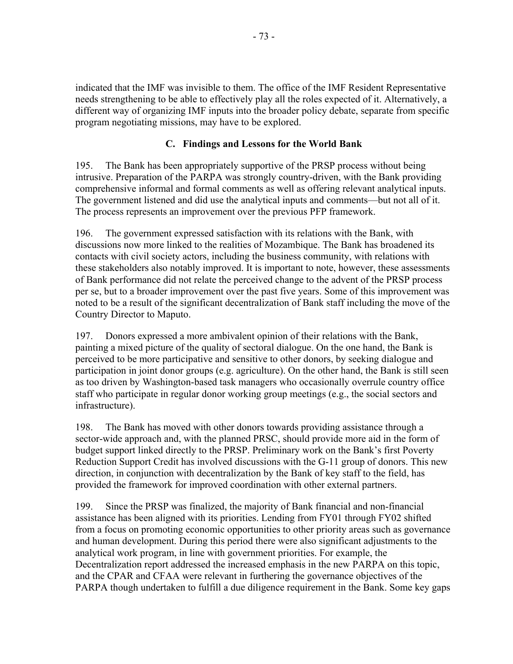indicated that the IMF was invisible to them. The office of the IMF Resident Representative needs strengthening to be able to effectively play all the roles expected of it. Alternatively, a different way of organizing IMF inputs into the broader policy debate, separate from specific program negotiating missions, may have to be explored.

# **C. Findings and Lessons for the World Bank**

195. The Bank has been appropriately supportive of the PRSP process without being intrusive. Preparation of the PARPA was strongly country-driven, with the Bank providing comprehensive informal and formal comments as well as offering relevant analytical inputs. The government listened and did use the analytical inputs and comments—but not all of it. The process represents an improvement over the previous PFP framework.

196. The government expressed satisfaction with its relations with the Bank, with discussions now more linked to the realities of Mozambique. The Bank has broadened its contacts with civil society actors, including the business community, with relations with these stakeholders also notably improved. It is important to note, however, these assessments of Bank performance did not relate the perceived change to the advent of the PRSP process per se, but to a broader improvement over the past five years. Some of this improvement was noted to be a result of the significant decentralization of Bank staff including the move of the Country Director to Maputo.

197. Donors expressed a more ambivalent opinion of their relations with the Bank, painting a mixed picture of the quality of sectoral dialogue. On the one hand, the Bank is perceived to be more participative and sensitive to other donors, by seeking dialogue and participation in joint donor groups (e.g. agriculture). On the other hand, the Bank is still seen as too driven by Washington-based task managers who occasionally overrule country office staff who participate in regular donor working group meetings (e.g., the social sectors and infrastructure).

198. The Bank has moved with other donors towards providing assistance through a sector-wide approach and, with the planned PRSC, should provide more aid in the form of budget support linked directly to the PRSP. Preliminary work on the Bank's first Poverty Reduction Support Credit has involved discussions with the G-11 group of donors. This new direction, in conjunction with decentralization by the Bank of key staff to the field, has provided the framework for improved coordination with other external partners.

199. Since the PRSP was finalized, the majority of Bank financial and non-financial assistance has been aligned with its priorities. Lending from FY01 through FY02 shifted from a focus on promoting economic opportunities to other priority areas such as governance and human development. During this period there were also significant adjustments to the analytical work program, in line with government priorities. For example, the Decentralization report addressed the increased emphasis in the new PARPA on this topic, and the CPAR and CFAA were relevant in furthering the governance objectives of the PARPA though undertaken to fulfill a due diligence requirement in the Bank. Some key gaps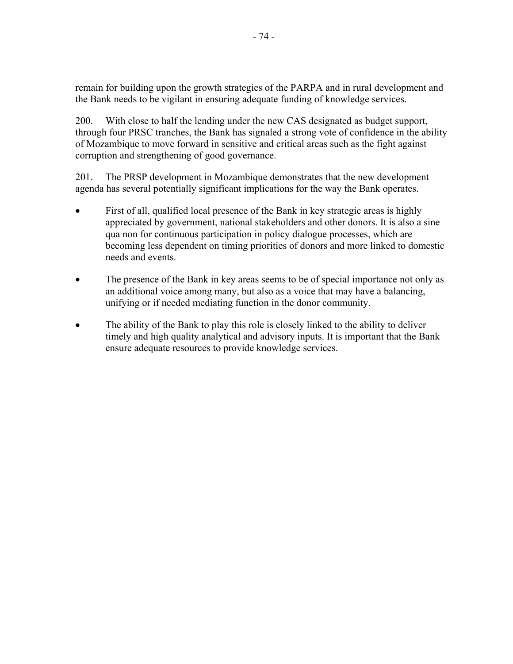remain for building upon the growth strategies of the PARPA and in rural development and the Bank needs to be vigilant in ensuring adequate funding of knowledge services.

200. With close to half the lending under the new CAS designated as budget support, through four PRSC tranches, the Bank has signaled a strong vote of confidence in the ability of Mozambique to move forward in sensitive and critical areas such as the fight against corruption and strengthening of good governance.

201. The PRSP development in Mozambique demonstrates that the new development agenda has several potentially significant implications for the way the Bank operates.

- First of all, qualified local presence of the Bank in key strategic areas is highly appreciated by government, national stakeholders and other donors. It is also a sine qua non for continuous participation in policy dialogue processes, which are becoming less dependent on timing priorities of donors and more linked to domestic needs and events.
- The presence of the Bank in key areas seems to be of special importance not only as an additional voice among many, but also as a voice that may have a balancing, unifying or if needed mediating function in the donor community.
- The ability of the Bank to play this role is closely linked to the ability to deliver timely and high quality analytical and advisory inputs. It is important that the Bank ensure adequate resources to provide knowledge services.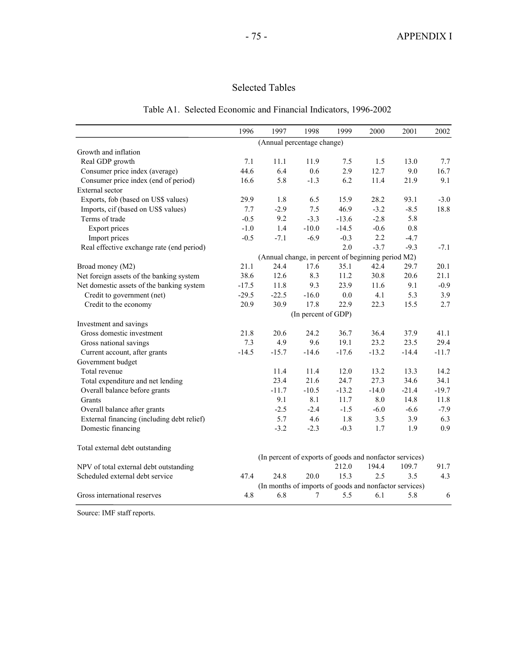# Selected Tables

|  |  | Table A1. Selected Economic and Financial Indicators, 1996-2002 |  |  |  |
|--|--|-----------------------------------------------------------------|--|--|--|
|--|--|-----------------------------------------------------------------|--|--|--|

|                                            | 1996    | 1997                                                    | 1998                | 1999    | 2000    | 2001    | 2002    |
|--------------------------------------------|---------|---------------------------------------------------------|---------------------|---------|---------|---------|---------|
|                                            |         | (Annual percentage change)                              |                     |         |         |         |         |
| Growth and inflation                       |         |                                                         |                     |         |         |         |         |
| Real GDP growth                            | 7.1     | 11.1                                                    | 11.9                | 7.5     | 1.5     | 13.0    | 7.7     |
| Consumer price index (average)             | 44.6    | 6.4                                                     | 0.6                 | 2.9     | 12.7    | 9.0     | 16.7    |
| Consumer price index (end of period)       | 16.6    | 5.8                                                     | $-1.3$              | 6.2     | 11.4    | 21.9    | 9.1     |
| External sector                            |         |                                                         |                     |         |         |         |         |
| Exports, fob (based on US\$ values)        | 29.9    | 1.8                                                     | 6.5                 | 15.9    | 28.2    | 93.1    | $-3.0$  |
| Imports, cif (based on US\$ values)        | 7.7     | $-2.9$                                                  | 7.5                 | 46.9    | $-3.2$  | $-8.5$  | 18.8    |
| Terms of trade                             | $-0.5$  | 9.2                                                     | $-3.3$              | $-13.6$ | $-2.8$  | 5.8     |         |
| <b>Export prices</b>                       | $-1.0$  | 1.4                                                     | $-10.0$             | $-14.5$ | $-0.6$  | $0.8\,$ |         |
| Import prices                              | $-0.5$  | $-7.1$                                                  | $-6.9$              | $-0.3$  | 2.2     | $-4.7$  |         |
| Real effective exchange rate (end period)  |         |                                                         |                     | 2.0     | $-3.7$  | $-9.3$  | $-7.1$  |
|                                            |         | (Annual change, in percent of beginning period M2)      |                     |         |         |         |         |
| Broad money (M2)                           | 21.1    | 24.4                                                    | 17.6                | 35.1    | 42.4    | 29.7    | 20.1    |
| Net foreign assets of the banking system   | 38.6    | 12.6                                                    | 8.3                 | 11.2    | 30.8    | 20.6    | 21.1    |
| Net domestic assets of the banking system  | $-17.5$ | 11.8                                                    | 9.3                 | 23.9    | 11.6    | 9.1     | $-0.9$  |
| Credit to government (net)                 | $-29.5$ | $-22.5$                                                 | $-16.0$             | 0.0     | 4.1     | 5.3     | 3.9     |
| Credit to the economy                      | 20.9    | 30.9                                                    | 17.8                | 22.9    | 22.3    | 15.5    | 2.7     |
|                                            |         |                                                         | (In percent of GDP) |         |         |         |         |
| Investment and savings                     |         |                                                         |                     |         |         |         |         |
| Gross domestic investment                  | 21.8    | 20.6                                                    | 24.2                | 36.7    | 36.4    | 37.9    | 41.1    |
| Gross national savings                     | 7.3     | 4.9                                                     | 9.6                 | 19.1    | 23.2    | 23.5    | 29.4    |
| Current account, after grants              | $-14.5$ | $-15.7$                                                 | $-14.6$             | $-17.6$ | $-13.2$ | $-14.4$ | $-11.7$ |
| Government budget                          |         |                                                         |                     |         |         |         |         |
| Total revenue                              |         | 11.4                                                    | 11.4                | 12.0    | 13.2    | 13.3    | 14.2    |
| Total expenditure and net lending          |         | 23.4                                                    | 21.6                | 24.7    | 27.3    | 34.6    | 34.1    |
| Overall balance before grants              |         | $-11.7$                                                 | $-10.5$             | $-13.2$ | $-14.0$ | $-21.4$ | $-19.7$ |
| Grants                                     |         | 9.1                                                     | 8.1                 | 11.7    | 8.0     | 14.8    | 11.8    |
| Overall balance after grants               |         | $-2.5$                                                  | $-2.4$              | $-1.5$  | $-6.0$  | $-6.6$  | $-7.9$  |
| External financing (including debt relief) |         | 5.7                                                     | 4.6                 | 1.8     | 3.5     | 3.9     | 6.3     |
| Domestic financing                         |         | $-3.2$                                                  | $-2.3$              | $-0.3$  | 1.7     | 1.9     | 0.9     |
| Total external debt outstanding            |         |                                                         |                     |         |         |         |         |
|                                            |         | (In percent of exports of goods and nonfactor services) |                     |         |         |         |         |
| NPV of total external debt outstanding     |         |                                                         |                     | 212.0   | 194.4   | 109.7   | 91.7    |
| Scheduled external debt service            | 47.4    | 24.8                                                    | 20.0                | 15.3    | 2.5     | 3.5     | 4.3     |
|                                            |         | (In months of imports of goods and nonfactor services)  |                     |         |         |         |         |
| Gross international reserves               | 4.8     | 6.8                                                     | 7                   | 5.5     | 6.1     | 5.8     | 6       |

Source: IMF staff reports.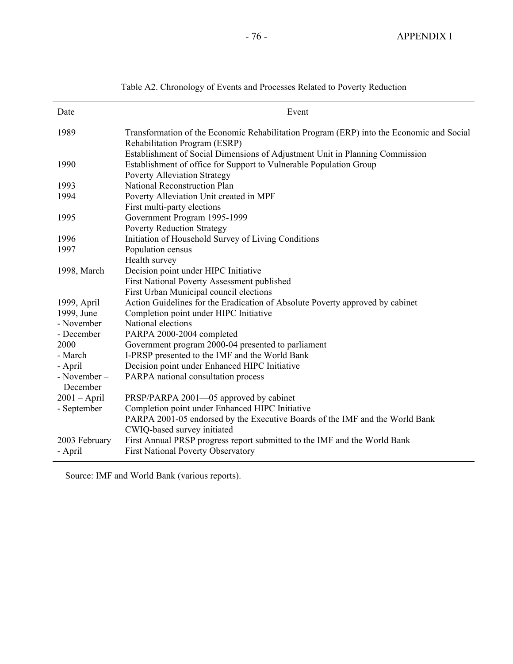| Date                    | Event                                                                                                                                                                                     |
|-------------------------|-------------------------------------------------------------------------------------------------------------------------------------------------------------------------------------------|
| 1989                    | Transformation of the Economic Rehabilitation Program (ERP) into the Economic and Social<br>Rehabilitation Program (ESRP)                                                                 |
| 1990                    | Establishment of Social Dimensions of Adjustment Unit in Planning Commission<br>Establishment of office for Support to Vulnerable Population Group<br><b>Poverty Alleviation Strategy</b> |
| 1993                    | National Reconstruction Plan                                                                                                                                                              |
| 1994                    | Poverty Alleviation Unit created in MPF<br>First multi-party elections                                                                                                                    |
| 1995                    | Government Program 1995-1999<br><b>Poverty Reduction Strategy</b>                                                                                                                         |
| 1996                    | Initiation of Household Survey of Living Conditions                                                                                                                                       |
| 1997                    | Population census<br>Health survey                                                                                                                                                        |
| 1998, March             | Decision point under HIPC Initiative<br>First National Poverty Assessment published<br>First Urban Municipal council elections                                                            |
| 1999, April             | Action Guidelines for the Eradication of Absolute Poverty approved by cabinet                                                                                                             |
| 1999, June              | Completion point under HIPC Initiative                                                                                                                                                    |
| - November              | National elections                                                                                                                                                                        |
| - December              | PARPA 2000-2004 completed                                                                                                                                                                 |
| 2000                    | Government program 2000-04 presented to parliament                                                                                                                                        |
| - March                 | I-PRSP presented to the IMF and the World Bank                                                                                                                                            |
| - April                 | Decision point under Enhanced HIPC Initiative                                                                                                                                             |
| - November-<br>December | PARPA national consultation process                                                                                                                                                       |
| $2001 - April$          | PRSP/PARPA 2001-05 approved by cabinet                                                                                                                                                    |
| - September             | Completion point under Enhanced HIPC Initiative                                                                                                                                           |
|                         | PARPA 2001-05 endorsed by the Executive Boards of the IMF and the World Bank<br>CWIQ-based survey initiated                                                                               |
| 2003 February           | First Annual PRSP progress report submitted to the IMF and the World Bank                                                                                                                 |
| - April                 | <b>First National Poverty Observatory</b>                                                                                                                                                 |

Table A2. Chronology of Events and Processes Related to Poverty Reduction

Source: IMF and World Bank (various reports).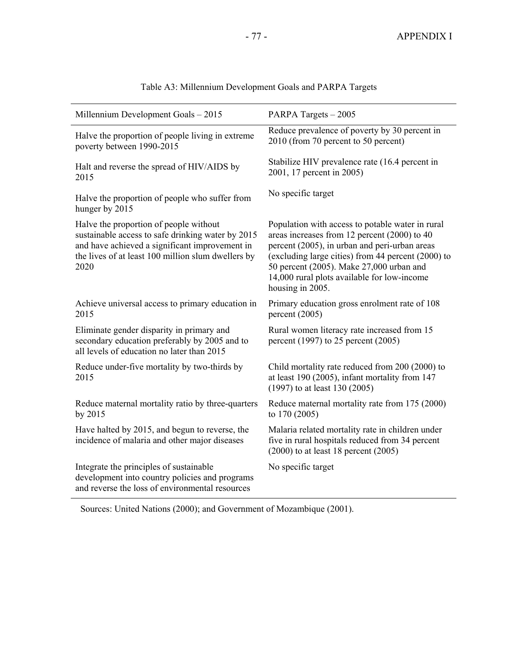| Millennium Development Goals - 2015                                                                                                                                                                         | PARPA Targets - 2005                                                                                                                                                                                                                                                                                                   |
|-------------------------------------------------------------------------------------------------------------------------------------------------------------------------------------------------------------|------------------------------------------------------------------------------------------------------------------------------------------------------------------------------------------------------------------------------------------------------------------------------------------------------------------------|
| Halve the proportion of people living in extreme<br>poverty between 1990-2015                                                                                                                               | Reduce prevalence of poverty by 30 percent in<br>2010 (from 70 percent to 50 percent)                                                                                                                                                                                                                                  |
| Halt and reverse the spread of HIV/AIDS by<br>2015                                                                                                                                                          | Stabilize HIV prevalence rate (16.4 percent in<br>2001, 17 percent in 2005)                                                                                                                                                                                                                                            |
| Halve the proportion of people who suffer from<br>hunger by 2015                                                                                                                                            | No specific target                                                                                                                                                                                                                                                                                                     |
| Halve the proportion of people without<br>sustainable access to safe drinking water by 2015<br>and have achieved a significant improvement in<br>the lives of at least 100 million slum dwellers by<br>2020 | Population with access to potable water in rural<br>areas increases from 12 percent (2000) to 40<br>percent (2005), in urban and peri-urban areas<br>(excluding large cities) from 44 percent (2000) to<br>50 percent (2005). Make 27,000 urban and<br>14,000 rural plots available for low-income<br>housing in 2005. |
| Achieve universal access to primary education in<br>2015                                                                                                                                                    | Primary education gross enrolment rate of 108<br>percent $(2005)$                                                                                                                                                                                                                                                      |
| Eliminate gender disparity in primary and<br>secondary education preferably by 2005 and to<br>all levels of education no later than 2015                                                                    | Rural women literacy rate increased from 15<br>percent (1997) to 25 percent (2005)                                                                                                                                                                                                                                     |
| Reduce under-five mortality by two-thirds by<br>2015                                                                                                                                                        | Child mortality rate reduced from 200 (2000) to<br>at least 190 (2005), infant mortality from 147<br>$(1997)$ to at least 130 (2005)                                                                                                                                                                                   |
| Reduce maternal mortality ratio by three-quarters<br>by 2015                                                                                                                                                | Reduce maternal mortality rate from 175 (2000)<br>to $170(2005)$                                                                                                                                                                                                                                                       |
| Have halted by 2015, and begun to reverse, the<br>incidence of malaria and other major diseases                                                                                                             | Malaria related mortality rate in children under<br>five in rural hospitals reduced from 34 percent<br>$(2000)$ to at least 18 percent $(2005)$                                                                                                                                                                        |
| Integrate the principles of sustainable<br>development into country policies and programs<br>and reverse the loss of environmental resources                                                                | No specific target                                                                                                                                                                                                                                                                                                     |

Table A3: Millennium Development Goals and PARPA Targets

Sources: United Nations (2000); and Government of Mozambique (2001).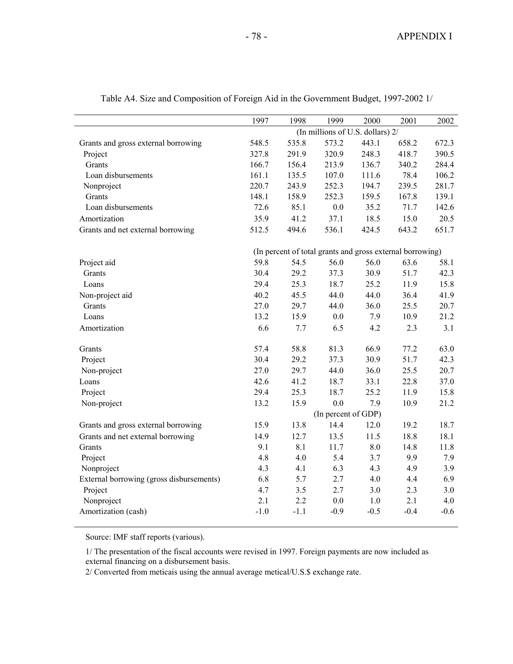|                                          | 1997                                                      | 1998   | 1999                             | 2000   | 2001   | 2002   |
|------------------------------------------|-----------------------------------------------------------|--------|----------------------------------|--------|--------|--------|
|                                          |                                                           |        | (In millions of U.S. dollars) 2/ |        |        |        |
| Grants and gross external borrowing      | 548.5                                                     | 535.8  | 573.2                            | 443.1  | 658.2  | 672.3  |
| Project                                  | 327.8                                                     | 291.9  | 320.9                            | 248.3  | 418.7  | 390.5  |
| Grants                                   | 166.7                                                     | 156.4  | 213.9                            | 136.7  | 340.2  | 284.4  |
| Loan disbursements                       | 161.1                                                     | 135.5  | 107.0                            | 111.6  | 78.4   | 106.2  |
| Nonproject                               | 220.7                                                     | 243.9  | 252.3                            | 194.7  | 239.5  | 281.7  |
| Grants                                   | 148.1                                                     | 158.9  | 252.3                            | 159.5  | 167.8  | 139.1  |
| Loan disbursements                       | 72.6                                                      | 85.1   | 0.0                              | 35.2   | 71.7   | 142.6  |
| Amortization                             | 35.9                                                      | 41.2   | 37.1                             | 18.5   | 15.0   | 20.5   |
| Grants and net external borrowing        | 512.5                                                     | 494.6  | 536.1                            | 424.5  | 643.2  | 651.7  |
|                                          | (In percent of total grants and gross external borrowing) |        |                                  |        |        |        |
| Project aid                              | 59.8                                                      | 54.5   | 56.0                             | 56.0   | 63.6   | 58.1   |
| Grants                                   | 30.4                                                      | 29.2   | 37.3                             | 30.9   | 51.7   | 42.3   |
| Loans                                    | 29.4                                                      | 25.3   | 18.7                             | 25.2   | 11.9   | 15.8   |
| Non-project aid                          | 40.2                                                      | 45.5   | 44.0                             | 44.0   | 36.4   | 41.9   |
| Grants                                   | 27.0                                                      | 29.7   | 44.0                             | 36.0   | 25.5   | 20.7   |
| Loans                                    | 13.2                                                      | 15.9   | $0.0\,$                          | 7.9    | 10.9   | 21.2   |
| Amortization                             | 6.6                                                       | 7.7    | 6.5                              | 4.2    | 2.3    | 3.1    |
| Grants                                   | 57.4                                                      | 58.8   | 81.3                             | 66.9   | 77.2   | 63.0   |
| Project                                  | 30.4                                                      | 29.2   | 37.3                             | 30.9   | 51.7   | 42.3   |
| Non-project                              | 27.0                                                      | 29.7   | 44.0                             | 36.0   | 25.5   | 20.7   |
| Loans                                    | 42.6                                                      | 41.2   | 18.7                             | 33.1   | 22.8   | 37.0   |
| Project                                  | 29.4                                                      | 25.3   | 18.7                             | 25.2   | 11.9   | 15.8   |
| Non-project                              | 13.2                                                      | 15.9   | 0.0                              | 7.9    | 10.9   | 21.2   |
|                                          |                                                           |        | (In percent of GDP)              |        |        |        |
| Grants and gross external borrowing      | 15.9                                                      | 13.8   | 14.4                             | 12.0   | 19.2   | 18.7   |
| Grants and net external borrowing        | 14.9                                                      | 12.7   | 13.5                             | 11.5   | 18.8   | 18.1   |
| Grants                                   | 9.1                                                       | 8.1    | 11.7                             | 8.0    | 14.8   | 11.8   |
| Project                                  | 4.8                                                       | 4.0    | 5.4                              | 3.7    | 9.9    | 7.9    |
| Nonproject                               | 4.3                                                       | 4.1    | 6.3                              | 4.3    | 4.9    | 3.9    |
| External borrowing (gross disbursements) | 6.8                                                       | 5.7    | 2.7                              | 4.0    | 4.4    | 6.9    |
| Project                                  | 4.7                                                       | 3.5    | 2.7                              | 3.0    | 2.3    | 3.0    |
| Nonproject                               | 2.1                                                       | 2.2    | $0.0\,$                          | 1.0    | 2.1    | 4.0    |
| Amortization (cash)                      | $-1.0$                                                    | $-1.1$ | $-0.9$                           | $-0.5$ | $-0.4$ | $-0.6$ |

Table A4. Size and Composition of Foreign Aid in the Government Budget, 1997-2002 1/

Source: IMF staff reports (various).

1/ The presentation of the fiscal accounts were revised in 1997. Foreign payments are now included as external financing on a disbursement basis.

2/ Converted from meticais using the annual average metical/U.S.\$ exchange rate.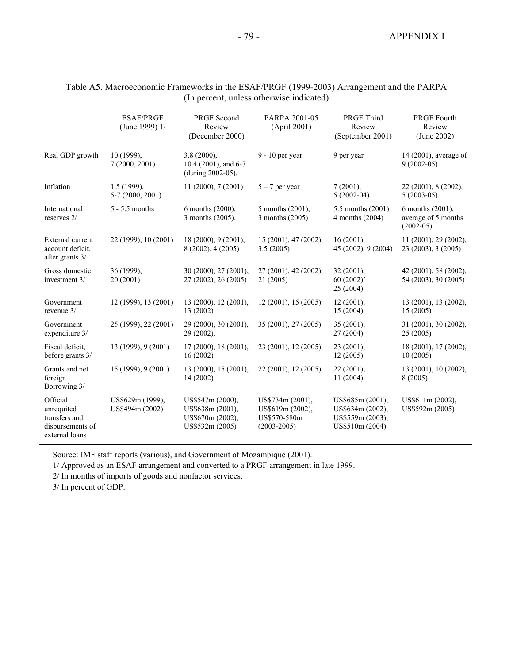|                                                                               | <b>ESAF/PRGF</b><br>(June 1999) 1/  | <b>PRGF</b> Second<br>Review<br>(December 2000)                             | PARPA 2001-05<br>(April 2001)                                           | <b>PRGF</b> Third<br>Review<br>(September 2001)                             | <b>PRGF</b> Fourth<br>Review<br>(June 2002)            |
|-------------------------------------------------------------------------------|-------------------------------------|-----------------------------------------------------------------------------|-------------------------------------------------------------------------|-----------------------------------------------------------------------------|--------------------------------------------------------|
| Real GDP growth                                                               | 10 (1999),<br>7(2000, 2001)         | $3.8(2000)$ ,<br>10.4 (2001), and 6-7<br>(during 2002-05).                  | $9 - 10$ per year                                                       | 9 per year                                                                  | 14 (2001), average of<br>$9(2002-05)$                  |
| Inflation                                                                     | $1.5(1999)$ ,<br>$5-7(2000, 2001)$  | 11(2000), 7(2001)                                                           | $5 - 7$ per year                                                        | 7(2001),<br>$5(2002-04)$                                                    | 22 (2001), 8 (2002),<br>$5(2003-05)$                   |
| International<br>reserves 2/                                                  | $5 - 5.5$ months                    | 6 months (2000),<br>3 months (2005).                                        | 5 months (2001).<br>3 months (2005)                                     | 5.5 months (2001)<br>4 months (2004)                                        | 6 months (2001).<br>average of 5 months<br>$(2002-05)$ |
| External current<br>account deficit.<br>after grants 3/                       | 22 (1999), 10 (2001)                | 18(2000), 9(2001),<br>8 (2002), 4 (2005)                                    | 15 (2001), 47 (2002),<br>3.5(2005)                                      | $16(2001)$ ,<br>45 (2002), 9 (2004)                                         | $11(2001)$ , 29 $(2002)$ ,<br>23 (2003), 3 (2005)      |
| Gross domestic<br>investment 3/                                               | 36 (1999).<br>20 (2001)             | 30 (2000), 27 (2001),<br>27 (2002), 26 (2005)                               | 27 (2001), 42 (2002),<br>21 (2005)                                      | $32(2001)$ ,<br>60(2002)<br>25(2004)                                        | 42 (2001), 58 (2002),<br>54 (2003), 30 (2005)          |
| Government<br>revenue 3/                                                      | 12 (1999), 13 (2001)                | 13 (2000), 12 (2001),<br>13 (2002)                                          | 12(2001), 15(2005)                                                      | $12(2001)$ ,<br>15(2004)                                                    | 13 (2001), 13 (2002),<br>15(2005)                      |
| Government<br>expenditure 3/                                                  | 25 (1999), 22 (2001)                | 29 (2000), 30 (2001),<br>29 (2002).                                         | 35 (2001), 27 (2005)                                                    | 35 (2001),<br>27 (2004)                                                     | 31 (2001), 30 (2002),<br>25(2005)                      |
| Fiscal deficit,<br>before grants 3/                                           | 13 (1999), 9 (2001)                 | 17(2000), 18(2001),<br>16(2002)                                             | 23 (2001), 12 (2005)                                                    | 23 (2001).<br>12(2005)                                                      | 18 (2001), 17 (2002),<br>10(2005)                      |
| Grants and net<br>foreign<br>Borrowing 3/                                     | 15 (1999), 9 (2001)                 | 13 (2000), 15 (2001),<br>14 (2002)                                          | 22 (2001), 12 (2005)                                                    | $22(2001)$ ,<br>11 (2004)                                                   | 13 (2001), 10 (2002),<br>8 (2005)                      |
| Official<br>unrequited<br>transfers and<br>disbursements of<br>external loans | US\$629m (1999),<br>US\$494m (2002) | US\$547m (2000).<br>US\$638m (2001),<br>US\$670m (2002),<br>US\$532m (2005) | US\$734m (2001),<br>US\$619m (2002),<br>US\$570-580m<br>$(2003 - 2005)$ | US\$685m (2001),<br>US\$634m (2002),<br>US\$559m (2003),<br>US\$510m (2004) | US\$611m (2002),<br>US\$592m (2005)                    |

### Table A5. Macroeconomic Frameworks in the ESAF/PRGF (1999-2003) Arrangement and the PARPA (In percent, unless otherwise indicated)

Source: IMF staff reports (various), and Government of Mozambique (2001).

1/ Approved as an ESAF arrangement and converted to a PRGF arrangement in late 1999.

2/ In months of imports of goods and nonfactor services.

3/ In percent of GDP.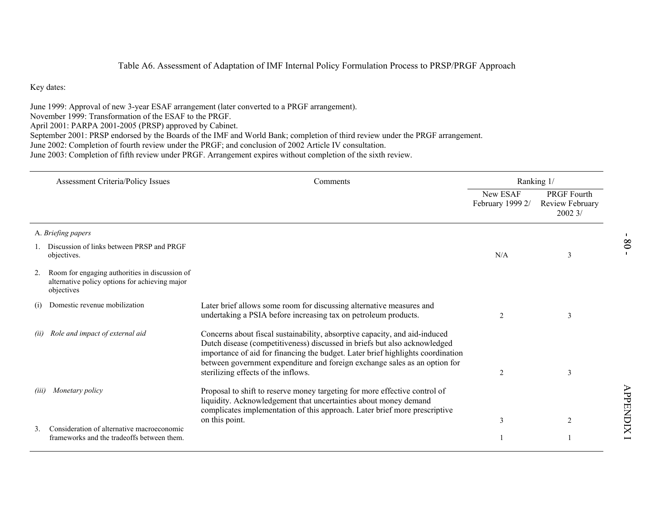|       |                                                                                                                   | Table A6. Assessment of Adaptation of IMF Internal Policy Formulation Process to PRSP/PRGF Approach                                                                                                                                                                                                                                                                                                                                                     |                              |                                                 |                 |
|-------|-------------------------------------------------------------------------------------------------------------------|---------------------------------------------------------------------------------------------------------------------------------------------------------------------------------------------------------------------------------------------------------------------------------------------------------------------------------------------------------------------------------------------------------------------------------------------------------|------------------------------|-------------------------------------------------|-----------------|
|       | Key dates:                                                                                                        |                                                                                                                                                                                                                                                                                                                                                                                                                                                         |                              |                                                 |                 |
|       | November 1999: Transformation of the ESAF to the PRGF.<br>April 2001: PARPA 2001-2005 (PRSP) approved by Cabinet. | June 1999: Approval of new 3-year ESAF arrangement (later converted to a PRGF arrangement).<br>September 2001: PRSP endorsed by the Boards of the IMF and World Bank; completion of third review under the PRGF arrangement.<br>June 2002: Completion of fourth review under the PRGF; and conclusion of 2002 Article IV consultation.<br>June 2003: Completion of fifth review under PRGF. Arrangement expires without completion of the sixth review. |                              |                                                 |                 |
|       | <b>Assessment Criteria/Policy Issues</b>                                                                          | Comments                                                                                                                                                                                                                                                                                                                                                                                                                                                | Ranking 1/                   |                                                 |                 |
|       |                                                                                                                   |                                                                                                                                                                                                                                                                                                                                                                                                                                                         | New ESAF<br>February 1999 2/ | <b>PRGF Fourth</b><br>Review February<br>20023/ |                 |
|       | A. Briefing papers                                                                                                |                                                                                                                                                                                                                                                                                                                                                                                                                                                         |                              |                                                 | $\blacksquare$  |
|       | 1. Discussion of links between PRSP and PRGF<br>objectives.                                                       |                                                                                                                                                                                                                                                                                                                                                                                                                                                         | N/A                          | 3                                               | 80              |
| 2.    | Room for engaging authorities in discussion of<br>alternative policy options for achieving major<br>objectives    |                                                                                                                                                                                                                                                                                                                                                                                                                                                         |                              |                                                 |                 |
| (1)   | Domestic revenue mobilization                                                                                     | Later brief allows some room for discussing alternative measures and<br>undertaking a PSIA before increasing tax on petroleum products.                                                                                                                                                                                                                                                                                                                 | 2                            | 3                                               |                 |
| (ii)  | Role and impact of external aid                                                                                   | Concerns about fiscal sustainability, absorptive capacity, and aid-induced<br>Dutch disease (competitiveness) discussed in briefs but also acknowledged<br>importance of aid for financing the budget. Later brief highlights coordination<br>between government expenditure and foreign exchange sales as an option for<br>sterilizing effects of the inflows.                                                                                         | 2                            | 3                                               |                 |
| (iii) | Monetary policy                                                                                                   | Proposal to shift to reserve money targeting for more effective control of<br>liquidity. Acknowledgement that uncertainties about money demand<br>complicates implementation of this approach. Later brief more prescriptive                                                                                                                                                                                                                            |                              |                                                 | <b>APPENDIX</b> |
|       |                                                                                                                   | on this point.                                                                                                                                                                                                                                                                                                                                                                                                                                          | 3                            | 2                                               |                 |
| 3.    | Consideration of alternative macroeconomic<br>frameworks and the tradeoffs between them.                          |                                                                                                                                                                                                                                                                                                                                                                                                                                                         | 1                            | -1                                              |                 |
|       |                                                                                                                   |                                                                                                                                                                                                                                                                                                                                                                                                                                                         |                              |                                                 |                 |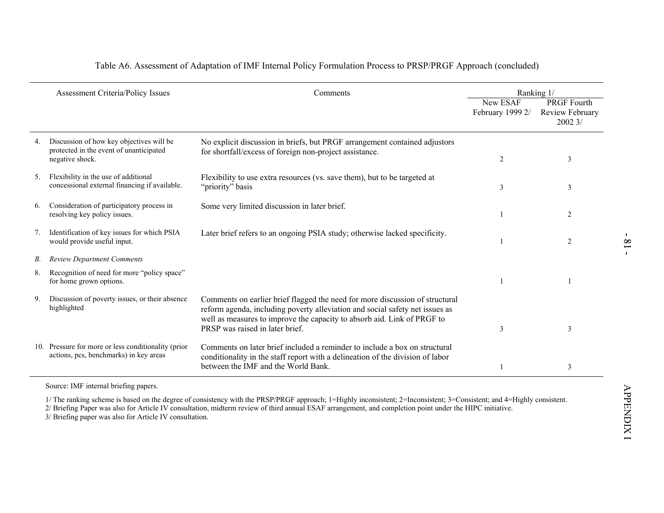|    | Assessment Criteria/Policy Issues                                                                      | Comments                                                                                                                                                                                                                                                                   |                              | Ranking 1/                                       |
|----|--------------------------------------------------------------------------------------------------------|----------------------------------------------------------------------------------------------------------------------------------------------------------------------------------------------------------------------------------------------------------------------------|------------------------------|--------------------------------------------------|
|    |                                                                                                        |                                                                                                                                                                                                                                                                            | New ESAF<br>February 1999 2/ | <b>PRGF Fourth</b><br>Review February<br>2002 3/ |
| 4. | Discussion of how key objectives will be<br>protected in the event of unanticipated<br>negative shock. | No explicit discussion in briefs, but PRGF arrangement contained adjustors<br>for shortfall/excess of foreign non-project assistance.                                                                                                                                      | $\overline{2}$               | 3                                                |
|    | 5. Flexibility in the use of additional<br>concessional external financing if available.               | Flexibility to use extra resources (vs. save them), but to be targeted at<br>"priority" basis                                                                                                                                                                              | 3                            | 3                                                |
| 6. | Consideration of participatory process in<br>resolving key policy issues.                              | Some very limited discussion in later brief.                                                                                                                                                                                                                               | $\mathbf{1}$                 | $\overline{2}$                                   |
| 7. | Identification of key issues for which PSIA<br>would provide useful input.                             | Later brief refers to an ongoing PSIA study; otherwise lacked specificity.                                                                                                                                                                                                 | 1                            | 2                                                |
| В. | <b>Review Department Comments</b>                                                                      |                                                                                                                                                                                                                                                                            |                              |                                                  |
| 8. | Recognition of need for more "policy space"<br>for home grown options.                                 |                                                                                                                                                                                                                                                                            | $\mathbf{1}$                 | 1                                                |
| 9. | Discussion of poverty issues, or their absence<br>highlighted                                          | Comments on earlier brief flagged the need for more discussion of structural<br>reform agenda, including poverty alleviation and social safety net issues as<br>well as measures to improve the capacity to absorb aid. Link of PRGF to<br>PRSP was raised in later brief. | 3                            | 3                                                |
|    | 10. Pressure for more or less conditionality (prior<br>actions, pcs, benchmarks) in key areas          | Comments on later brief included a reminder to include a box on structural<br>conditionality in the staff report with a delineation of the division of labor<br>between the IMF and the World Bank.                                                                        | $\mathbf{1}$                 | 3                                                |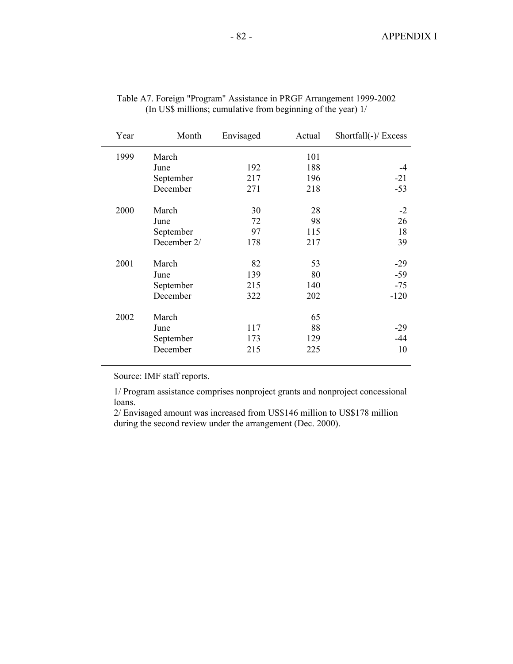| Year | Month       | Envisaged | Actual | Shortfall(-)/ Excess |
|------|-------------|-----------|--------|----------------------|
| 1999 | March       |           | 101    |                      |
|      | June        | 192       | 188    | -4                   |
|      | September   | 217       | 196    | $-21$                |
|      | December    | 271       | 218    | $-53$                |
| 2000 | March       | 30        | 28     | $-2$                 |
|      | June        | 72        | 98     | 26                   |
|      | September   | 97        | 115    | 18                   |
|      | December 2/ | 178       | 217    | 39                   |
| 2001 | March       | 82        | 53     | $-29$                |
|      | June        | 139       | 80     | $-59$                |
|      | September   | 215       | 140    | $-75$                |
|      | December    | 322       | 202    | $-120$               |
| 2002 | March       |           | 65     |                      |
|      | June        | 117       | 88     | $-29$                |
|      | September   | 173       | 129    | $-44$                |
|      | December    | 215       | 225    | 10                   |

| Table A7. Foreign "Program" Assistance in PRGF Arrangement 1999-2002 |
|----------------------------------------------------------------------|
| (In US\$ millions; cumulative from beginning of the year) 1/         |

Source: IMF staff reports.

1/ Program assistance comprises nonproject grants and nonproject concessional loans.

2/ Envisaged amount was increased from US\$146 million to US\$178 million during the second review under the arrangement (Dec. 2000).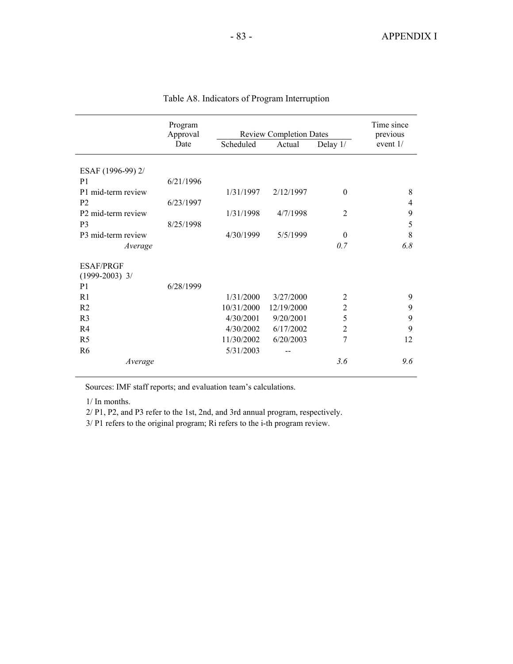|                                | Program<br>Approval |            | <b>Review Completion Dates</b> |                | Time since<br>previous |
|--------------------------------|---------------------|------------|--------------------------------|----------------|------------------------|
|                                | Date                | Scheduled  | Actual                         | Delay $1/$     | event 1/               |
| ESAF (1996-99) 2/              |                     |            |                                |                |                        |
| P <sub>1</sub>                 | 6/21/1996           |            |                                |                |                        |
| P1 mid-term review             |                     | 1/31/1997  | 2/12/1997                      | $\Omega$       | 8                      |
| P <sub>2</sub>                 | 6/23/1997           |            |                                |                | 4                      |
| P <sub>2</sub> mid-term review |                     | 1/31/1998  | 4/7/1998                       | $\overline{2}$ | 9                      |
| P <sub>3</sub>                 | 8/25/1998           |            |                                |                | 5                      |
| P3 mid-term review             |                     | 4/30/1999  | 5/5/1999                       | $\Omega$       | 8                      |
| Average                        |                     |            |                                | 0.7            | 6.8                    |
| <b>ESAF/PRGF</b>               |                     |            |                                |                |                        |
| $(1999-2003)$ 3/               |                     |            |                                |                |                        |
| P <sub>1</sub>                 | 6/28/1999           |            |                                |                |                        |
| R <sub>1</sub>                 |                     | 1/31/2000  | 3/27/2000                      | $\overline{2}$ | 9                      |
| R2                             |                     | 10/31/2000 | 12/19/2000                     | $\overline{2}$ | 9                      |
| R <sub>3</sub>                 |                     | 4/30/2001  | 9/20/2001                      | 5              | 9                      |
| R <sub>4</sub>                 |                     | 4/30/2002  | 6/17/2002                      | $\overline{2}$ | 9                      |
| R <sub>5</sub>                 |                     | 11/30/2002 | 6/20/2003                      | 7              | 12                     |
| R <sub>6</sub>                 |                     | 5/31/2003  |                                |                |                        |
| Average                        |                     |            |                                | 3.6            | 9.6                    |

# Table A8. Indicators of Program Interruption

Sources: IMF staff reports; and evaluation team's calculations.

1/ In months.

2/ P1, P2, and P3 refer to the 1st, 2nd, and 3rd annual program, respectively.

3/ P1 refers to the original program; Ri refers to the i-th program review.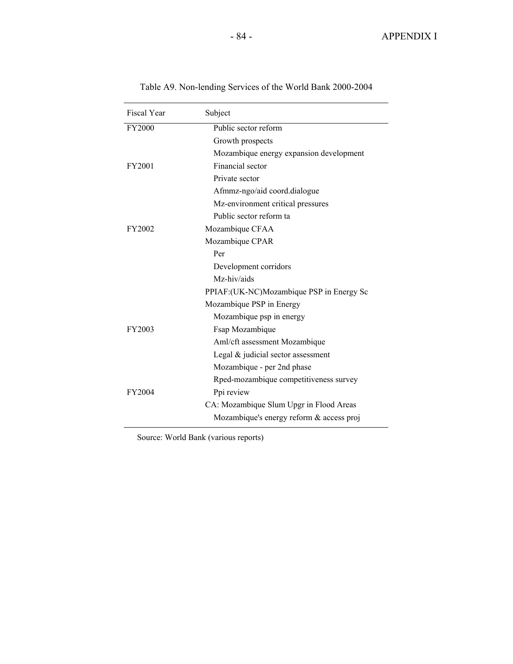| Fiscal Year   | Subject                                   |
|---------------|-------------------------------------------|
| FY2000        | Public sector reform                      |
|               | Growth prospects                          |
|               | Mozambique energy expansion development   |
| FY2001        | Financial sector                          |
|               | Private sector                            |
|               | Afmmz-ngo/aid coord.dialogue              |
|               | Mz-environment critical pressures         |
|               | Public sector reform ta                   |
| FY2002        | Mozambique CFAA                           |
|               | Mozambique CPAR                           |
|               | Per                                       |
|               | Development corridors                     |
|               | Mz-hiv/aids                               |
|               | PPIAF: (UK-NC)Mozambique PSP in Energy Sc |
|               | Mozambique PSP in Energy                  |
|               | Mozambique psp in energy                  |
| FY2003        | Fsap Mozambique                           |
|               | Aml/cft assessment Mozambique             |
|               | Legal $&$ judicial sector assessment      |
|               | Mozambique - per 2nd phase                |
|               | Rped-mozambique competitiveness survey    |
| <b>FY2004</b> | Ppi review                                |
|               | CA: Mozambique Slum Upgr in Flood Areas   |
|               | Mozambique's energy reform & access proj  |

Table A9. Non-lending Services of the World Bank 2000-2004

Source: World Bank (various reports)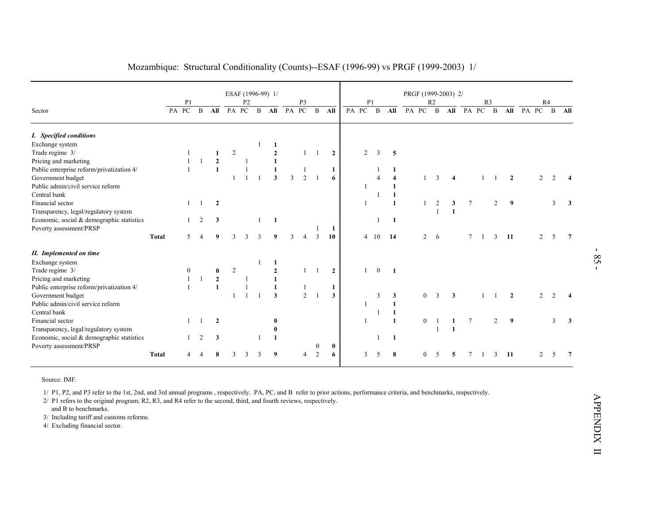| PA PC | P <sub>1</sub>               | B                                                                                                    | All                            | <b>PA</b>                                                                                                                        | P <sub>2</sub>                 |                           |                                          |                                                                                                                                                     |                      |                                                                                       |                                                                           |                                                                                             |                                        |                                                                                                   |                                                                                                                                                   |                                  |                                                                                                                                                          |                                                         |                  |                         |                                                                                |                                                           |        |                                                                             |
|-------|------------------------------|------------------------------------------------------------------------------------------------------|--------------------------------|----------------------------------------------------------------------------------------------------------------------------------|--------------------------------|---------------------------|------------------------------------------|-----------------------------------------------------------------------------------------------------------------------------------------------------|----------------------|---------------------------------------------------------------------------------------|---------------------------------------------------------------------------|---------------------------------------------------------------------------------------------|----------------------------------------|---------------------------------------------------------------------------------------------------|---------------------------------------------------------------------------------------------------------------------------------------------------|----------------------------------|----------------------------------------------------------------------------------------------------------------------------------------------------------|---------------------------------------------------------|------------------|-------------------------|--------------------------------------------------------------------------------|-----------------------------------------------------------|--------|-----------------------------------------------------------------------------|
|       |                              |                                                                                                      |                                |                                                                                                                                  | PC                             | $\mathbf{B}$              | All                                      | PA                                                                                                                                                  | P <sub>3</sub><br>PC | $\, {\bf B}$                                                                          | All                                                                       | PA PC                                                                                       | P1<br>$\mathbf{B}$                     | All                                                                                               | PA PC                                                                                                                                             | R <sub>2</sub><br>$\overline{B}$ | All                                                                                                                                                      | $PA$ $PC$                                               | R <sub>3</sub>   | $\mathbf{B}$            | All                                                                            | PA                                                        |        |                                                                             |
|       |                              |                                                                                                      |                                |                                                                                                                                  |                                |                           |                                          |                                                                                                                                                     |                      |                                                                                       |                                                                           |                                                                                             |                                        |                                                                                                   |                                                                                                                                                   |                                  |                                                                                                                                                          |                                                         |                  |                         |                                                                                |                                                           |        |                                                                             |
|       |                              |                                                                                                      |                                |                                                                                                                                  |                                | 1                         | 1                                        |                                                                                                                                                     |                      |                                                                                       |                                                                           |                                                                                             |                                        |                                                                                                   |                                                                                                                                                   |                                  |                                                                                                                                                          |                                                         |                  |                         |                                                                                |                                                           |        |                                                                             |
|       | $\overline{1}$               |                                                                                                      | 1                              | $\overline{2}$                                                                                                                   |                                |                           | $\overline{2}$                           |                                                                                                                                                     | $\mathbf{1}$         | -1                                                                                    | $\overline{2}$                                                            | $\overline{2}$                                                                              | 3                                      | 5                                                                                                 |                                                                                                                                                   |                                  |                                                                                                                                                          |                                                         |                  |                         |                                                                                |                                                           |        |                                                                             |
|       | $\overline{1}$               | $\overline{1}$                                                                                       | $\mathbf{2}$                   |                                                                                                                                  |                                |                           | $\mathbf{1}$                             |                                                                                                                                                     |                      |                                                                                       |                                                                           |                                                                                             |                                        |                                                                                                   |                                                                                                                                                   |                                  |                                                                                                                                                          |                                                         |                  |                         |                                                                                |                                                           |        |                                                                             |
|       |                              |                                                                                                      |                                |                                                                                                                                  |                                |                           |                                          |                                                                                                                                                     |                      |                                                                                       |                                                                           |                                                                                             |                                        |                                                                                                   |                                                                                                                                                   |                                  |                                                                                                                                                          |                                                         |                  |                         |                                                                                |                                                           |        |                                                                             |
|       |                              |                                                                                                      |                                |                                                                                                                                  |                                |                           |                                          |                                                                                                                                                     |                      |                                                                                       |                                                                           |                                                                                             |                                        |                                                                                                   |                                                                                                                                                   |                                  |                                                                                                                                                          |                                                         |                  |                         |                                                                                |                                                           |        | $\boldsymbol{4}$                                                            |
|       |                              |                                                                                                      |                                |                                                                                                                                  |                                |                           |                                          |                                                                                                                                                     |                      |                                                                                       |                                                                           |                                                                                             |                                        |                                                                                                   |                                                                                                                                                   |                                  |                                                                                                                                                          |                                                         |                  |                         |                                                                                |                                                           |        |                                                                             |
|       |                              |                                                                                                      |                                |                                                                                                                                  |                                |                           |                                          |                                                                                                                                                     |                      |                                                                                       |                                                                           |                                                                                             |                                        |                                                                                                   |                                                                                                                                                   |                                  |                                                                                                                                                          |                                                         |                  |                         |                                                                                |                                                           |        |                                                                             |
|       |                              |                                                                                                      |                                |                                                                                                                                  |                                |                           |                                          |                                                                                                                                                     |                      |                                                                                       |                                                                           |                                                                                             |                                        |                                                                                                   |                                                                                                                                                   |                                  |                                                                                                                                                          |                                                         |                  |                         |                                                                                |                                                           |        | $\mathbf{3}$                                                                |
|       |                              |                                                                                                      |                                |                                                                                                                                  |                                |                           |                                          |                                                                                                                                                     |                      |                                                                                       |                                                                           |                                                                                             |                                        |                                                                                                   |                                                                                                                                                   |                                  |                                                                                                                                                          |                                                         |                  |                         |                                                                                |                                                           |        |                                                                             |
|       |                              |                                                                                                      |                                |                                                                                                                                  |                                |                           |                                          |                                                                                                                                                     |                      |                                                                                       |                                                                           |                                                                                             |                                        |                                                                                                   |                                                                                                                                                   |                                  |                                                                                                                                                          |                                                         |                  |                         |                                                                                |                                                           |        |                                                                             |
|       |                              |                                                                                                      |                                |                                                                                                                                  |                                |                           |                                          |                                                                                                                                                     |                      | -1                                                                                    |                                                                           |                                                                                             |                                        |                                                                                                   |                                                                                                                                                   |                                  |                                                                                                                                                          |                                                         |                  |                         |                                                                                |                                                           |        |                                                                             |
|       |                              |                                                                                                      | 9                              |                                                                                                                                  |                                |                           |                                          |                                                                                                                                                     |                      |                                                                                       |                                                                           |                                                                                             |                                        |                                                                                                   |                                                                                                                                                   |                                  |                                                                                                                                                          |                                                         |                  |                         |                                                                                |                                                           |        | 7                                                                           |
|       |                              |                                                                                                      |                                |                                                                                                                                  |                                |                           |                                          |                                                                                                                                                     |                      |                                                                                       |                                                                           |                                                                                             |                                        |                                                                                                   |                                                                                                                                                   |                                  |                                                                                                                                                          |                                                         |                  |                         |                                                                                |                                                           |        |                                                                             |
|       |                              |                                                                                                      |                                |                                                                                                                                  |                                |                           |                                          |                                                                                                                                                     |                      |                                                                                       |                                                                           |                                                                                             |                                        |                                                                                                   |                                                                                                                                                   |                                  |                                                                                                                                                          |                                                         |                  |                         |                                                                                |                                                           |        |                                                                             |
|       |                              |                                                                                                      |                                |                                                                                                                                  |                                | 1                         |                                          |                                                                                                                                                     |                      |                                                                                       |                                                                           |                                                                                             |                                        |                                                                                                   |                                                                                                                                                   |                                  |                                                                                                                                                          |                                                         |                  |                         |                                                                                |                                                           |        |                                                                             |
|       |                              |                                                                                                      |                                |                                                                                                                                  |                                |                           | $\overline{2}$                           |                                                                                                                                                     |                      |                                                                                       |                                                                           | $\mathbf{1}$                                                                                |                                        |                                                                                                   |                                                                                                                                                   |                                  |                                                                                                                                                          |                                                         |                  |                         |                                                                                |                                                           |        |                                                                             |
|       |                              | $\overline{1}$                                                                                       |                                |                                                                                                                                  |                                |                           |                                          |                                                                                                                                                     |                      |                                                                                       |                                                                           |                                                                                             |                                        |                                                                                                   |                                                                                                                                                   |                                  |                                                                                                                                                          |                                                         |                  |                         |                                                                                |                                                           |        |                                                                             |
|       |                              |                                                                                                      |                                |                                                                                                                                  | $\mathbf{1}$                   |                           |                                          |                                                                                                                                                     |                      |                                                                                       |                                                                           |                                                                                             |                                        |                                                                                                   |                                                                                                                                                   |                                  |                                                                                                                                                          |                                                         |                  |                         |                                                                                |                                                           |        |                                                                             |
|       |                              |                                                                                                      |                                |                                                                                                                                  |                                |                           |                                          |                                                                                                                                                     |                      |                                                                                       |                                                                           |                                                                                             |                                        |                                                                                                   |                                                                                                                                                   |                                  |                                                                                                                                                          |                                                         |                  |                         |                                                                                |                                                           |        | $\overline{4}$                                                              |
|       |                              |                                                                                                      |                                |                                                                                                                                  |                                |                           |                                          |                                                                                                                                                     |                      |                                                                                       |                                                                           | $\overline{1}$                                                                              |                                        |                                                                                                   |                                                                                                                                                   |                                  |                                                                                                                                                          |                                                         |                  |                         |                                                                                |                                                           |        |                                                                             |
|       |                              |                                                                                                      |                                |                                                                                                                                  |                                |                           |                                          |                                                                                                                                                     |                      |                                                                                       |                                                                           |                                                                                             |                                        |                                                                                                   |                                                                                                                                                   |                                  |                                                                                                                                                          |                                                         |                  |                         |                                                                                |                                                           |        |                                                                             |
|       |                              |                                                                                                      |                                |                                                                                                                                  |                                |                           |                                          |                                                                                                                                                     |                      |                                                                                       |                                                                           |                                                                                             |                                        |                                                                                                   |                                                                                                                                                   |                                  |                                                                                                                                                          |                                                         |                  |                         |                                                                                |                                                           |        | $\mathbf{3}$                                                                |
|       |                              |                                                                                                      |                                |                                                                                                                                  |                                |                           |                                          |                                                                                                                                                     |                      |                                                                                       |                                                                           |                                                                                             |                                        |                                                                                                   |                                                                                                                                                   |                                  |                                                                                                                                                          |                                                         |                  |                         |                                                                                |                                                           |        |                                                                             |
|       |                              |                                                                                                      |                                |                                                                                                                                  |                                |                           |                                          |                                                                                                                                                     |                      |                                                                                       |                                                                           |                                                                                             |                                        |                                                                                                   |                                                                                                                                                   |                                  |                                                                                                                                                          |                                                         |                  |                         |                                                                                |                                                           |        |                                                                             |
|       |                              |                                                                                                      |                                |                                                                                                                                  |                                |                           |                                          |                                                                                                                                                     |                      |                                                                                       |                                                                           |                                                                                             |                                        |                                                                                                   |                                                                                                                                                   |                                  |                                                                                                                                                          |                                                         |                  |                         |                                                                                |                                                           |        |                                                                             |
|       | $\overline{4}$               |                                                                                                      |                                | $\mathbf{3}$                                                                                                                     | 3                              |                           |                                          |                                                                                                                                                     | $\overline{4}$       |                                                                                       |                                                                           |                                                                                             |                                        |                                                                                                   |                                                                                                                                                   |                                  |                                                                                                                                                          | 7                                                       | -1               |                         |                                                                                |                                                           |        | $\overline{7}$                                                              |
|       | <b>Total</b><br><b>Total</b> | $\overline{1}$<br>$\mathbf{1}$<br>1<br>5<br>$\mathbf{0}$<br>1<br>$\mathbf{1}$<br>$\overline{1}$<br>1 | $\overline{1}$<br>2<br>-1<br>2 | $\mathbf{1}$<br>$\overline{2}$<br>$\mathbf{3}$<br>$\bf{0}$<br>$\mathbf 2$<br>$\mathbf{1}$<br>$\overline{2}$<br>$\mathbf{3}$<br>8 | 1<br>3<br>$\overline{c}$<br>-1 | $\overline{1}$<br>3<br>-1 | $\overline{1}$<br>1<br>3<br>-1<br>1<br>3 | $\mathbf{1}$<br>$\overline{\mathbf{3}}$<br>1<br>9<br>1<br>$\mathbf{1}$<br>$\mathbf{1}$<br>$\overline{\mathbf{3}}$<br>$\bf{0}$<br>$\bf{0}$<br>1<br>9 | 3<br>3               | $\mathbf{1}$<br>2<br>$\overline{4}$<br>$\mathbf{1}$<br>$\mathbf{1}$<br>$\overline{2}$ | -1<br>3<br>$\overline{1}$<br>$\overline{1}$<br>$\bf{0}$<br>$\overline{2}$ | $\mathbf{1}$<br>6<br>1<br><b>10</b><br>$\overline{2}$<br>1<br>$\mathbf{3}$<br>$\bf{0}$<br>6 | $\overline{1}$<br>-1<br>$\overline{1}$ | 1<br>$\overline{4}$<br>1<br>1<br>$4\quad10$<br>$\mathbf{0}$<br>3<br>1<br>1<br>$\mathfrak{Z}$<br>5 | 1<br>$\overline{\mathbf{4}}$<br>1<br>1<br>$\mathbf{1}$<br>$\mathbf{1}$<br>-14<br>$\mathbf{1}$<br>3<br>$\mathbf{1}$<br>$\mathbf{1}$<br>1<br>1<br>8 |                                  | $\overline{3}$<br>$\mathbf{1}$<br>2<br>1<br>$\mathbf{1}$<br>$\overline{2}$<br>6<br>$\mathbf{0}$<br>3<br>$\boldsymbol{0}$<br>-1<br>1<br>$\mathbf{0}$<br>5 | $\overline{4}$<br>3<br>$\mathbf{1}$<br>3<br>1<br>1<br>5 | 7<br>7<br>$\tau$ | $\mathbf{1}$<br>-1<br>1 | -1<br>$\overline{2}$<br>$\mathfrak{Z}$<br>-1<br>$\overline{2}$<br>$\mathbf{3}$ | $\boldsymbol{2}$<br>9<br>-11<br>$\overline{2}$<br>9<br>11 | 2<br>2 | 2<br>$\overline{3}$<br>2<br>5<br>2<br>$\mathfrak{Z}$<br>$\overline{2}$<br>5 |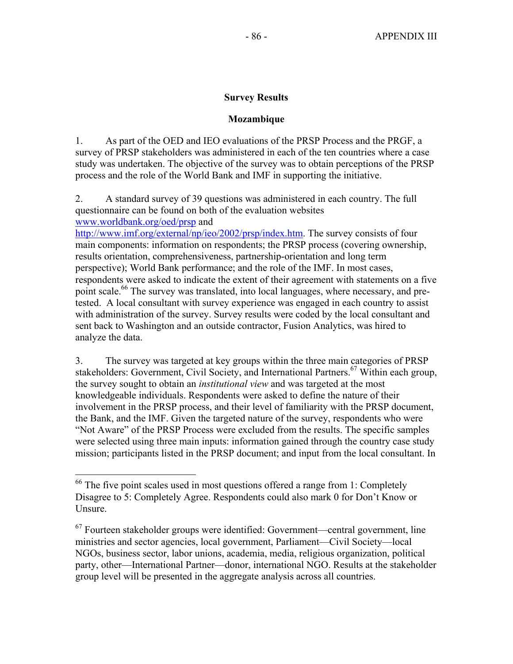# **Survey Results**

# **Mozambique**

1. As part of the OED and IEO evaluations of the PRSP Process and the PRGF, a survey of PRSP stakeholders was administered in each of the ten countries where a case study was undertaken. The objective of the survey was to obtain perceptions of the PRSP process and the role of the World Bank and IMF in supporting the initiative.

2. A standard survey of 39 questions was administered in each country. The full questionnaire can be found on both of the evaluation websites www.worldbank.org/oed/prsp and

http://www.imf.org/external/np/ieo/2002/prsp/index.htm. The survey consists of four main components: information on respondents; the PRSP process (covering ownership, results orientation, comprehensiveness, partnership-orientation and long term perspective); World Bank performance; and the role of the IMF. In most cases, respondents were asked to indicate the extent of their agreement with statements on a five point scale.<sup>66</sup> The survey was translated, into local languages, where necessary, and pretested. A local consultant with survey experience was engaged in each country to assist with administration of the survey. Survey results were coded by the local consultant and sent back to Washington and an outside contractor, Fusion Analytics, was hired to analyze the data.

3. The survey was targeted at key groups within the three main categories of PRSP stakeholders: Government, Civil Society, and International Partners.<sup>67</sup> Within each group, the survey sought to obtain an *institutional view* and was targeted at the most knowledgeable individuals. Respondents were asked to define the nature of their involvement in the PRSP process, and their level of familiarity with the PRSP document, the Bank, and the IMF. Given the targeted nature of the survey, respondents who were "Not Aware" of the PRSP Process were excluded from the results. The specific samples were selected using three main inputs: information gained through the country case study mission; participants listed in the PRSP document; and input from the local consultant. In

1

<sup>&</sup>lt;sup>66</sup> The five point scales used in most questions offered a range from 1: Completely Disagree to 5: Completely Agree. Respondents could also mark 0 for Don't Know or Unsure.

 $67$  Fourteen stakeholder groups were identified: Government—central government, line ministries and sector agencies, local government, Parliament—Civil Society—local NGOs, business sector, labor unions, academia, media, religious organization, political party, other—International Partner—donor, international NGO. Results at the stakeholder group level will be presented in the aggregate analysis across all countries.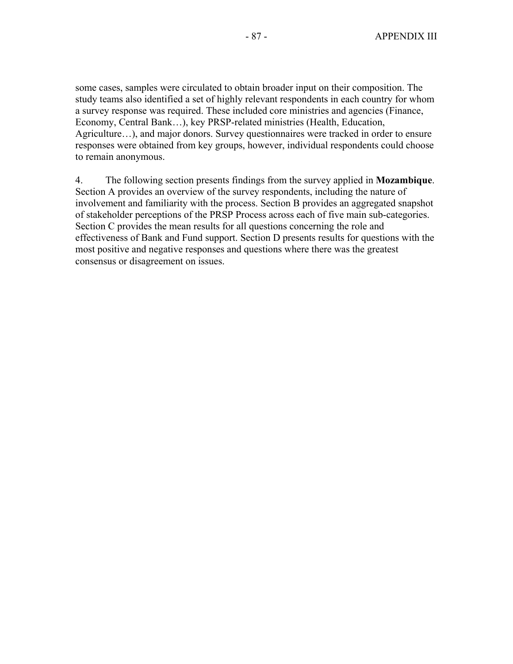some cases, samples were circulated to obtain broader input on their composition. The study teams also identified a set of highly relevant respondents in each country for whom a survey response was required. These included core ministries and agencies (Finance, Economy, Central Bank…), key PRSP-related ministries (Health, Education, Agriculture…), and major donors. Survey questionnaires were tracked in order to ensure responses were obtained from key groups, however, individual respondents could choose to remain anonymous.

4. The following section presents findings from the survey applied in **Mozambique**. Section A provides an overview of the survey respondents, including the nature of involvement and familiarity with the process. Section B provides an aggregated snapshot of stakeholder perceptions of the PRSP Process across each of five main sub-categories. Section C provides the mean results for all questions concerning the role and effectiveness of Bank and Fund support. Section D presents results for questions with the most positive and negative responses and questions where there was the greatest consensus or disagreement on issues.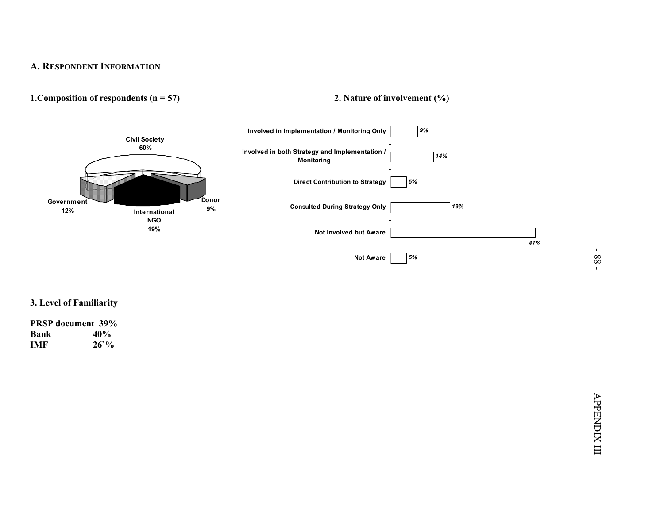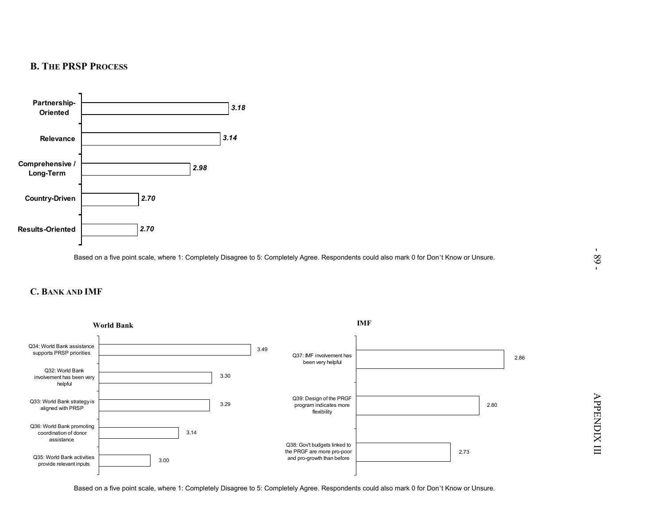



Based on a five point scale, where 1: Completely Disagree to 5: Completely Agree. Respondents could also mark 0 for Don't Know or Unsure.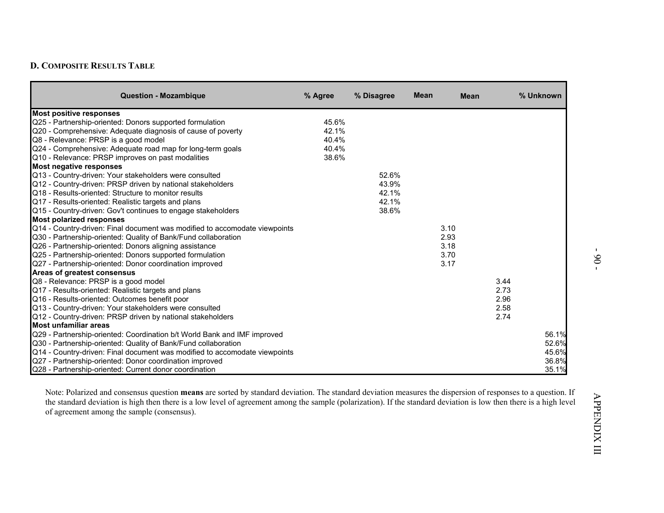| <b>Question - Mozambique</b>                                               | % Agree | % Disagree | <b>Mean</b> | <b>Mean</b> |      | % Unknown |
|----------------------------------------------------------------------------|---------|------------|-------------|-------------|------|-----------|
| <b>Most positive responses</b>                                             |         |            |             |             |      |           |
| Q25 - Partnership-oriented: Donors supported formulation                   | 45.6%   |            |             |             |      |           |
| Q20 - Comprehensive: Adequate diagnosis of cause of poverty                | 42.1%   |            |             |             |      |           |
| Q8 - Relevance: PRSP is a good model                                       | 40.4%   |            |             |             |      |           |
| Q24 - Comprehensive: Adequate road map for long-term goals                 | 40.4%   |            |             |             |      |           |
| Q10 - Relevance: PRSP improves on past modalities                          | 38.6%   |            |             |             |      |           |
| <b>Most negative responses</b>                                             |         |            |             |             |      |           |
| Q13 - Country-driven: Your stakeholders were consulted                     |         | 52.6%      |             |             |      |           |
| Q12 - Country-driven: PRSP driven by national stakeholders                 |         | 43.9%      |             |             |      |           |
| Q18 - Results-oriented: Structure to monitor results                       |         | 42.1%      |             |             |      |           |
| Q17 - Results-oriented: Realistic targets and plans                        |         | 42.1%      |             |             |      |           |
| Q15 - Country-driven: Gov't continues to engage stakeholders               |         | 38.6%      |             |             |      |           |
| <b>Most polarized responses</b>                                            |         |            |             |             |      |           |
| Q14 - Country-driven: Final document was modified to accomodate viewpoints |         |            |             | 3.10        |      |           |
| Q30 - Partnership-oriented: Quality of Bank/Fund collaboration             |         |            |             | 2.93        |      |           |
| Q26 - Partnership-oriented: Donors aligning assistance                     |         |            |             | 3.18        |      |           |
| Q25 - Partnership-oriented: Donors supported formulation                   |         |            |             | 3.70        |      |           |
| Q27 - Partnership-oriented: Donor coordination improved                    |         |            |             | 3.17        |      |           |
| Areas of greatest consensus                                                |         |            |             |             |      |           |
| Q8 - Relevance: PRSP is a good model                                       |         |            |             |             | 3.44 |           |
| Q17 - Results-oriented: Realistic targets and plans                        |         |            |             |             | 2.73 |           |
| Q16 - Results-oriented: Outcomes benefit poor                              |         |            |             |             | 2.96 |           |
| Q13 - Country-driven: Your stakeholders were consulted                     |         |            |             |             | 2.58 |           |
| Q12 - Country-driven: PRSP driven by national stakeholders                 |         |            |             |             | 2.74 |           |
| Most unfamiliar areas                                                      |         |            |             |             |      |           |
| Q29 - Partnership-oriented: Coordination b/t World Bank and IMF improved   |         |            |             |             |      | 56.1%     |
| Q30 - Partnership-oriented: Quality of Bank/Fund collaboration             |         |            |             |             |      | 52.6%     |
| Q14 - Country-driven: Final document was modified to accomodate viewpoints |         |            |             |             |      | 45.6%     |
| Q27 - Partnership-oriented: Donor coordination improved                    |         |            |             |             |      | 36.8%     |
| Q28 - Partnership-oriented: Current donor coordination                     |         |            |             |             |      | 35.1%     |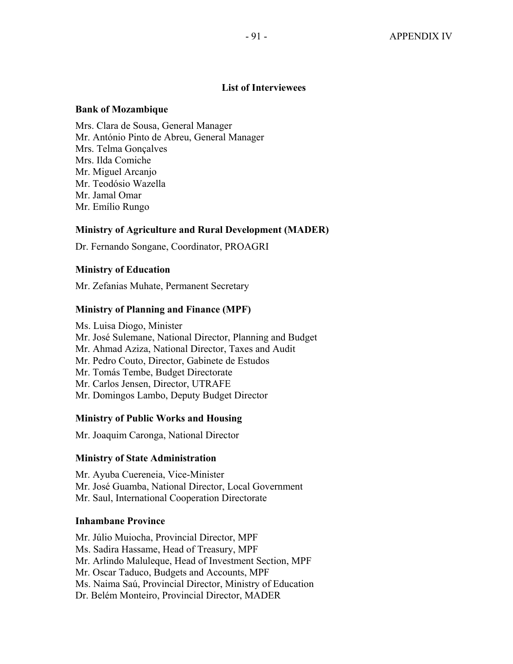# **List of Interviewees**

### **Bank of Mozambique**

Mrs. Clara de Sousa, General Manager Mr. António Pinto de Abreu, General Manager Mrs. Telma Gonçalves Mrs. Ilda Comiche Mr. Miguel Arcanjo Mr. Teodósio Wazella Mr. Jamal Omar Mr. Emílio Rungo

## **Ministry of Agriculture and Rural Development (MADER)**

Dr. Fernando Songane, Coordinator, PROAGRI

# **Ministry of Education**

Mr. Zefanias Muhate, Permanent Secretary

# **Ministry of Planning and Finance (MPF)**

Ms. Luisa Diogo, Minister Mr. José Sulemane, National Director, Planning and Budget Mr. Ahmad Aziza, National Director, Taxes and Audit Mr. Pedro Couto, Director, Gabinete de Estudos Mr. Tomás Tembe, Budget Directorate Mr. Carlos Jensen, Director, UTRAFE Mr. Domingos Lambo, Deputy Budget Director

## **Ministry of Public Works and Housing**

Mr. Joaquim Caronga, National Director

## **Ministry of State Administration**

Mr. Ayuba Cuereneia, Vice-Minister Mr. José Guamba, National Director, Local Government Mr. Saul, International Cooperation Directorate

# **Inhambane Province**

Mr. Júlio Muiocha, Provincial Director, MPF Ms. Sadira Hassame, Head of Treasury, MPF Mr. Arlindo Maluleque, Head of Investment Section, MPF Mr. Oscar Taduco, Budgets and Accounts, MPF Ms. Naima Saú, Provincial Director, Ministry of Education Dr. Belém Monteiro, Provincial Director, MADER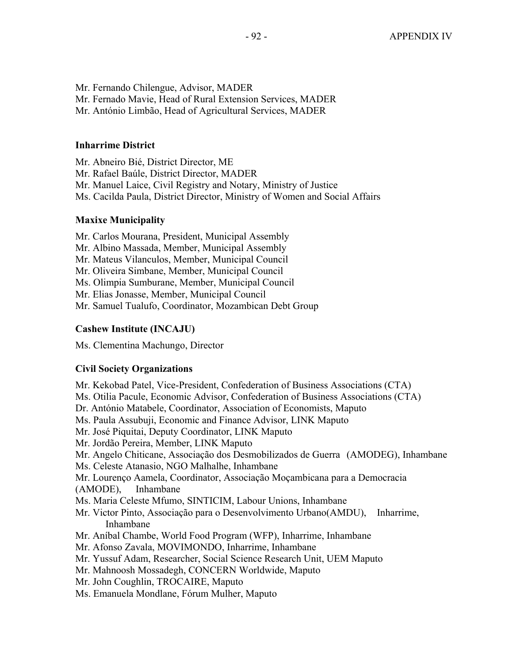Mr. Fernando Chilengue, Advisor, MADER Mr. Fernado Mavie, Head of Rural Extension Services, MADER Mr. António Limbão, Head of Agricultural Services, MADER

### **Inharrime District**

Mr. Abneiro Bié, District Director, ME Mr. Rafael Baúle, District Director, MADER Mr. Manuel Laice, Civil Registry and Notary, Ministry of Justice Ms. Cacilda Paula, District Director, Ministry of Women and Social Affairs

### **Maxixe Municipality**

Mr. Carlos Mourana, President, Municipal Assembly Mr. Albino Massada, Member, Municipal Assembly Mr. Mateus Vilanculos, Member, Municipal Council Mr. Oliveira Simbane, Member, Municipal Council Ms. Olimpia Sumburane, Member, Municipal Council Mr. Elias Jonasse, Member, Municipal Council Mr. Samuel Tualufo, Coordinator, Mozambican Debt Group

### **Cashew Institute (INCAJU)**

Ms. Clementina Machungo, Director

### **Civil Society Organizations**

Mr. Kekobad Patel, Vice-President, Confederation of Business Associations (CTA) Ms. Otilia Pacule, Economic Advisor, Confederation of Business Associations (CTA) Dr. António Matabele, Coordinator, Association of Economists, Maputo Ms. Paula Assubuji, Economic and Finance Advisor, LINK Maputo Mr. José Piquitai, Deputy Coordinator, LINK Maputo Mr. Jordão Pereira, Member, LINK Maputo Mr. Angelo Chiticane, Associação dos Desmobilizados de Guerra (AMODEG), Inhambane Ms. Celeste Atanasio, NGO Malhalhe, Inhambane Mr. Lourenço Aamela, Coordinator, Associação Moçambicana para a Democracia (AMODE), Inhambane Ms. Maria Celeste Mfumo, SINTICIM, Labour Unions, Inhambane Mr. Victor Pinto, Associação para o Desenvolvimento Urbano(AMDU), Inharrime, Inhambane Mr. Aníbal Chambe, World Food Program (WFP), Inharrime, Inhambane Mr. Afonso Zavala, MOVIMONDO, Inharrime, Inhambane Mr. Yussuf Adam, Researcher, Social Science Research Unit, UEM Maputo Mr. Mahnoosh Mossadegh, CONCERN Worldwide, Maputo Mr. John Coughlin, TROCAIRE, Maputo Ms. Emanuela Mondlane, Fórum Mulher, Maputo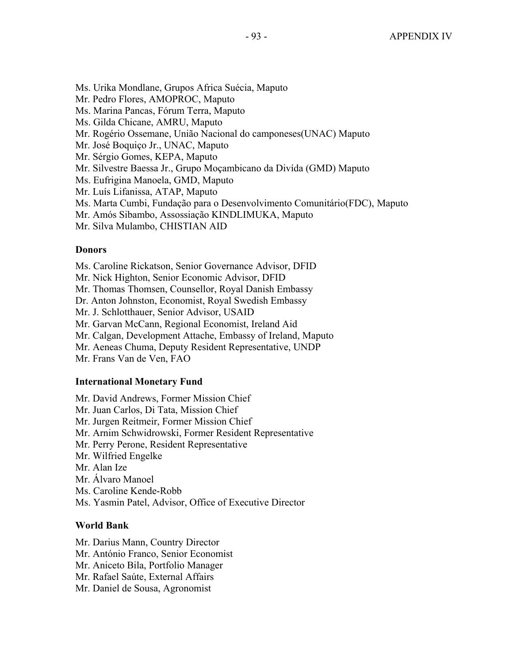Ms. Urika Mondlane, Grupos Africa Suécia, Maputo

Mr. Pedro Flores, AMOPROC, Maputo

Ms. Marina Pancas, Fórum Terra, Maputo

Ms. Gilda Chicane, AMRU, Maputo

Mr. Rogério Ossemane, União Nacional do camponeses(UNAC) Maputo

Mr. José Boquiço Jr., UNAC, Maputo

Mr. Sérgio Gomes, KEPA, Maputo

Mr. Silvestre Baessa Jr., Grupo Moçambicano da Divída (GMD) Maputo

Ms. Eufrigina Manoela, GMD, Maputo

Mr. Luís Lifanissa, ATAP, Maputo

Ms. Marta Cumbi, Fundação para o Desenvolvimento Comunitário(FDC), Maputo

Mr. Amós Sibambo, Assossiação KINDLIMUKA, Maputo

Mr. Silva Mulambo, CHISTIAN AID

### **Donors**

Ms. Caroline Rickatson, Senior Governance Advisor, DFID

Mr. Nick Highton, Senior Economic Advisor, DFID

Mr. Thomas Thomsen, Counsellor, Royal Danish Embassy

Dr. Anton Johnston, Economist, Royal Swedish Embassy

Mr. J. Schlotthauer, Senior Advisor, USAID

Mr. Garvan McCann, Regional Economist, Ireland Aid

Mr. Calgan, Development Attache, Embassy of Ireland, Maputo

Mr. Aeneas Chuma, Deputy Resident Representative, UNDP

Mr. Frans Van de Ven, FAO

### **International Monetary Fund**

Mr. David Andrews, Former Mission Chief Mr. Juan Carlos, Di Tata, Mission Chief Mr. Jurgen Reitmeir, Former Mission Chief Mr. Arnim Schwidrowski, Former Resident Representative Mr. Perry Perone, Resident Representative Mr. Wilfried Engelke Mr. Alan Ize Mr. Álvaro Manoel

Ms. Caroline Kende-Robb

Ms. Yasmin Patel, Advisor, Office of Executive Director

## **World Bank**

Mr. Darius Mann, Country Director

Mr. António Franco, Senior Economist

Mr. Aniceto Bila, Portfolio Manager

Mr. Rafael Saúte, External Affairs

Mr. Daniel de Sousa, Agronomist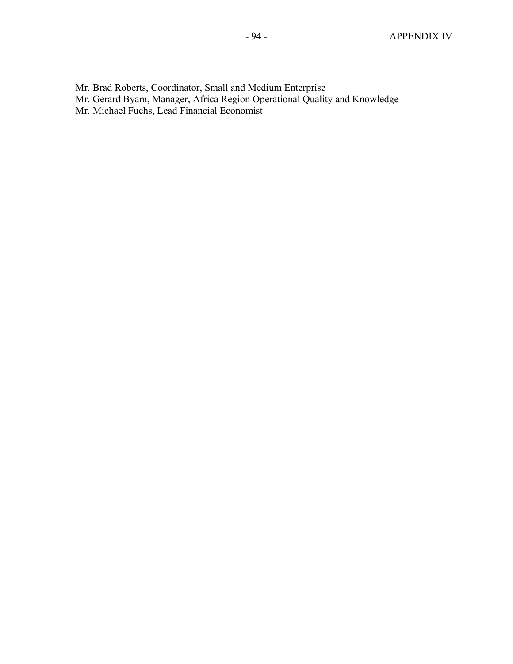- Mr. Brad Roberts, Coordinator, Small and Medium Enterprise
- Mr. Gerard Byam, Manager, Africa Region Operational Quality and Knowledge
- Mr. Michael Fuchs, Lead Financial Economist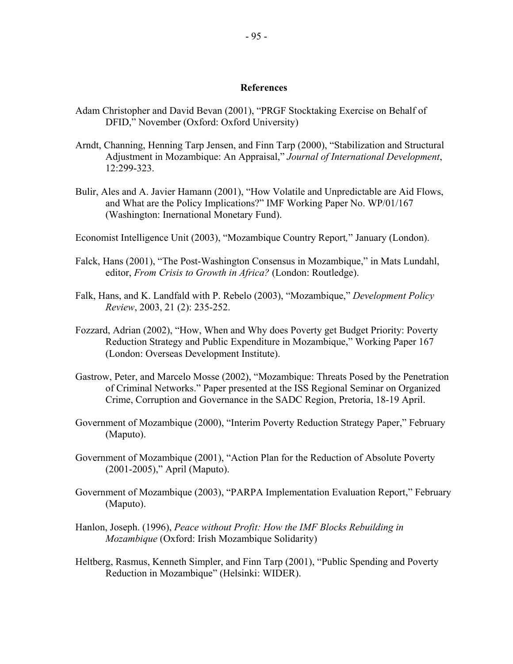### **References**

- Adam Christopher and David Bevan (2001), "PRGF Stocktaking Exercise on Behalf of DFID," November (Oxford: Oxford University)
- Arndt, Channing, Henning Tarp Jensen, and Finn Tarp (2000), "Stabilization and Structural Adjustment in Mozambique: An Appraisal," *Journal of International Development*, 12:299-323.
- Bulir, Ales and A. Javier Hamann (2001), "How Volatile and Unpredictable are Aid Flows, and What are the Policy Implications?" IMF Working Paper No. WP/01/167 (Washington: Inernational Monetary Fund).
- Economist Intelligence Unit (2003), "Mozambique Country Report*,*" January (London).
- Falck, Hans (2001), "The Post-Washington Consensus in Mozambique," in Mats Lundahl, editor, *From Crisis to Growth in Africa?* (London: Routledge).
- Falk, Hans, and K. Landfald with P. Rebelo (2003), "Mozambique," *Development Policy Review*, 2003, 21 (2): 235-252.
- Fozzard, Adrian (2002), "How, When and Why does Poverty get Budget Priority: Poverty Reduction Strategy and Public Expenditure in Mozambique," Working Paper 167 (London: Overseas Development Institute).
- Gastrow, Peter, and Marcelo Mosse (2002), "Mozambique: Threats Posed by the Penetration of Criminal Networks." Paper presented at the ISS Regional Seminar on Organized Crime, Corruption and Governance in the SADC Region, Pretoria, 18-19 April.
- Government of Mozambique (2000), "Interim Poverty Reduction Strategy Paper," February (Maputo).
- Government of Mozambique (2001), "Action Plan for the Reduction of Absolute Poverty (2001-2005)," April (Maputo).
- Government of Mozambique (2003), "PARPA Implementation Evaluation Report," February (Maputo).
- Hanlon, Joseph. (1996), *Peace without Profit: How the IMF Blocks Rebuilding in Mozambique* (Oxford: Irish Mozambique Solidarity)
- Heltberg, Rasmus, Kenneth Simpler, and Finn Tarp (2001), "Public Spending and Poverty Reduction in Mozambique" (Helsinki: WIDER).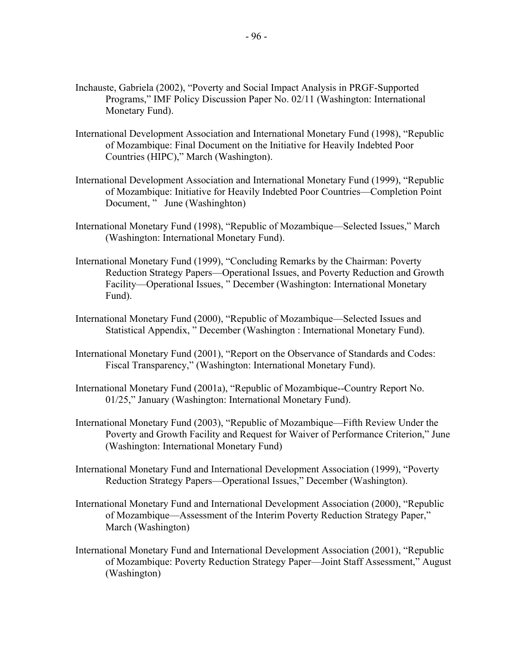- Inchauste, Gabriela (2002), "Poverty and Social Impact Analysis in PRGF-Supported Programs," IMF Policy Discussion Paper No. 02/11 (Washington: International Monetary Fund).
- International Development Association and International Monetary Fund (1998), "Republic of Mozambique: Final Document on the Initiative for Heavily Indebted Poor Countries (HIPC)," March (Washington).
- International Development Association and International Monetary Fund (1999), "Republic of Mozambique: Initiative for Heavily Indebted Poor Countries—Completion Point Document, " June (Washinghton)
- International Monetary Fund (1998), "Republic of Mozambique—Selected Issues," March (Washington: International Monetary Fund).
- International Monetary Fund (1999), "Concluding Remarks by the Chairman: Poverty Reduction Strategy Papers—Operational Issues, and Poverty Reduction and Growth Facility—Operational Issues, " December (Washington: International Monetary Fund).
- International Monetary Fund (2000), "Republic of Mozambique—Selected Issues and Statistical Appendix, " December (Washington : International Monetary Fund).
- International Monetary Fund (2001), "Report on the Observance of Standards and Codes: Fiscal Transparency," (Washington: International Monetary Fund).
- International Monetary Fund (2001a), "Republic of Mozambique--Country Report No. 01/25," January (Washington: International Monetary Fund).
- International Monetary Fund (2003), "Republic of Mozambique—Fifth Review Under the Poverty and Growth Facility and Request for Waiver of Performance Criterion," June (Washington: International Monetary Fund)
- International Monetary Fund and International Development Association (1999), "Poverty Reduction Strategy Papers—Operational Issues," December (Washington).
- International Monetary Fund and International Development Association (2000), "Republic of Mozambique—Assessment of the Interim Poverty Reduction Strategy Paper," March (Washington)
- International Monetary Fund and International Development Association (2001), "Republic of Mozambique: Poverty Reduction Strategy Paper—Joint Staff Assessment," August (Washington)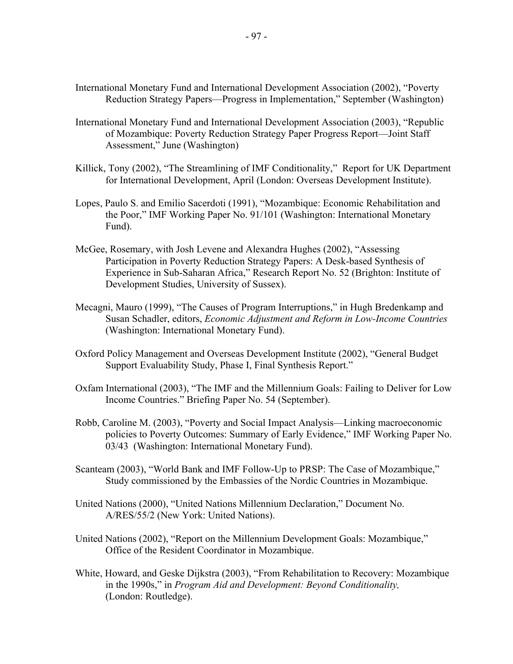- International Monetary Fund and International Development Association (2002), "Poverty Reduction Strategy Papers—Progress in Implementation," September (Washington)
- International Monetary Fund and International Development Association (2003), "Republic of Mozambique: Poverty Reduction Strategy Paper Progress Report—Joint Staff Assessment," June (Washington)
- Killick, Tony (2002), "The Streamlining of IMF Conditionality," Report for UK Department for International Development, April (London: Overseas Development Institute).
- Lopes, Paulo S. and Emilio Sacerdoti (1991), "Mozambique: Economic Rehabilitation and the Poor," IMF Working Paper No. 91/101 (Washington: International Monetary Fund).
- McGee, Rosemary, with Josh Levene and Alexandra Hughes (2002), "Assessing Participation in Poverty Reduction Strategy Papers: A Desk-based Synthesis of Experience in Sub-Saharan Africa," Research Report No. 52 (Brighton: Institute of Development Studies, University of Sussex).
- Mecagni, Mauro (1999), "The Causes of Program Interruptions," in Hugh Bredenkamp and Susan Schadler, editors, *Economic Adjustment and Reform in Low-Income Countries* (Washington: International Monetary Fund).
- Oxford Policy Management and Overseas Development Institute (2002), "General Budget Support Evaluability Study, Phase I, Final Synthesis Report."
- Oxfam International (2003), "The IMF and the Millennium Goals: Failing to Deliver for Low Income Countries." Briefing Paper No. 54 (September).
- Robb, Caroline M. (2003), "Poverty and Social Impact Analysis—Linking macroeconomic policies to Poverty Outcomes: Summary of Early Evidence," IMF Working Paper No. 03/43 (Washington: International Monetary Fund).
- Scanteam (2003), "World Bank and IMF Follow-Up to PRSP: The Case of Mozambique," Study commissioned by the Embassies of the Nordic Countries in Mozambique.
- United Nations (2000), "United Nations Millennium Declaration," Document No. A/RES/55/2 (New York: United Nations).
- United Nations (2002), "Report on the Millennium Development Goals: Mozambique," Office of the Resident Coordinator in Mozambique.
- White, Howard, and Geske Dijkstra (2003), "From Rehabilitation to Recovery: Mozambique in the 1990s," in *Program Aid and Development: Beyond Conditionality,*  (London: Routledge).